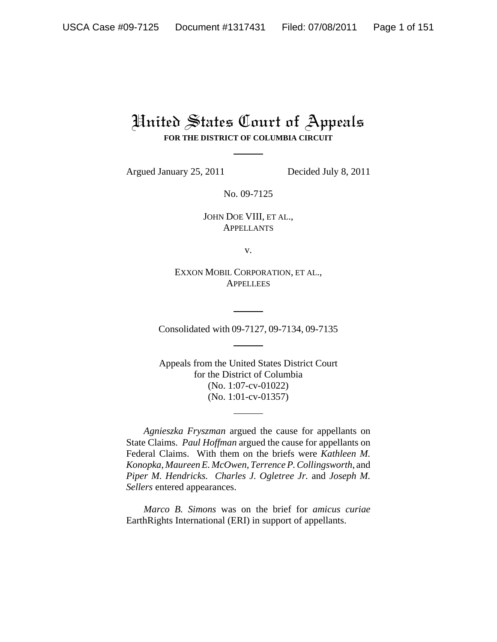# United States Court of Appeals **FOR THE DISTRICT OF COLUMBIA CIRCUIT**

Argued January 25, 2011 Decided July 8, 2011

No. 09-7125

JOHN DOE VIII, ET AL., APPELLANTS

v.

EXXON MOBIL CORPORATION, ET AL., **APPELLEES** 

Consolidated with 09-7127, 09-7134, 09-7135

Appeals from the United States District Court for the District of Columbia (No. 1:07-cv-01022) (No. 1:01-cv-01357)

*Agnieszka Fryszman* argued the cause for appellants on State Claims. *Paul Hoffman* argued the cause for appellants on Federal Claims. With them on the briefs were *Kathleen M. Konopka*, *Maureen E. McOwen, Terrence P. Collingsworth*, and *Piper M. Hendricks. Charles J. Ogletree Jr.* and *Joseph M. Sellers* entered appearances.

*Marco B. Simons* was on the brief for *amicus curiae* EarthRights International (ERI) in support of appellants.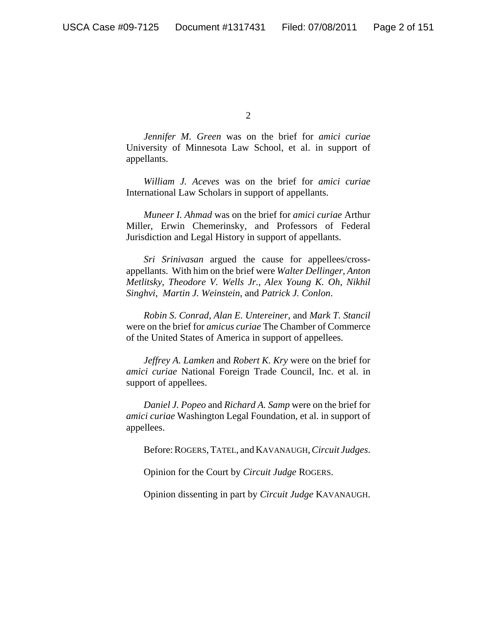*Jennifer M. Green* was on the brief for *amici curiae* University of Minnesota Law School, et al. in support of appellants.

*William J. Aceves* was on the brief for *amici curiae* International Law Scholars in support of appellants.

*Muneer I. Ahmad* was on the brief for *amici curiae* Arthur Miller, Erwin Chemerinsky, and Professors of Federal Jurisdiction and Legal History in support of appellants.

*Sri Srinivasan* argued the cause for appellees/crossappellants. With him on the brief were *Walter Dellinger*, *Anton Metlitsky*, *Theodore V. Wells Jr.*, *Alex Young K. Oh*, *Nikhil Singhvi*, *Martin J. Weinstein*, and *Patrick J. Conlon*.

*Robin S. Conrad, Alan E. Untereiner*, and *Mark T. Stancil* were on the brief for *amicus curiae* The Chamber of Commerce of the United States of America in support of appellees.

*Jeffrey A. Lamken* and *Robert K. Kry* were on the brief for *amici curiae* National Foreign Trade Council, Inc. et al. in support of appellees.

*Daniel J. Popeo* and *Richard A. Samp* were on the brief for *amici curiae* Washington Legal Foundation, et al. in support of appellees.

Before: ROGERS, TATEL, and KAVANAUGH, *Circuit Judges*.

Opinion for the Court by *Circuit Judge* ROGERS.

Opinion dissenting in part by *Circuit Judge* KAVANAUGH.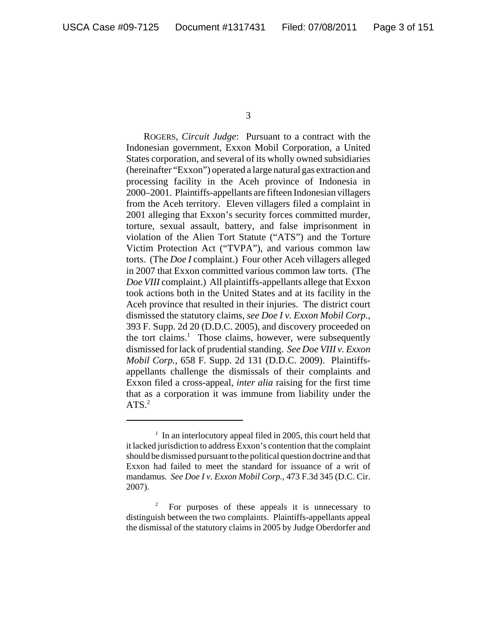ROGERS, *Circuit Judge*: Pursuant to a contract with the Indonesian government, Exxon Mobil Corporation, a United States corporation, and several of its wholly owned subsidiaries (hereinafter "Exxon") operated a large natural gas extraction and processing facility in the Aceh province of Indonesia in 2000–2001. Plaintiffs-appellants are fifteen Indonesian villagers from the Aceh territory. Eleven villagers filed a complaint in 2001 alleging that Exxon's security forces committed murder, torture, sexual assault, battery, and false imprisonment in violation of the Alien Tort Statute ("ATS") and the Torture Victim Protection Act ("TVPA"), and various common law torts. (The *Doe I* complaint.) Four other Aceh villagers alleged in 2007 that Exxon committed various common law torts. (The *Doe VIII* complaint.) All plaintiffs-appellants allege that Exxon took actions both in the United States and at its facility in the Aceh province that resulted in their injuries. The district court dismissed the statutory claims, *see Doe I v. Exxon Mobil Corp.*, 393 F. Supp. 2d 20 (D.D.C. 2005), and discovery proceeded on the tort claims.<sup>1</sup> Those claims, however, were subsequently dismissed for lack of prudential standing. *See Doe VIII v. Exxon Mobil Corp.*, 658 F. Supp. 2d 131 (D.D.C. 2009). Plaintiffsappellants challenge the dismissals of their complaints and Exxon filed a cross-appeal, *inter alia* raising for the first time that as a corporation it was immune from liability under the ATS. $2$ 

<sup>&</sup>lt;sup>1</sup> In an interlocutory appeal filed in 2005, this court held that it lacked jurisdiction to address Exxon's contention that the complaint should be dismissed pursuant to the political question doctrine and that Exxon had failed to meet the standard for issuance of a writ of mandamus. *See Doe I v. Exxon Mobil Corp.*, 473 F.3d 345 (D.C. Cir. 2007).

<sup>2</sup> For purposes of these appeals it is unnecessary to distinguish between the two complaints. Plaintiffs-appellants appeal the dismissal of the statutory claims in 2005 by Judge Oberdorfer and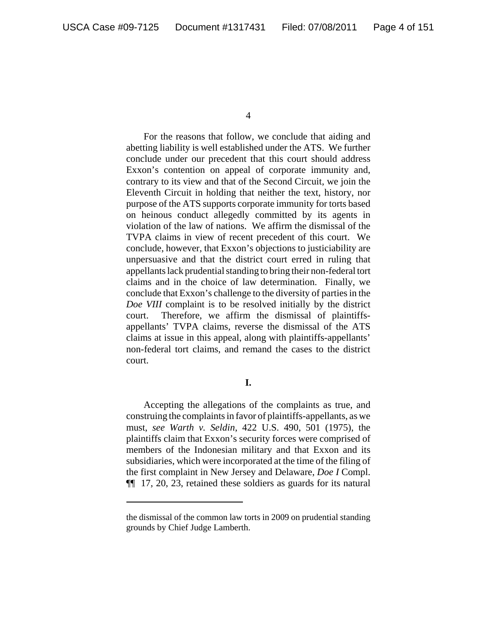For the reasons that follow, we conclude that aiding and abetting liability is well established under the ATS. We further conclude under our precedent that this court should address Exxon's contention on appeal of corporate immunity and, contrary to its view and that of the Second Circuit, we join the Eleventh Circuit in holding that neither the text, history, nor purpose of the ATS supports corporate immunity for torts based on heinous conduct allegedly committed by its agents in violation of the law of nations. We affirm the dismissal of the TVPA claims in view of recent precedent of this court. We conclude, however, that Exxon's objections to justiciability are unpersuasive and that the district court erred in ruling that appellants lack prudential standing to bring their non-federal tort claims and in the choice of law determination. Finally, we conclude that Exxon's challenge to the diversity of parties in the *Doe VIII* complaint is to be resolved initially by the district court. Therefore, we affirm the dismissal of plaintiffsappellants' TVPA claims, reverse the dismissal of the ATS claims at issue in this appeal, along with plaintiffs-appellants' non-federal tort claims, and remand the cases to the district court.

## **I.**

Accepting the allegations of the complaints as true, and construing the complaints in favor of plaintiffs-appellants, as we must, *see Warth v. Seldin*, 422 U.S. 490, 501 (1975), the plaintiffs claim that Exxon's security forces were comprised of members of the Indonesian military and that Exxon and its subsidiaries, which were incorporated at the time of the filing of the first complaint in New Jersey and Delaware, *Doe I* Compl. ¶¶ 17, 20, 23, retained these soldiers as guards for its natural

the dismissal of the common law torts in 2009 on prudential standing grounds by Chief Judge Lamberth.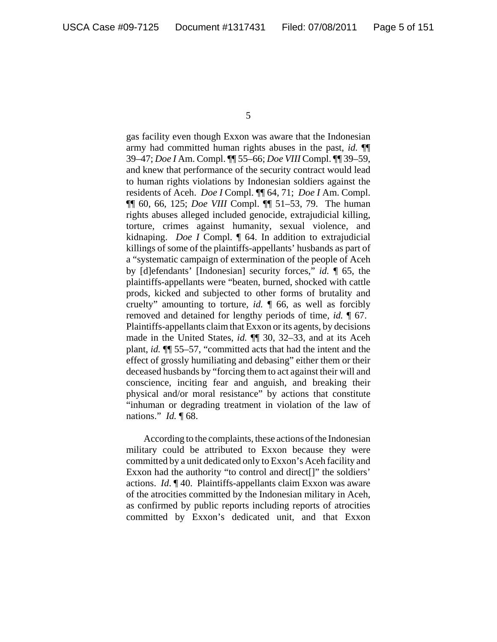gas facility even though Exxon was aware that the Indonesian army had committed human rights abuses in the past, *id.* ¶¶ 39–47; *Doe I* Am. Compl. ¶¶ 55–66; *Doe VIII* Compl. ¶¶ 39–59, and knew that performance of the security contract would lead to human rights violations by Indonesian soldiers against the residents of Aceh. *Doe I* Compl. ¶¶ 64, 71; *Doe I* Am. Compl. ¶¶ 60, 66, 125; *Doe VIII* Compl. ¶¶ 51–53, 79. The human rights abuses alleged included genocide, extrajudicial killing, torture, crimes against humanity, sexual violence, and kidnaping. *Doe I* Compl. ¶ 64. In addition to extrajudicial killings of some of the plaintiffs-appellants' husbands as part of a "systematic campaign of extermination of the people of Aceh by [d]efendants' [Indonesian] security forces," *id.* ¶ 65, the plaintiffs-appellants were "beaten, burned, shocked with cattle prods, kicked and subjected to other forms of brutality and cruelty" amounting to torture, *id.* ¶ 66, as well as forcibly removed and detained for lengthy periods of time, *id.* ¶ 67. Plaintiffs-appellants claim that Exxon or its agents, by decisions made in the United States, *id.* ¶¶ 30, 32–33, and at its Aceh plant, *id.* ¶¶ 55–57, "committed acts that had the intent and the effect of grossly humiliating and debasing" either them or their deceased husbands by "forcing them to act against their will and conscience, inciting fear and anguish, and breaking their physical and/or moral resistance" by actions that constitute "inhuman or degrading treatment in violation of the law of nations." *Id.* ¶ 68.

According to the complaints, these actions of the Indonesian military could be attributed to Exxon because they were committed by a unit dedicated only to Exxon's Aceh facility and Exxon had the authority "to control and direct[]" the soldiers' actions. *Id*. ¶ 40. Plaintiffs-appellants claim Exxon was aware of the atrocities committed by the Indonesian military in Aceh, as confirmed by public reports including reports of atrocities committed by Exxon's dedicated unit, and that Exxon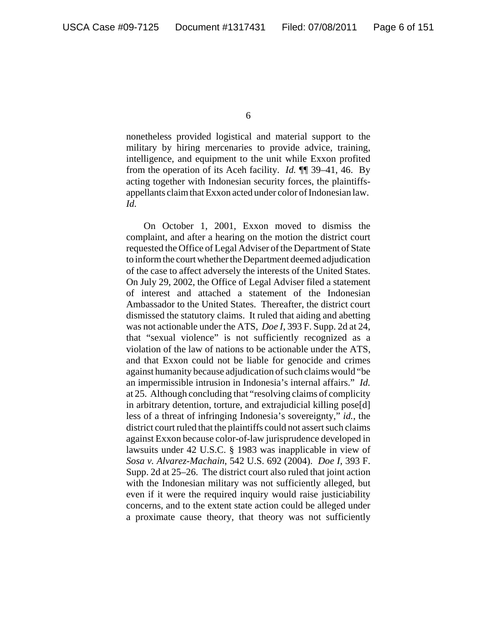nonetheless provided logistical and material support to the military by hiring mercenaries to provide advice, training, intelligence, and equipment to the unit while Exxon profited from the operation of its Aceh facility. *Id.* ¶¶ 39–41, 46. By acting together with Indonesian security forces, the plaintiffsappellants claim that Exxon acted under color of Indonesian law. *Id.*

On October 1, 2001, Exxon moved to dismiss the complaint, and after a hearing on the motion the district court requested the Office of Legal Adviser of the Department of State to inform the court whether the Department deemed adjudication of the case to affect adversely the interests of the United States. On July 29, 2002, the Office of Legal Adviser filed a statement of interest and attached a statement of the Indonesian Ambassador to the United States. Thereafter, the district court dismissed the statutory claims. It ruled that aiding and abetting was not actionable under the ATS, *Doe I*, 393 F. Supp. 2d at 24, that "sexual violence" is not sufficiently recognized as a violation of the law of nations to be actionable under the ATS, and that Exxon could not be liable for genocide and crimes against humanity because adjudication of such claims would "be an impermissible intrusion in Indonesia's internal affairs." *Id.* at 25. Although concluding that "resolving claims of complicity in arbitrary detention, torture, and extrajudicial killing pose[d] less of a threat of infringing Indonesia's sovereignty," *id.*, the district court ruled that the plaintiffs could not assert such claims against Exxon because color-of-law jurisprudence developed in lawsuits under 42 U.S.C. § 1983 was inapplicable in view of *Sosa v. Alvarez-Machain*, 542 U.S. 692 (2004). *Doe I*, 393 F. Supp. 2d at 25–26. The district court also ruled that joint action with the Indonesian military was not sufficiently alleged, but even if it were the required inquiry would raise justiciability concerns, and to the extent state action could be alleged under a proximate cause theory, that theory was not sufficiently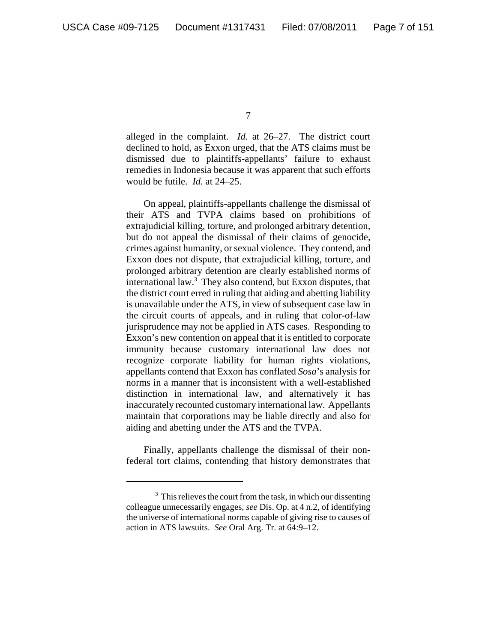alleged in the complaint. *Id.* at 26–27. The district court declined to hold, as Exxon urged, that the ATS claims must be dismissed due to plaintiffs-appellants' failure to exhaust remedies in Indonesia because it was apparent that such efforts would be futile. *Id.* at 24–25.

On appeal, plaintiffs-appellants challenge the dismissal of their ATS and TVPA claims based on prohibitions of extrajudicial killing, torture, and prolonged arbitrary detention, but do not appeal the dismissal of their claims of genocide, crimes against humanity, or sexual violence. They contend, and Exxon does not dispute, that extrajudicial killing, torture, and prolonged arbitrary detention are clearly established norms of international law.<sup>3</sup> They also contend, but Exxon disputes, that the district court erred in ruling that aiding and abetting liability is unavailable under the ATS, in view of subsequent case law in the circuit courts of appeals, and in ruling that color-of-law jurisprudence may not be applied in ATS cases. Responding to Exxon's new contention on appeal that it is entitled to corporate immunity because customary international law does not recognize corporate liability for human rights violations, appellants contend that Exxon has conflated *Sosa*'s analysis for norms in a manner that is inconsistent with a well-established distinction in international law, and alternatively it has inaccurately recounted customary international law. Appellants maintain that corporations may be liable directly and also for aiding and abetting under the ATS and the TVPA.

Finally, appellants challenge the dismissal of their nonfederal tort claims, contending that history demonstrates that

<sup>&</sup>lt;sup>3</sup> This relieves the court from the task, in which our dissenting colleague unnecessarily engages, *see* Dis. Op. at 4 n.2, of identifying the universe of international norms capable of giving rise to causes of action in ATS lawsuits. *See* Oral Arg. Tr. at 64:9–12.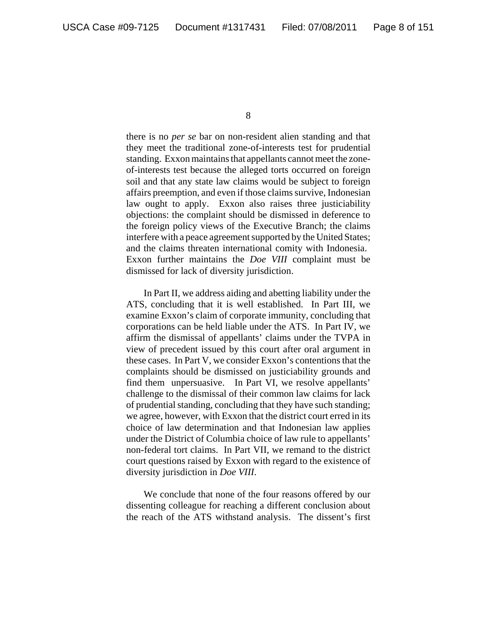there is no *per se* bar on non-resident alien standing and that they meet the traditional zone-of-interests test for prudential standing. Exxon maintains that appellants cannot meet the zoneof-interests test because the alleged torts occurred on foreign soil and that any state law claims would be subject to foreign affairs preemption, and even if those claims survive, Indonesian law ought to apply. Exxon also raises three justiciability objections: the complaint should be dismissed in deference to the foreign policy views of the Executive Branch; the claims interfere with a peace agreement supported by the United States; and the claims threaten international comity with Indonesia. Exxon further maintains the *Doe VIII* complaint must be dismissed for lack of diversity jurisdiction.

In Part II, we address aiding and abetting liability under the ATS, concluding that it is well established. In Part III, we examine Exxon's claim of corporate immunity, concluding that corporations can be held liable under the ATS. In Part IV, we affirm the dismissal of appellants' claims under the TVPA in view of precedent issued by this court after oral argument in these cases. In Part V, we consider Exxon's contentions that the complaints should be dismissed on justiciability grounds and find them unpersuasive. In Part VI, we resolve appellants' challenge to the dismissal of their common law claims for lack of prudential standing, concluding that they have such standing; we agree, however, with Exxon that the district court erred in its choice of law determination and that Indonesian law applies under the District of Columbia choice of law rule to appellants' non-federal tort claims. In Part VII, we remand to the district court questions raised by Exxon with regard to the existence of diversity jurisdiction in *Doe VIII*.

We conclude that none of the four reasons offered by our dissenting colleague for reaching a different conclusion about the reach of the ATS withstand analysis. The dissent's first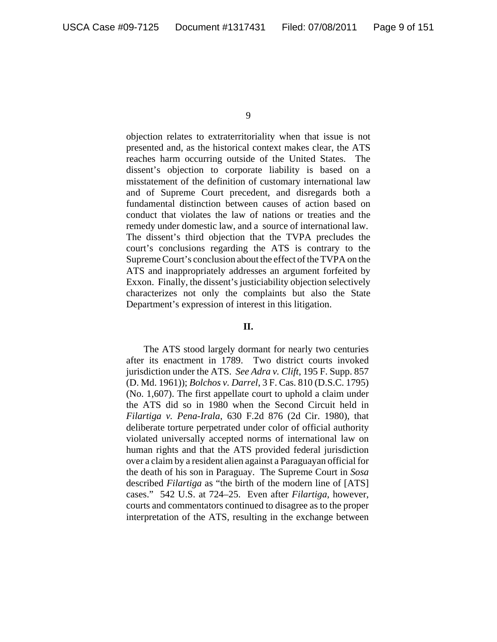objection relates to extraterritoriality when that issue is not presented and, as the historical context makes clear, the ATS reaches harm occurring outside of the United States. The dissent's objection to corporate liability is based on a misstatement of the definition of customary international law and of Supreme Court precedent, and disregards both a fundamental distinction between causes of action based on conduct that violates the law of nations or treaties and the remedy under domestic law, and a source of international law. The dissent's third objection that the TVPA precludes the court's conclusions regarding the ATS is contrary to the Supreme Court's conclusion about the effect of the TVPA on the ATS and inappropriately addresses an argument forfeited by Exxon. Finally, the dissent's justiciability objection selectively characterizes not only the complaints but also the State Department's expression of interest in this litigation.

### **II.**

The ATS stood largely dormant for nearly two centuries after its enactment in 1789. Two district courts invoked jurisdiction under the ATS. *See Adra v. Clift*, 195 F. Supp. 857 (D. Md. 1961)); *Bolchos v. Darrel*, 3 F. Cas. 810 (D.S.C. 1795) (No. 1,607). The first appellate court to uphold a claim under the ATS did so in 1980 when the Second Circuit held in *Filartiga v. Pena-Irala*, 630 F.2d 876 (2d Cir. 1980), that deliberate torture perpetrated under color of official authority violated universally accepted norms of international law on human rights and that the ATS provided federal jurisdiction over a claim by a resident alien against a Paraguayan official for the death of his son in Paraguay. The Supreme Court in *Sosa* described *Filartiga* as "the birth of the modern line of [ATS] cases." 542 U.S. at 724–25. Even after *Filartiga*, however, courts and commentators continued to disagree as to the proper interpretation of the ATS, resulting in the exchange between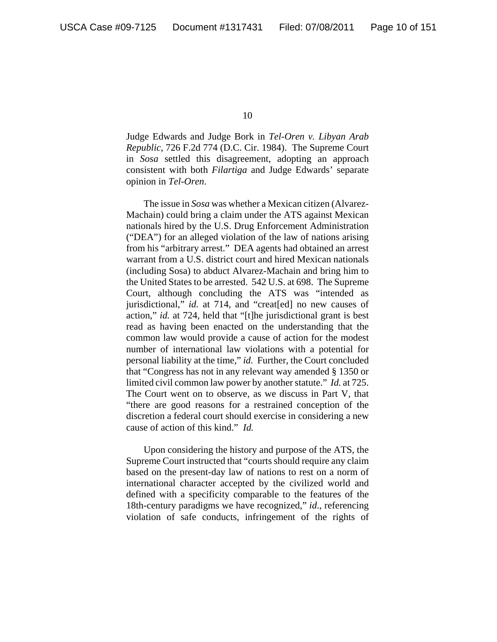Judge Edwards and Judge Bork in *Tel-Oren v. Libyan Arab Republic*, 726 F.2d 774 (D.C. Cir. 1984). The Supreme Court in *Sosa* settled this disagreement, adopting an approach consistent with both *Filartiga* and Judge Edwards' separate opinion in *Tel-Oren*.

The issue in *Sosa* was whether a Mexican citizen (Alvarez-Machain) could bring a claim under the ATS against Mexican nationals hired by the U.S. Drug Enforcement Administration ("DEA") for an alleged violation of the law of nations arising from his "arbitrary arrest." DEA agents had obtained an arrest warrant from a U.S. district court and hired Mexican nationals (including Sosa) to abduct Alvarez-Machain and bring him to the United States to be arrested. 542 U.S. at 698. The Supreme Court, although concluding the ATS was "intended as jurisdictional," *id.* at 714, and "creat[ed] no new causes of action," *id.* at 724, held that "[t]he jurisdictional grant is best read as having been enacted on the understanding that the common law would provide a cause of action for the modest number of international law violations with a potential for personal liability at the time," *id.* Further, the Court concluded that "Congress has not in any relevant way amended § 1350 or limited civil common law power by another statute." *Id.* at 725. The Court went on to observe, as we discuss in Part V, that "there are good reasons for a restrained conception of the discretion a federal court should exercise in considering a new cause of action of this kind." *Id.*

Upon considering the history and purpose of the ATS, the Supreme Court instructed that "courts should require any claim based on the present-day law of nations to rest on a norm of international character accepted by the civilized world and defined with a specificity comparable to the features of the 18th-century paradigms we have recognized," *id*., referencing violation of safe conducts, infringement of the rights of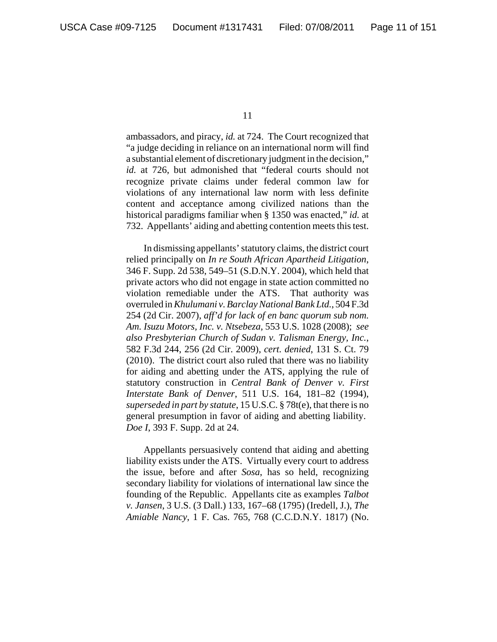ambassadors, and piracy, *id.* at 724. The Court recognized that "a judge deciding in reliance on an international norm will find a substantial element of discretionary judgment in the decision," *id.* at 726, but admonished that "federal courts should not recognize private claims under federal common law for violations of any international law norm with less definite content and acceptance among civilized nations than the historical paradigms familiar when § 1350 was enacted," *id.* at 732. Appellants' aiding and abetting contention meets this test.

In dismissing appellants' statutory claims, the district court relied principally on *In re South African Apartheid Litigation*, 346 F. Supp. 2d 538, 549–51 (S.D.N.Y. 2004), which held that private actors who did not engage in state action committed no violation remediable under the ATS. That authority was overruled in *Khulumani v. Barclay National Bank Ltd.*, 504 F.3d 254 (2d Cir. 2007), *aff'd for lack of en banc quorum sub nom. Am. Isuzu Motors, Inc. v. Ntsebeza*, 553 U.S. 1028 (2008); *see also Presbyterian Church of Sudan v. Talisman Energy, Inc.*, 582 F.3d 244, 256 (2d Cir. 2009), *cert. denied*, 131 S. Ct. 79 (2010). The district court also ruled that there was no liability for aiding and abetting under the ATS, applying the rule of statutory construction in *Central Bank of Denver v. First Interstate Bank of Denver*, 511 U.S. 164, 181–82 (1994), *superseded in part by statute*, 15 U.S.C. § 78t(e), that there is no general presumption in favor of aiding and abetting liability. *Doe I*, 393 F. Supp. 2d at 24.

Appellants persuasively contend that aiding and abetting liability exists under the ATS. Virtually every court to address the issue, before and after *Sosa*, has so held, recognizing secondary liability for violations of international law since the founding of the Republic. Appellants cite as examples *Talbot v. Jansen*, 3 U.S. (3 Dall.) 133, 167–68 (1795) (Iredell, J.), *The Amiable Nancy*, 1 F. Cas. 765, 768 (C.C.D.N.Y. 1817) (No.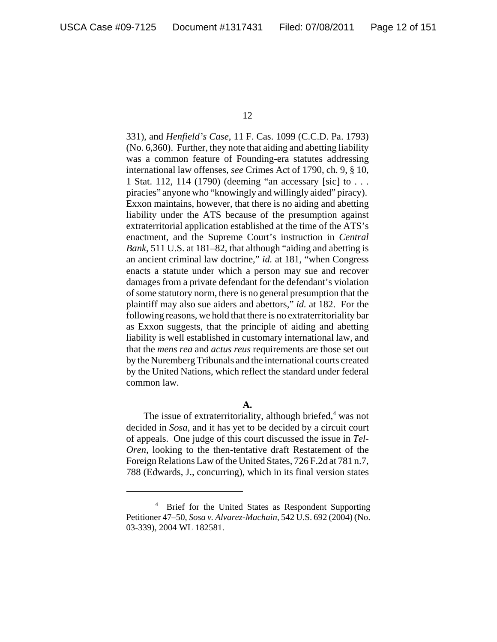331), and *Henfield's Case*, 11 F. Cas. 1099 (C.C.D. Pa. 1793) (No. 6,360). Further, they note that aiding and abetting liability was a common feature of Founding-era statutes addressing international law offenses, *see* Crimes Act of 1790, ch. 9, § 10, 1 Stat. 112, 114 (1790) (deeming "an accessary [sic] to . . . piracies" anyone who "knowingly and willingly aided" piracy). Exxon maintains, however, that there is no aiding and abetting liability under the ATS because of the presumption against extraterritorial application established at the time of the ATS's enactment, and the Supreme Court's instruction in *Central Bank*, 511 U.S. at 181–82, that although "aiding and abetting is an ancient criminal law doctrine," *id.* at 181, "when Congress enacts a statute under which a person may sue and recover damages from a private defendant for the defendant's violation of some statutory norm, there is no general presumption that the plaintiff may also sue aiders and abettors," *id.* at 182. For the following reasons, we hold that there is no extraterritoriality bar as Exxon suggests, that the principle of aiding and abetting liability is well established in customary international law, and that the *mens rea* and *actus reus* requirements are those set out by the Nuremberg Tribunals and the international courts created by the United Nations, which reflect the standard under federal common law.

### **A.**

The issue of extraterritoriality, although briefed,<sup>4</sup> was not decided in *Sosa*, and it has yet to be decided by a circuit court of appeals. One judge of this court discussed the issue in *Tel-Oren*, looking to the then-tentative draft Restatement of the Foreign Relations Law of the United States, 726 F.2d at 781 n.7, 788 (Edwards, J., concurring), which in its final version states

<sup>&</sup>lt;sup>4</sup> Brief for the United States as Respondent Supporting Petitioner 47–50, *Sosa v. Alvarez-Machain*, 542 U.S. 692 (2004) (No. 03-339), 2004 WL 182581.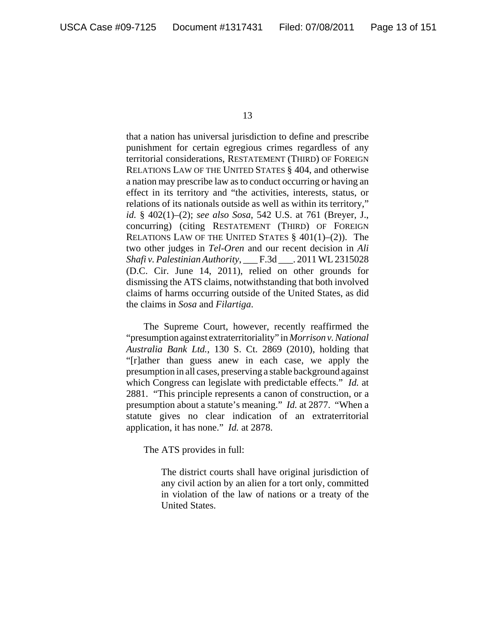that a nation has universal jurisdiction to define and prescribe punishment for certain egregious crimes regardless of any territorial considerations, RESTATEMENT (THIRD) OF FOREIGN RELATIONS LAW OF THE UNITED STATES § 404, and otherwise a nation may prescribe law as to conduct occurring or having an effect in its territory and "the activities, interests, status, or relations of its nationals outside as well as within its territory," *id.* § 402(1)–(2); *see also Sosa*, 542 U.S. at 761 (Breyer, J., concurring) (citing RESTATEMENT (THIRD) OF FOREIGN RELATIONS LAW OF THE UNITED STATES  $§$  401(1)–(2)). The two other judges in *Tel-Oren* and our recent decision in *Ali Shafi v. Palestinian Authority*, \_\_\_ F.3d \_\_\_. 2011 WL 2315028 (D.C. Cir. June 14, 2011), relied on other grounds for dismissing the ATS claims, notwithstanding that both involved claims of harms occurring outside of the United States, as did the claims in *Sosa* and *Filartiga*.

The Supreme Court, however, recently reaffirmed the "presumption against extraterritoriality" in *Morrison v. National Australia Bank Ltd.*, 130 S. Ct. 2869 (2010), holding that "[r]ather than guess anew in each case, we apply the presumption in all cases, preserving a stable background against which Congress can legislate with predictable effects." *Id.* at 2881. "This principle represents a canon of construction, or a presumption about a statute's meaning." *Id.* at 2877. "When a statute gives no clear indication of an extraterritorial application, it has none." *Id.* at 2878.

The ATS provides in full:

The district courts shall have original jurisdiction of any civil action by an alien for a tort only, committed in violation of the law of nations or a treaty of the United States.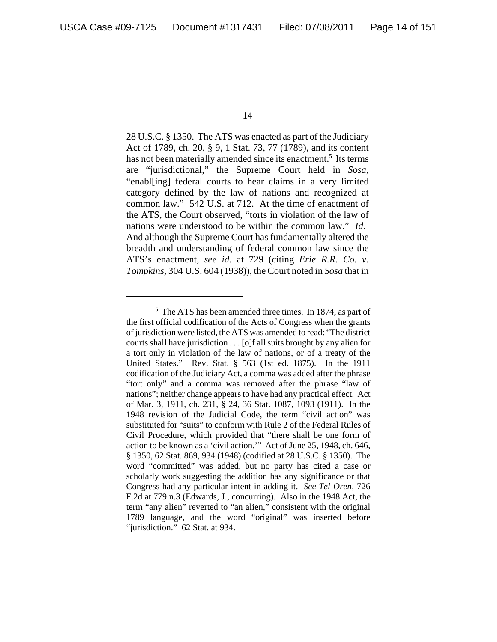28 U.S.C. § 1350. The ATS was enacted as part of the Judiciary Act of 1789, ch. 20, § 9, 1 Stat. 73, 77 (1789), and its content has not been materially amended since its enactment.<sup>5</sup> Its terms are "jurisdictional," the Supreme Court held in *Sosa*, "enabl[ing] federal courts to hear claims in a very limited category defined by the law of nations and recognized at common law." 542 U.S. at 712. At the time of enactment of the ATS, the Court observed, "torts in violation of the law of nations were understood to be within the common law." *Id.* And although the Supreme Court has fundamentally altered the breadth and understanding of federal common law since the ATS's enactment, *see id.* at 729 (citing *Erie R.R. Co. v. Tompkins*, 304 U.S. 604 (1938)), the Court noted in *Sosa* that in

<sup>&</sup>lt;sup>5</sup> The ATS has been amended three times. In 1874, as part of the first official codification of the Acts of Congress when the grants of jurisdiction were listed, the ATS was amended to read: "The district courts shall have jurisdiction . . . [o]f all suits brought by any alien for a tort only in violation of the law of nations, or of a treaty of the United States." Rev. Stat. § 563 (1st ed. 1875). In the 1911 codification of the Judiciary Act, a comma was added after the phrase "tort only" and a comma was removed after the phrase "law of nations"; neither change appears to have had any practical effect. Act of Mar. 3, 1911, ch. 231, § 24, 36 Stat. 1087, 1093 (1911). In the 1948 revision of the Judicial Code, the term "civil action" was substituted for "suits" to conform with Rule 2 of the Federal Rules of Civil Procedure, which provided that "there shall be one form of action to be known as a 'civil action.'" Act of June 25, 1948, ch. 646, § 1350, 62 Stat. 869, 934 (1948) (codified at 28 U.S.C. § 1350). The word "committed" was added, but no party has cited a case or scholarly work suggesting the addition has any significance or that Congress had any particular intent in adding it. *See Tel-Oren*, 726 F.2d at 779 n.3 (Edwards, J., concurring). Also in the 1948 Act, the term "any alien" reverted to "an alien," consistent with the original 1789 language, and the word "original" was inserted before "jurisdiction." 62 Stat. at 934.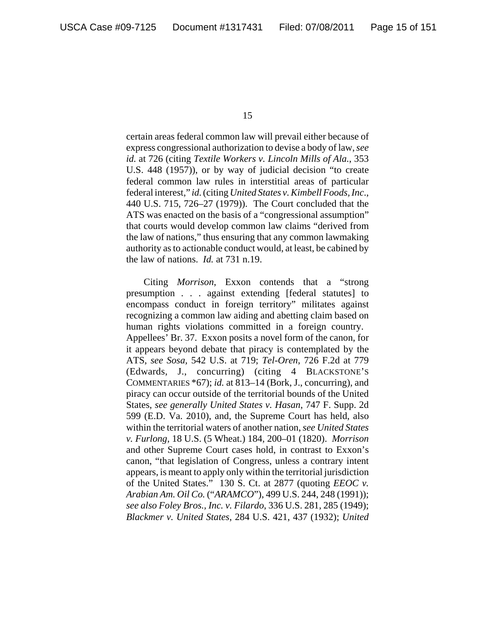certain areas federal common law will prevail either because of express congressional authorization to devise a body of law, *see id.* at 726 (citing *Textile Workers v. Lincoln Mills of Ala.*, 353 U.S. 448 (1957)), or by way of judicial decision "to create federal common law rules in interstitial areas of particular federal interest," *id.* (citing *United States v. Kimbell Foods, Inc*., 440 U.S. 715, 726–27 (1979)). The Court concluded that the ATS was enacted on the basis of a "congressional assumption" that courts would develop common law claims "derived from the law of nations," thus ensuring that any common lawmaking authority as to actionable conduct would, at least, be cabined by the law of nations. *Id.* at 731 n.19.

Citing *Morrison*, Exxon contends that a "strong presumption . . . against extending [federal statutes] to encompass conduct in foreign territory" militates against recognizing a common law aiding and abetting claim based on human rights violations committed in a foreign country. Appellees' Br. 37. Exxon posits a novel form of the canon, for it appears beyond debate that piracy is contemplated by the ATS, *see Sosa,* 542 U.S. at 719; *Tel-Oren*, 726 F.2d at 779 (Edwards, J., concurring) (citing 4 BLACKSTONE'S COMMENTARIES \*67); *id.* at 813–14 (Bork, J., concurring), and piracy can occur outside of the territorial bounds of the United States, *see generally United States v. Hasan*, 747 F. Supp. 2d 599 (E.D. Va. 2010), and, the Supreme Court has held, also within the territorial waters of another nation, *see United States v. Furlong*, 18 U.S. (5 Wheat.) 184, 200–01 (1820). *Morrison* and other Supreme Court cases hold, in contrast to Exxon's canon, "that legislation of Congress, unless a contrary intent appears, is meant to apply only within the territorial jurisdiction of the United States." 130 S. Ct. at 2877 (quoting *EEOC v. Arabian Am. Oil Co.* ("*ARAMCO*"), 499 U.S. 244, 248 (1991)); *see also Foley Bros., Inc. v. Filardo*, 336 U.S. 281, 285 (1949); *Blackmer v. United States*, 284 U.S. 421, 437 (1932); *United*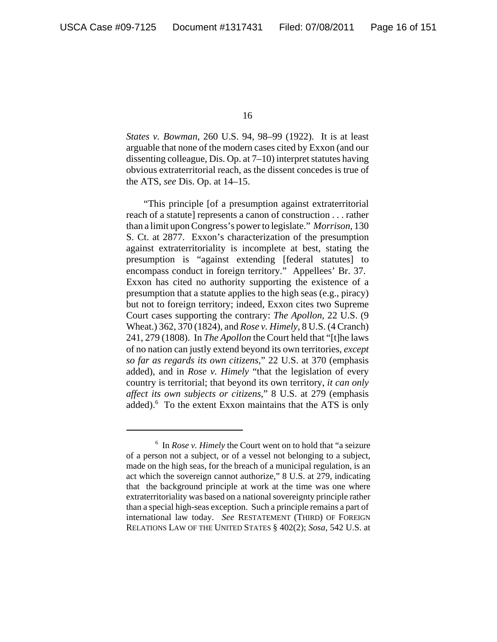*States v. Bowman*, 260 U.S. 94, 98–99 (1922). It is at least arguable that none of the modern cases cited by Exxon (and our dissenting colleague, Dis. Op. at 7–10) interpret statutes having obvious extraterritorial reach, as the dissent concedes is true of the ATS, *see* Dis. Op. at 14–15.

"This principle [of a presumption against extraterritorial reach of a statute] represents a canon of construction . . . rather than a limit upon Congress's power to legislate." *Morrison*, 130 S. Ct. at 2877. Exxon's characterization of the presumption against extraterritoriality is incomplete at best, stating the presumption is "against extending [federal statutes] to encompass conduct in foreign territory." Appellees' Br. 37. Exxon has cited no authority supporting the existence of a presumption that a statute applies to the high seas (e.g., piracy) but not to foreign territory; indeed, Exxon cites two Supreme Court cases supporting the contrary: *The Apollon*, 22 U.S. (9 Wheat.) 362, 370 (1824), and *Rose v. Himely*, 8 U.S. (4 Cranch) 241, 279 (1808). In *The Apollon* the Court held that "[t]he laws of no nation can justly extend beyond its own territories, *except so far as regards its own citizens*," 22 U.S. at 370 (emphasis added), and in *Rose v. Himely* "that the legislation of every country is territorial; that beyond its own territory, *it can only affect its own subjects or citizens*," 8 U.S. at 279 (emphasis added).<sup>6</sup> To the extent Exxon maintains that the ATS is only

<sup>6</sup> In *Rose v. Himely* the Court went on to hold that "a seizure of a person not a subject, or of a vessel not belonging to a subject, made on the high seas, for the breach of a municipal regulation, is an act which the sovereign cannot authorize," 8 U.S. at 279, indicating that the background principle at work at the time was one where extraterritoriality was based on a national sovereignty principle rather than a special high-seas exception. Such a principle remains a part of international law today. *See* RESTATEMENT (THIRD) OF FOREIGN RELATIONS LAW OF THE UNITED STATES § 402(2); *Sosa*, 542 U.S. at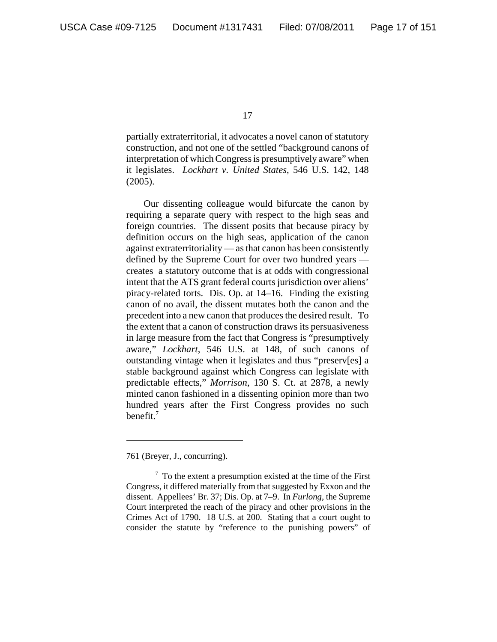partially extraterritorial, it advocates a novel canon of statutory construction, and not one of the settled "background canons of interpretation of which Congress is presumptively aware" when it legislates. *Lockhart v. United States*, 546 U.S. 142, 148 (2005).

Our dissenting colleague would bifurcate the canon by requiring a separate query with respect to the high seas and foreign countries. The dissent posits that because piracy by definition occurs on the high seas, application of the canon against extraterritoriality — as that canon has been consistently defined by the Supreme Court for over two hundred years creates a statutory outcome that is at odds with congressional intent that the ATS grant federal courts jurisdiction over aliens' piracy-related torts. Dis. Op. at 14–16. Finding the existing canon of no avail, the dissent mutates both the canon and the precedent into a new canon that produces the desired result. To the extent that a canon of construction draws its persuasiveness in large measure from the fact that Congress is "presumptively aware," *Lockhart*, 546 U.S. at 148, of such canons of outstanding vintage when it legislates and thus "preserv[es] a stable background against which Congress can legislate with predictable effects," *Morrison*, 130 S. Ct. at 2878, a newly minted canon fashioned in a dissenting opinion more than two hundred years after the First Congress provides no such benefit. $<sup>7</sup>$ </sup>

<sup>761 (</sup>Breyer, J., concurring).

 $7$  To the extent a presumption existed at the time of the First Congress, it differed materially from that suggested by Exxon and the dissent. Appellees' Br. 37; Dis. Op. at 7–9. In *Furlong*, the Supreme Court interpreted the reach of the piracy and other provisions in the Crimes Act of 1790. 18 U.S. at 200. Stating that a court ought to consider the statute by "reference to the punishing powers" of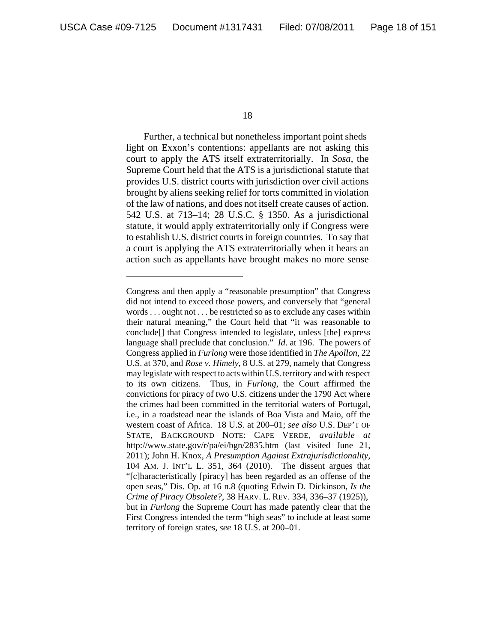Further, a technical but nonetheless important point sheds light on Exxon's contentions: appellants are not asking this court to apply the ATS itself extraterritorially. In *Sosa*, the Supreme Court held that the ATS is a jurisdictional statute that provides U.S. district courts with jurisdiction over civil actions brought by aliens seeking relief for torts committed in violation of the law of nations, and does not itself create causes of action. 542 U.S. at 713–14; 28 U.S.C. § 1350. As a jurisdictional statute, it would apply extraterritorially only if Congress were to establish U.S. district courts in foreign countries. To say that a court is applying the ATS extraterritorially when it hears an action such as appellants have brought makes no more sense

Congress and then apply a "reasonable presumption" that Congress did not intend to exceed those powers, and conversely that "general words . . . ought not . . . be restricted so as to exclude any cases within their natural meaning," the Court held that "it was reasonable to conclude[] that Congress intended to legislate, unless [the] express language shall preclude that conclusion." *Id*. at 196. The powers of Congress applied in *Furlong* were those identified in *The Apollon*, 22 U.S. at 370, and *Rose v. Himely*, 8 U.S. at 279, namely that Congress may legislate with respect to acts within U.S. territory and with respect to its own citizens. Thus, in *Furlong*, the Court affirmed the convictions for piracy of two U.S. citizens under the 1790 Act where the crimes had been committed in the territorial waters of Portugal, i.e., in a roadstead near the islands of Boa Vista and Maio, off the western coast of Africa. 18 U.S. at 200–01; *see also* U.S. DEP'T OF STATE, BACKGROUND NOTE: CAPE VERDE, *available at* http://www.state.gov/r/pa/ei/bgn/2835.htm (last visited June 21, 2011); John H. Knox, *A Presumption Against Extrajurisdictionality*, 104 AM. J. INT'L L. 351, 364 (2010). The dissent argues that "[c]haracteristically [piracy] has been regarded as an offense of the open seas," Dis. Op. at 16 n.8 (quoting Edwin D. Dickinson, *Is the Crime of Piracy Obsolete?*, 38 HARV. L. REV. 334, 336–37 (1925)), but in *Furlong* the Supreme Court has made patently clear that the First Congress intended the term "high seas" to include at least some territory of foreign states, *see* 18 U.S. at 200–01.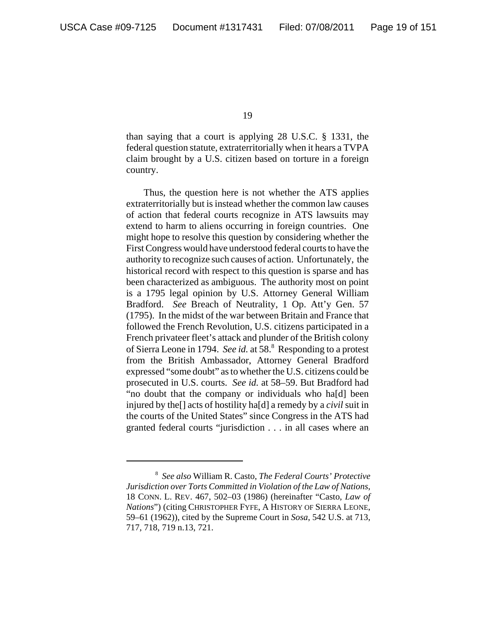than saying that a court is applying 28 U.S.C. § 1331, the federal question statute, extraterritorially when it hears a TVPA claim brought by a U.S. citizen based on torture in a foreign country.

Thus, the question here is not whether the ATS applies extraterritorially but is instead whether the common law causes of action that federal courts recognize in ATS lawsuits may extend to harm to aliens occurring in foreign countries. One might hope to resolve this question by considering whether the First Congress would have understood federal courts to have the authority to recognize such causes of action. Unfortunately, the historical record with respect to this question is sparse and has been characterized as ambiguous. The authority most on point is a 1795 legal opinion by U.S. Attorney General William Bradford. *See* Breach of Neutrality, 1 Op. Att'y Gen. 57 (1795). In the midst of the war between Britain and France that followed the French Revolution, U.S. citizens participated in a French privateer fleet's attack and plunder of the British colony of Sierra Leone in 1794. See id. at 58.<sup>8</sup> Responding to a protest from the British Ambassador, Attorney General Bradford expressed "some doubt" as to whether the U.S. citizens could be prosecuted in U.S. courts. *See id.* at 58–59. But Bradford had "no doubt that the company or individuals who ha[d] been injured by the[] acts of hostility ha[d] a remedy by a *civil* suit in the courts of the United States" since Congress in the ATS had granted federal courts "jurisdiction . . . in all cases where an

<sup>8</sup>  *See also* William R. Casto, *The Federal Courts' Protective Jurisdiction over Torts Committed in Violation of the Law of Nations*, 18 CONN. L. REV. 467, 502–03 (1986) (hereinafter "Casto, *Law of Nations*") (citing CHRISTOPHER FYFE, A HISTORY OF SIERRA LEONE, 59–61 (1962)), cited by the Supreme Court in *Sosa*, 542 U.S. at 713, 717, 718, 719 n.13, 721.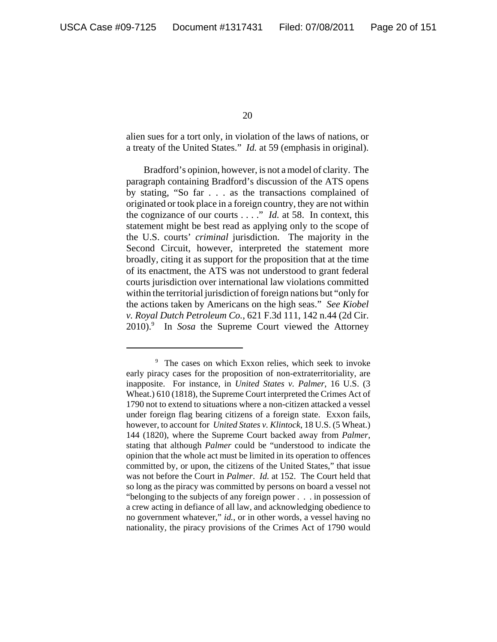alien sues for a tort only, in violation of the laws of nations, or a treaty of the United States." *Id.* at 59 (emphasis in original).

Bradford's opinion, however, is not a model of clarity. The paragraph containing Bradford's discussion of the ATS opens by stating, "So far . . . as the transactions complained of originated or took place in a foreign country, they are not within the cognizance of our courts . . . ." *Id.* at 58. In context, this statement might be best read as applying only to the scope of the U.S. courts' *criminal* jurisdiction. The majority in the Second Circuit, however, interpreted the statement more broadly, citing it as support for the proposition that at the time of its enactment, the ATS was not understood to grant federal courts jurisdiction over international law violations committed within the territorial jurisdiction of foreign nations but "only for the actions taken by Americans on the high seas." *See Kiobel v. Royal Dutch Petroleum Co.*, 621 F.3d 111, 142 n.44 (2d Cir. 2010).9 In *Sosa* the Supreme Court viewed the Attorney

<sup>9</sup> The cases on which Exxon relies, which seek to invoke early piracy cases for the proposition of non-extraterritoriality, are inapposite. For instance, in *United States v. Palmer*, 16 U.S. (3 Wheat.) 610 (1818), the Supreme Court interpreted the Crimes Act of 1790 not to extend to situations where a non-citizen attacked a vessel under foreign flag bearing citizens of a foreign state. Exxon fails, however, to account for *United States v. Klintock*, 18 U.S. (5 Wheat.) 144 (1820), where the Supreme Court backed away from *Palmer*, stating that although *Palmer* could be "understood to indicate the opinion that the whole act must be limited in its operation to offences committed by, or upon, the citizens of the United States," that issue was not before the Court in *Palmer*. *Id.* at 152. The Court held that so long as the piracy was committed by persons on board a vessel not "belonging to the subjects of any foreign power . . . in possession of a crew acting in defiance of all law, and acknowledging obedience to no government whatever," *id.*, or in other words, a vessel having no nationality, the piracy provisions of the Crimes Act of 1790 would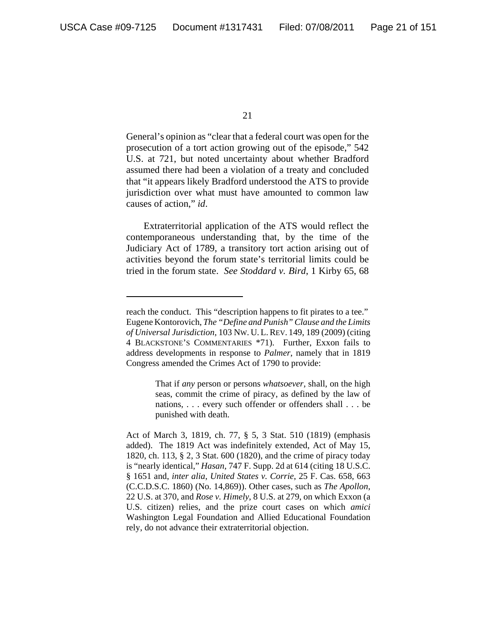General's opinion as "clear that a federal court was open for the prosecution of a tort action growing out of the episode," 542 U.S. at 721, but noted uncertainty about whether Bradford assumed there had been a violation of a treaty and concluded that "it appears likely Bradford understood the ATS to provide jurisdiction over what must have amounted to common law causes of action," *id*.

Extraterritorial application of the ATS would reflect the contemporaneous understanding that, by the time of the Judiciary Act of 1789, a transitory tort action arising out of activities beyond the forum state's territorial limits could be tried in the forum state. *See Stoddard v. Bird*, 1 Kirby 65, 68

That if *any* person or persons *whatsoever*, shall, on the high seas, commit the crime of piracy, as defined by the law of nations, . . . every such offender or offenders shall . . . be punished with death.

reach the conduct. This "description happens to fit pirates to a tee." Eugene Kontorovich, *The "Define and Punish" Clause and the Limits of Universal Jurisdiction*, 103 NW. U. L.REV. 149, 189 (2009) (citing 4 BLACKSTONE'S COMMENTARIES \*71). Further, Exxon fails to address developments in response to *Palmer*, namely that in 1819 Congress amended the Crimes Act of 1790 to provide:

Act of March 3, 1819, ch. 77, § 5, 3 Stat. 510 (1819) (emphasis added). The 1819 Act was indefinitely extended, Act of May 15, 1820, ch. 113, § 2, 3 Stat. 600 (1820), and the crime of piracy today is "nearly identical," *Hasan*, 747 F. Supp. 2d at 614 (citing 18 U.S.C. § 1651 and, *inter alia*, *United States v. Corrie*, 25 F. Cas. 658, 663 (C.C.D.S.C. 1860) (No. 14,869)). Other cases, such as *The Apollon*, 22 U.S. at 370, and *Rose v. Himely*, 8 U.S. at 279, on which Exxon (a U.S. citizen) relies, and the prize court cases on which *amici* Washington Legal Foundation and Allied Educational Foundation rely, do not advance their extraterritorial objection.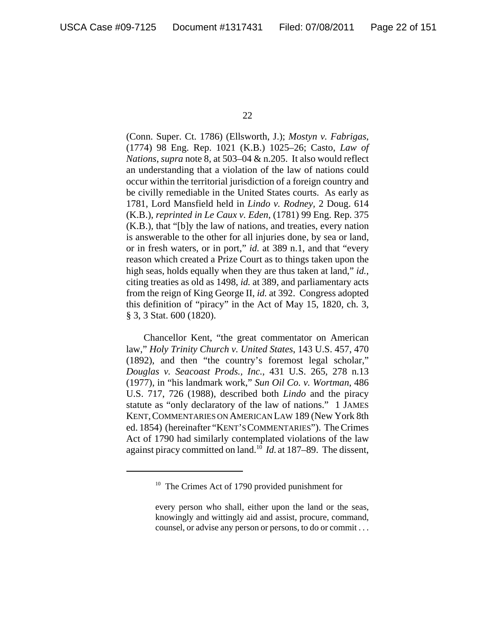(Conn. Super. Ct. 1786) (Ellsworth, J.); *Mostyn v. Fabrigas*, (1774) 98 Eng. Rep. 1021 (K.B.) 1025–26; Casto, *Law of Nations*, *supra* note 8, at 503–04 & n.205. It also would reflect an understanding that a violation of the law of nations could occur within the territorial jurisdiction of a foreign country and be civilly remediable in the United States courts. As early as 1781, Lord Mansfield held in *Lindo v. Rodney,* 2 Doug. 614 (K.B.), *reprinted in Le Caux v. Eden*, (1781) 99 Eng. Rep. 375 (K.B.), that "[b]y the law of nations, and treaties, every nation is answerable to the other for all injuries done, by sea or land, or in fresh waters, or in port," *id.* at 389 n.1, and that "every reason which created a Prize Court as to things taken upon the high seas, holds equally when they are thus taken at land," *id.*, citing treaties as old as 1498, *id.* at 389, and parliamentary acts from the reign of King George II, *id.* at 392. Congress adopted this definition of "piracy" in the Act of May 15, 1820, ch. 3, § 3, 3 Stat. 600 (1820).

Chancellor Kent, "the great commentator on American law," *Holy Trinity Church v. United States*, 143 U.S. 457, 470 (1892), and then "the country's foremost legal scholar," *Douglas v. Seacoast Prods., Inc.*, 431 U.S. 265, 278 n.13 (1977), in "his landmark work," *Sun Oil Co. v. Wortman*, 486 U.S. 717, 726 (1988), described both *Lindo* and the piracy statute as "only declaratory of the law of nations." 1 JAMES KENT,COMMENTARIES ON AMERICAN LAW 189 (New York 8th ed. 1854) (hereinafter "KENT'S COMMENTARIES"). The Crimes Act of 1790 had similarly contemplated violations of the law against piracy committed on land.10 *Id.* at 187–89. The dissent,

<sup>&</sup>lt;sup>10</sup> The Crimes Act of 1790 provided punishment for

every person who shall, either upon the land or the seas, knowingly and wittingly aid and assist, procure, command, counsel, or advise any person or persons, to do or commit . . .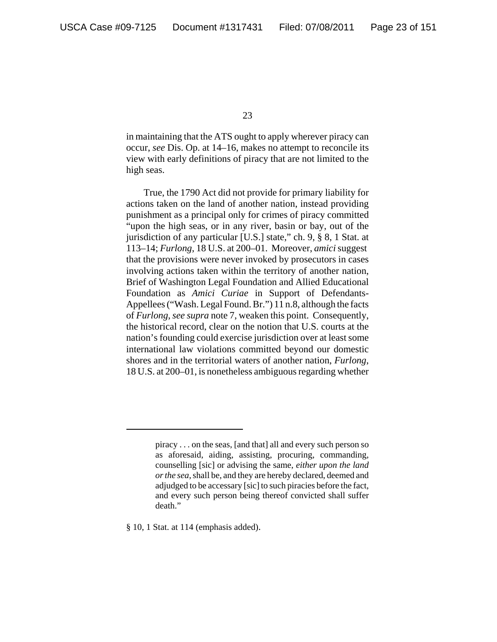in maintaining that the ATS ought to apply wherever piracy can occur, *see* Dis. Op. at 14–16, makes no attempt to reconcile its view with early definitions of piracy that are not limited to the high seas.

True, the 1790 Act did not provide for primary liability for actions taken on the land of another nation, instead providing punishment as a principal only for crimes of piracy committed "upon the high seas, or in any river, basin or bay, out of the jurisdiction of any particular [U.S.] state," ch. 9, § 8, 1 Stat. at 113–14; *Furlong*, 18 U.S. at 200–01. Moreover, *amici* suggest that the provisions were never invoked by prosecutors in cases involving actions taken within the territory of another nation, Brief of Washington Legal Foundation and Allied Educational Foundation as *Amici Curiae* in Support of Defendants-Appellees ("Wash. Legal Found. Br.") 11 n.8, although the facts of *Furlong*, *see supra* note 7, weaken this point. Consequently, the historical record, clear on the notion that U.S. courts at the nation's founding could exercise jurisdiction over at least some international law violations committed beyond our domestic shores and in the territorial waters of another nation, *Furlong*, 18 U.S. at 200–01, is nonetheless ambiguous regarding whether

§ 10, 1 Stat. at 114 (emphasis added).

piracy . . . on the seas, [and that] all and every such person so as aforesaid, aiding, assisting, procuring, commanding, counselling [sic] or advising the same, *either upon the land or the sea*, shall be, and they are hereby declared, deemed and adjudged to be accessary [sic] to such piracies before the fact, and every such person being thereof convicted shall suffer death."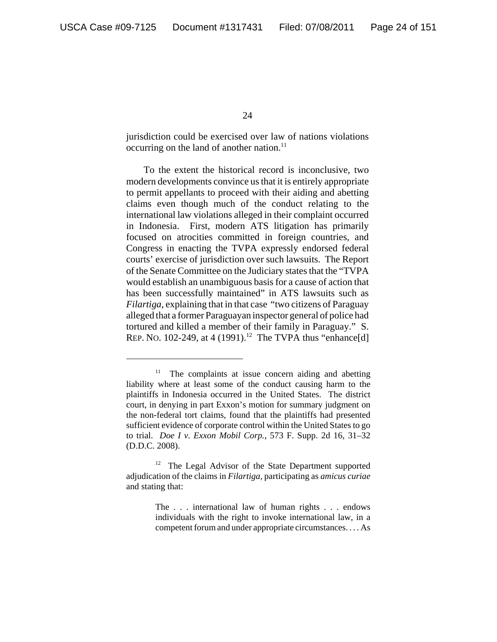jurisdiction could be exercised over law of nations violations occurring on the land of another nation. $^{11}$ 

To the extent the historical record is inconclusive, two modern developments convince us that it is entirely appropriate to permit appellants to proceed with their aiding and abetting claims even though much of the conduct relating to the international law violations alleged in their complaint occurred in Indonesia. First, modern ATS litigation has primarily focused on atrocities committed in foreign countries, and Congress in enacting the TVPA expressly endorsed federal courts' exercise of jurisdiction over such lawsuits. The Report of the Senate Committee on the Judiciary states that the "TVPA would establish an unambiguous basis for a cause of action that has been successfully maintained" in ATS lawsuits such as *Filartiga*, explaining that in that case "two citizens of Paraguay alleged that a former Paraguayan inspector general of police had tortured and killed a member of their family in Paraguay." S. REP. NO. 102-249, at 4 (1991).<sup>12</sup> The TVPA thus "enhance[d]

<sup>&</sup>lt;sup>11</sup> The complaints at issue concern aiding and abetting liability where at least some of the conduct causing harm to the plaintiffs in Indonesia occurred in the United States. The district court, in denying in part Exxon's motion for summary judgment on the non-federal tort claims, found that the plaintiffs had presented sufficient evidence of corporate control within the United States to go to trial. *Doe I v. Exxon Mobil Corp.*, 573 F. Supp. 2d 16, 31–32 (D.D.C. 2008).

 $12$  The Legal Advisor of the State Department supported adjudication of the claims in *Filartiga*, participating as *amicus curiae* and stating that:

The . . . international law of human rights . . . endows individuals with the right to invoke international law, in a competent forum and under appropriate circumstances. . . . As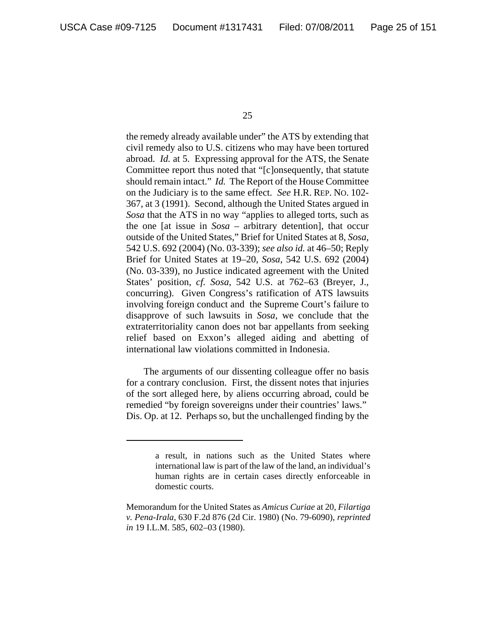the remedy already available under" the ATS by extending that civil remedy also to U.S. citizens who may have been tortured abroad. *Id.* at 5. Expressing approval for the ATS, the Senate Committee report thus noted that "[c]onsequently, that statute should remain intact." *Id.* The Report of the House Committee on the Judiciary is to the same effect. *See* H.R. REP. NO. 102- 367, at 3 (1991). Second, although the United States argued in *Sosa* that the ATS in no way "applies to alleged torts, such as the one [at issue in *Sosa* – arbitrary detention], that occur outside of the United States," Brief for United States at 8, *Sosa*, 542 U.S. 692 (2004) (No. 03-339); *see also id.* at 46–50; Reply Brief for United States at 19–20, *Sosa*, 542 U.S. 692 (2004) (No. 03-339), no Justice indicated agreement with the United States' position, *cf. Sosa*, 542 U.S. at 762–63 (Breyer, J., concurring). Given Congress's ratification of ATS lawsuits involving foreign conduct and the Supreme Court's failure to disapprove of such lawsuits in *Sosa*, we conclude that the extraterritoriality canon does not bar appellants from seeking relief based on Exxon's alleged aiding and abetting of international law violations committed in Indonesia.

The arguments of our dissenting colleague offer no basis for a contrary conclusion. First, the dissent notes that injuries of the sort alleged here, by aliens occurring abroad, could be remedied "by foreign sovereigns under their countries' laws." Dis. Op. at 12. Perhaps so, but the unchallenged finding by the

a result, in nations such as the United States where international law is part of the law of the land, an individual's human rights are in certain cases directly enforceable in domestic courts.

Memorandum for the United States as *Amicus Curiae* at 20, *Filartiga v. Pena-Irala*, 630 F.2d 876 (2d Cir. 1980) (No. 79-6090), *reprinted in* 19 I.L.M. 585, 602–03 (1980).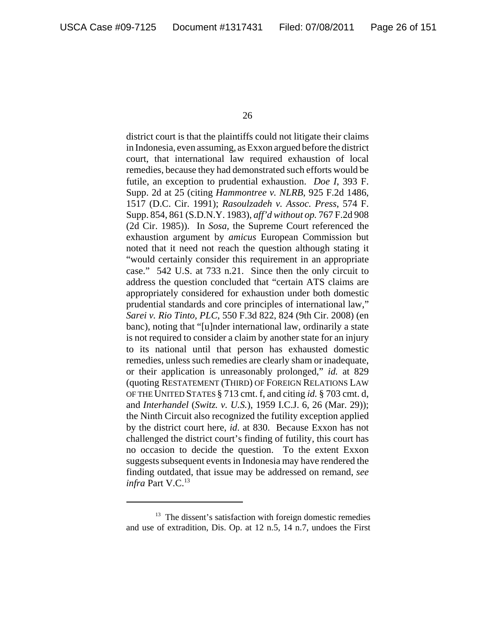district court is that the plaintiffs could not litigate their claims in Indonesia, even assuming, as Exxon argued before the district court, that international law required exhaustion of local remedies, because they had demonstrated such efforts would be futile, an exception to prudential exhaustion. *Doe I*, 393 F. Supp. 2d at 25 (citing *Hammontree v. NLRB*, 925 F.2d 1486, 1517 (D.C. Cir. 1991); *Rasoulzadeh v. Assoc. Press*, 574 F. Supp. 854, 861 (S.D.N.Y. 1983), *aff'd without op.* 767 F.2d 908 (2d Cir. 1985)). In *Sosa,* the Supreme Court referenced the exhaustion argument by *amicus* European Commission but noted that it need not reach the question although stating it "would certainly consider this requirement in an appropriate case." 542 U.S. at 733 n.21. Since then the only circuit to address the question concluded that "certain ATS claims are appropriately considered for exhaustion under both domestic prudential standards and core principles of international law," *Sarei v. Rio Tinto, PLC*, 550 F.3d 822, 824 (9th Cir. 2008) (en banc), noting that "[u]nder international law, ordinarily a state is not required to consider a claim by another state for an injury to its national until that person has exhausted domestic remedies, unless such remedies are clearly sham or inadequate, or their application is unreasonably prolonged," *id.* at 829 (quoting RESTATEMENT (THIRD) OF FOREIGN RELATIONS LAW OF THE UNITED STATES § 713 cmt. f, and citing *id.* § 703 cmt. d, and *Interhandel* (*Switz. v. U.S.*), 1959 I.C.J. 6, 26 (Mar. 29)); the Ninth Circuit also recognized the futility exception applied by the district court here, *id*. at 830. Because Exxon has not challenged the district court's finding of futility, this court has no occasion to decide the question. To the extent Exxon suggests subsequent events in Indonesia may have rendered the finding outdated, that issue may be addressed on remand, *see infra Part V.C.*<sup>13</sup>

<sup>&</sup>lt;sup>13</sup> The dissent's satisfaction with foreign domestic remedies and use of extradition, Dis. Op. at 12 n.5, 14 n.7, undoes the First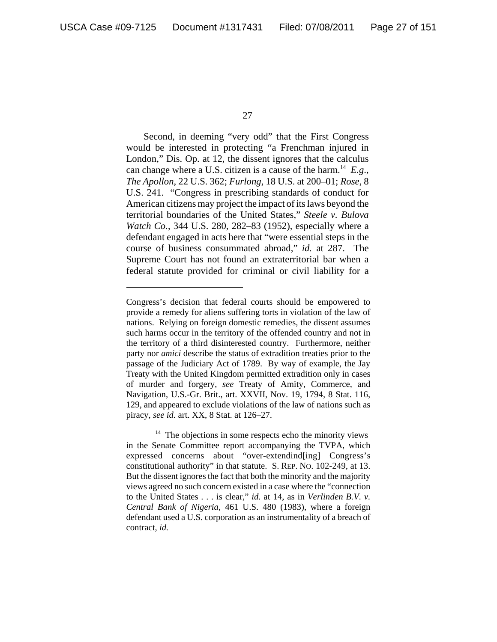Second, in deeming "very odd" that the First Congress would be interested in protecting "a Frenchman injured in London," Dis. Op. at 12, the dissent ignores that the calculus can change where a U.S. citizen is a cause of the harm.<sup>14</sup>  $E.g.,$ *The Apollon*, 22 U.S. 362; *Furlong*, 18 U.S. at 200–01; *Rose*, 8 U.S. 241. "Congress in prescribing standards of conduct for American citizens may project the impact of its laws beyond the territorial boundaries of the United States," *Steele v. Bulova Watch Co.*, 344 U.S. 280, 282–83 (1952), especially where a defendant engaged in acts here that "were essential steps in the course of business consummated abroad," *id.* at 287. The Supreme Court has not found an extraterritorial bar when a federal statute provided for criminal or civil liability for a

Congress's decision that federal courts should be empowered to provide a remedy for aliens suffering torts in violation of the law of nations. Relying on foreign domestic remedies, the dissent assumes such harms occur in the territory of the offended country and not in the territory of a third disinterested country. Furthermore, neither party nor *amici* describe the status of extradition treaties prior to the passage of the Judiciary Act of 1789. By way of example, the Jay Treaty with the United Kingdom permitted extradition only in cases of murder and forgery, *see* Treaty of Amity, Commerce, and Navigation, U.S.-Gr. Brit., art. XXVII, Nov. 19, 1794, 8 Stat. 116, 129, and appeared to exclude violations of the law of nations such as piracy, *see id.* art. XX, 8 Stat. at 126–27.

 $14$  The objections in some respects echo the minority views in the Senate Committee report accompanying the TVPA, which expressed concerns about "over-extendind[ing] Congress's constitutional authority" in that statute. S. REP. NO. 102-249, at 13. But the dissent ignores the fact that both the minority and the majority views agreed no such concern existed in a case where the "connection to the United States . . . is clear," *id.* at 14, as in *Verlinden B.V. v. Central Bank of Nigeria*, 461 U.S. 480 (1983), where a foreign defendant used a U.S. corporation as an instrumentality of a breach of contract, *id.*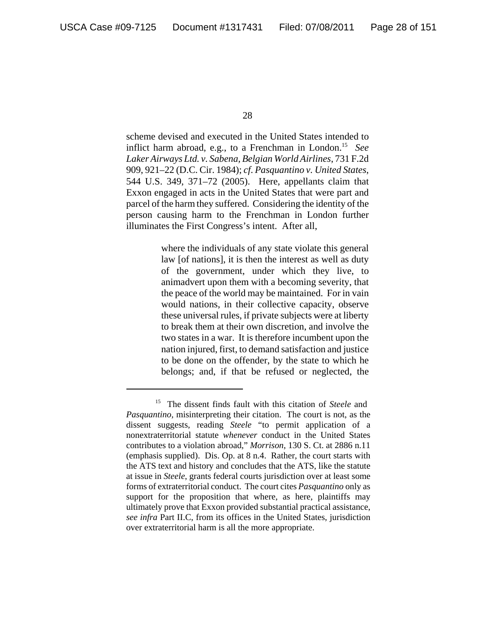scheme devised and executed in the United States intended to inflict harm abroad, e.g., to a Frenchman in London.15 *See Laker Airways Ltd. v. Sabena, Belgian World Airlines*, 731 F.2d 909, 921–22 (D.C. Cir. 1984); *cf*. *Pasquantino v. United States*, 544 U.S. 349, 371–72 (2005). Here, appellants claim that Exxon engaged in acts in the United States that were part and parcel of the harm they suffered. Considering the identity of the person causing harm to the Frenchman in London further illuminates the First Congress's intent. After all,

> where the individuals of any state violate this general law [of nations], it is then the interest as well as duty of the government, under which they live, to animadvert upon them with a becoming severity, that the peace of the world may be maintained. For in vain would nations, in their collective capacity, observe these universal rules, if private subjects were at liberty to break them at their own discretion, and involve the two states in a war. It is therefore incumbent upon the nation injured, first, to demand satisfaction and justice to be done on the offender, by the state to which he belongs; and, if that be refused or neglected, the

<sup>15</sup> The dissent finds fault with this citation of *Steele* and *Pasquantino,* misinterpreting their citation. The court is not, as the dissent suggests, reading *Steele* "to permit application of a nonextraterritorial statute *whenever* conduct in the United States contributes to a violation abroad," *Morrison*, 130 S. Ct. at 2886 n.11 (emphasis supplied). Dis. Op. at 8 n.4. Rather, the court starts with the ATS text and history and concludes that the ATS, like the statute at issue in *Steele*, grants federal courts jurisdiction over at least some forms of extraterritorial conduct. The court cites *Pasquantino* only as support for the proposition that where, as here, plaintiffs may ultimately prove that Exxon provided substantial practical assistance, *see infra* Part II.C, from its offices in the United States, jurisdiction over extraterritorial harm is all the more appropriate.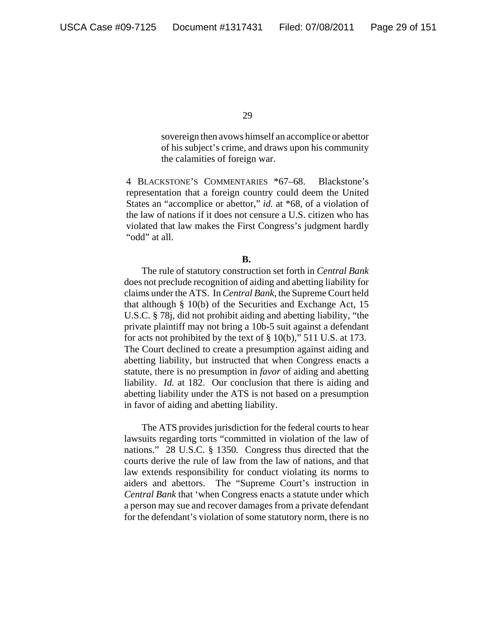sovereign then avows himself an accomplice or abettor of his subject's crime, and draws upon his community the calamities of foreign war.

4 BLACKSTONE'S COMMENTARIES \*67–68. Blackstone's representation that a foreign country could deem the United States an "accomplice or abettor," *id.* at \*68, of a violation of the law of nations if it does not censure a U.S. citizen who has violated that law makes the First Congress's judgment hardly "odd" at all.

#### **B.**

The rule of statutory construction set forth in *Central Bank* does not preclude recognition of aiding and abetting liability for claims under the ATS. In *Central Bank*, the Supreme Court held that although § 10(b) of the Securities and Exchange Act, 15 U.S.C. § 78j, did not prohibit aiding and abetting liability, "the private plaintiff may not bring a 10b-5 suit against a defendant for acts not prohibited by the text of § 10(b)," 511 U.S. at 173. The Court declined to create a presumption against aiding and abetting liability, but instructed that when Congress enacts a statute, there is no presumption in *favor* of aiding and abetting liability. *Id.* at 182. Our conclusion that there is aiding and abetting liability under the ATS is not based on a presumption in favor of aiding and abetting liability.

The ATS provides jurisdiction for the federal courts to hear lawsuits regarding torts "committed in violation of the law of nations." 28 U.S.C. § 1350. Congress thus directed that the courts derive the rule of law from the law of nations, and that law extends responsibility for conduct violating its norms to aiders and abettors. The "Supreme Court's instruction in *Central Bank* that 'when Congress enacts a statute under which a person may sue and recover damages from a private defendant for the defendant's violation of some statutory norm, there is no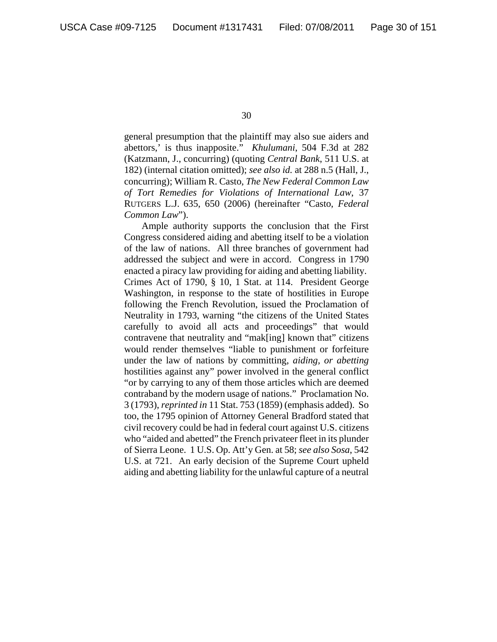general presumption that the plaintiff may also sue aiders and abettors,' is thus inapposite." *Khulumani*, 504 F.3d at 282 (Katzmann, J., concurring) (quoting *Central Bank*, 511 U.S. at 182) (internal citation omitted); *see also id.* at 288 n.5 (Hall, J., concurring); William R. Casto, *The New Federal Common Law of Tort Remedies for Violations of International Law*, 37 RUTGERS L.J. 635, 650 (2006) (hereinafter "Casto, *Federal Common Law*").

Ample authority supports the conclusion that the First Congress considered aiding and abetting itself to be a violation of the law of nations. All three branches of government had addressed the subject and were in accord. Congress in 1790 enacted a piracy law providing for aiding and abetting liability. Crimes Act of 1790, § 10, 1 Stat. at 114. President George Washington, in response to the state of hostilities in Europe following the French Revolution, issued the Proclamation of Neutrality in 1793, warning "the citizens of the United States carefully to avoid all acts and proceedings" that would contravene that neutrality and "mak[ing] known that" citizens would render themselves "liable to punishment or forfeiture under the law of nations by committing, *aiding, or abetting* hostilities against any" power involved in the general conflict "or by carrying to any of them those articles which are deemed contraband by the modern usage of nations." Proclamation No. 3 (1793), *reprinted in* 11 Stat. 753 (1859) (emphasis added). So too, the 1795 opinion of Attorney General Bradford stated that civil recovery could be had in federal court against U.S. citizens who "aided and abetted" the French privateer fleet in its plunder of Sierra Leone. 1 U.S. Op. Att'y Gen. at 58; *see also Sosa*, 542 U.S. at 721. An early decision of the Supreme Court upheld aiding and abetting liability for the unlawful capture of a neutral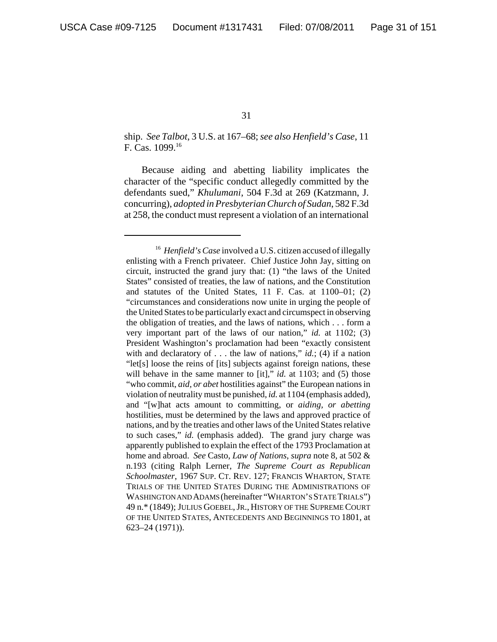ship. *See Talbot*, 3 U.S. at 167–68; *see also Henfield's Case*, 11 F. Cas. 1099.16

Because aiding and abetting liability implicates the character of the "specific conduct allegedly committed by the defendants sued," *Khulumani*, 504 F.3d at 269 (Katzmann, J. concurring), *adopted in Presbyterian Church of Sudan*, 582 F.3d at 258, the conduct must represent a violation of an international

<sup>&</sup>lt;sup>16</sup> *Henfield's Case* involved a U.S. citizen accused of illegally enlisting with a French privateer. Chief Justice John Jay, sitting on circuit, instructed the grand jury that: (1) "the laws of the United States" consisted of treaties, the law of nations, and the Constitution and statutes of the United States, 11 F. Cas. at 1100–01; (2) "circumstances and considerations now unite in urging the people of the United States to be particularly exact and circumspect in observing the obligation of treaties, and the laws of nations, which . . . form a very important part of the laws of our nation," *id.* at 1102; (3) President Washington's proclamation had been "exactly consistent with and declaratory of  $\dots$  the law of nations," *id.*; (4) if a nation "let[s] loose the reins of [its] subjects against foreign nations, these will behave in the same manner to [it]," *id.* at 1103; and (5) those "who commit, *aid, or abet* hostilities against" the European nations in violation of neutrality must be punished, *id.* at 1104 (emphasis added), and "[w]hat acts amount to committing, or *aiding, or abetting* hostilities, must be determined by the laws and approved practice of nations, and by the treaties and other laws of the United States relative to such cases," *id.* (emphasis added). The grand jury charge was apparently published to explain the effect of the 1793 Proclamation at home and abroad. *See* Casto, *Law of Nations*, *supra* note 8, at 502 & n.193 (citing Ralph Lerner, *The Supreme Court as Republican Schoolmaster*, 1967 SUP. CT. REV. 127; FRANCIS WHARTON, STATE TRIALS OF THE UNITED STATES DURING THE ADMINISTRATIONS OF WASHINGTON AND ADAMS (hereinafter "WHARTON'S STATE TRIALS") 49 n.\* (1849); JULIUS GOEBEL,JR., HISTORY OF THE SUPREME COURT OF THE UNITED STATES, ANTECEDENTS AND BEGINNINGS TO 1801, at 623–24 (1971)).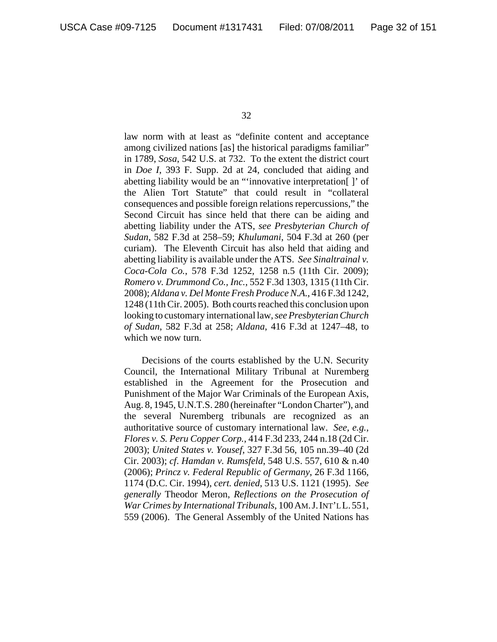law norm with at least as "definite content and acceptance among civilized nations [as] the historical paradigms familiar" in 1789, *Sosa*, 542 U.S. at 732. To the extent the district court in *Doe I*, 393 F. Supp. 2d at 24, concluded that aiding and abetting liability would be an "'innovative interpretation[ ]' of the Alien Tort Statute" that could result in "collateral consequences and possible foreign relations repercussions," the Second Circuit has since held that there can be aiding and abetting liability under the ATS, *see Presbyterian Church of Sudan*, 582 F.3d at 258–59; *Khulumani*, 504 F.3d at 260 (per curiam). The Eleventh Circuit has also held that aiding and abetting liability is available under the ATS. *See Sinaltrainal v. Coca-Cola Co.*, 578 F.3d 1252, 1258 n.5 (11th Cir. 2009); *Romero v. Drummond Co., Inc.*, 552 F.3d 1303, 1315 (11th Cir. 2008); *Aldana v. Del Monte Fresh Produce N.A.*, 416 F.3d 1242, 1248 (11th Cir. 2005). Both courts reached this conclusion upon looking to customary international law, *seePresbyterian Church of Sudan*, 582 F.3d at 258; *Aldana*, 416 F.3d at 1247–48, to which we now turn.

Decisions of the courts established by the U.N. Security Council, the International Military Tribunal at Nuremberg established in the Agreement for the Prosecution and Punishment of the Major War Criminals of the European Axis, Aug. 8, 1945, U.N.T.S. 280 (hereinafter "London Charter"), and the several Nuremberg tribunals are recognized as an authoritative source of customary international law. *See, e.g.*, *Flores v. S. Peru Copper Corp.*, 414 F.3d 233, 244 n.18 (2d Cir. 2003); *United States v. Yousef*, 327 F.3d 56, 105 nn.39–40 (2d Cir. 2003); *cf*. *Hamdan v. Rumsfeld*, 548 U.S. 557, 610 & n.40 (2006); *Princz v. Federal Republic of Germany*, 26 F.3d 1166, 1174 (D.C. Cir. 1994), *cert. denied*, 513 U.S. 1121 (1995). *See generally* Theodor Meron, *Reflections on the Prosecution of War Crimes by International Tribunals*, 100AM.J.INT'L L.551, 559 (2006). The General Assembly of the United Nations has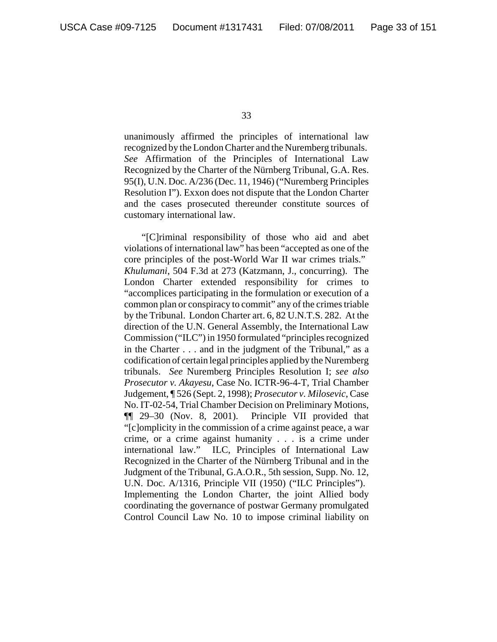unanimously affirmed the principles of international law recognized by the London Charter and the Nuremberg tribunals. *See* Affirmation of the Principles of International Law Recognized by the Charter of the Nürnberg Tribunal, G.A. Res. 95(I), U.N. Doc. A/236 (Dec. 11, 1946) ("Nuremberg Principles Resolution I"). Exxon does not dispute that the London Charter and the cases prosecuted thereunder constitute sources of customary international law.

"[C]riminal responsibility of those who aid and abet violations of international law" has been "accepted as one of the core principles of the post-World War II war crimes trials." *Khulumani*, 504 F.3d at 273 (Katzmann, J., concurring). The London Charter extended responsibility for crimes to "accomplices participating in the formulation or execution of a common plan or conspiracy to commit" any of the crimes triable by the Tribunal. London Charter art. 6, 82 U.N.T.S. 282. At the direction of the U.N. General Assembly, the International Law Commission ("ILC") in 1950 formulated "principles recognized in the Charter . . . and in the judgment of the Tribunal," as a codification of certain legal principles applied by the Nuremberg tribunals. *See* Nuremberg Principles Resolution I; *see also Prosecutor v. Akayesu*, Case No. ICTR-96-4-T, Trial Chamber Judgement, ¶ 526 (Sept. 2, 1998); *Prosecutor v. Milosevic*, Case No. IT-02-54, Trial Chamber Decision on Preliminary Motions, ¶¶ 29–30 (Nov. 8, 2001). Principle VII provided that "[c]omplicity in the commission of a crime against peace, a war crime, or a crime against humanity . . . is a crime under international law." ILC, Principles of International Law Recognized in the Charter of the Nürnberg Tribunal and in the Judgment of the Tribunal, G.A.O.R., 5th session, Supp. No. 12, U.N. Doc. A/1316, Principle VII (1950) ("ILC Principles"). Implementing the London Charter, the joint Allied body coordinating the governance of postwar Germany promulgated Control Council Law No. 10 to impose criminal liability on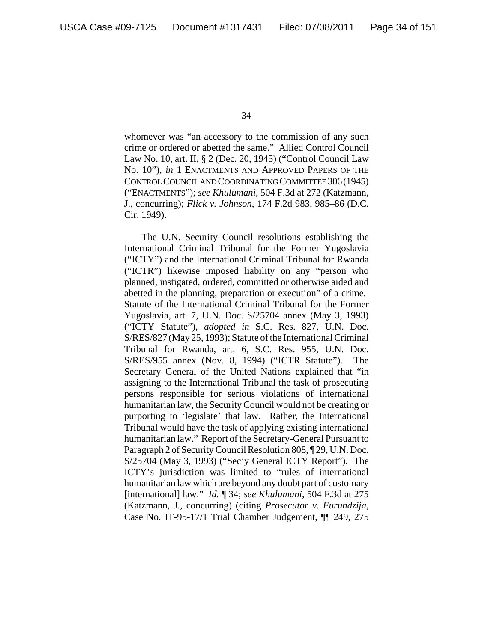whomever was "an accessory to the commission of any such crime or ordered or abetted the same." Allied Control Council Law No. 10, art. II, § 2 (Dec. 20, 1945) ("Control Council Law No. 10")*, in* 1 ENACTMENTS AND APPROVED PAPERS OF THE CONTROL COUNCIL AND COORDINATING COMMITTEE 306(1945) ("ENACTMENTS"); *see Khulumani*, 504 F.3d at 272 (Katzmann, J., concurring); *Flick v. Johnson*, 174 F.2d 983, 985–86 (D.C. Cir. 1949).

The U.N. Security Council resolutions establishing the International Criminal Tribunal for the Former Yugoslavia ("ICTY") and the International Criminal Tribunal for Rwanda ("ICTR") likewise imposed liability on any "person who planned, instigated, ordered, committed or otherwise aided and abetted in the planning, preparation or execution" of a crime. Statute of the International Criminal Tribunal for the Former Yugoslavia, art. 7, U.N. Doc. S/25704 annex (May 3, 1993) ("ICTY Statute"), *adopted in* S.C. Res. 827, U.N. Doc. S/RES/827 (May 25, 1993); Statute of the International Criminal Tribunal for Rwanda, art. 6, S.C. Res. 955, U.N. Doc. S/RES/955 annex (Nov. 8, 1994) ("ICTR Statute"). The Secretary General of the United Nations explained that "in assigning to the International Tribunal the task of prosecuting persons responsible for serious violations of international humanitarian law, the Security Council would not be creating or purporting to 'legislate' that law. Rather, the International Tribunal would have the task of applying existing international humanitarian law." Report of the Secretary-General Pursuant to Paragraph 2 of Security Council Resolution 808, ¶ 29, U.N. Doc. S/25704 (May 3, 1993) ("Sec'y General ICTY Report"). The ICTY's jurisdiction was limited to "rules of international humanitarian law which are beyond any doubt part of customary [international] law." *Id.* ¶ 34; *see Khulumani*, 504 F.3d at 275 (Katzmann, J., concurring) (citing *Prosecutor v. Furundzija*, Case No. IT-95-17/1 Trial Chamber Judgement, ¶¶ 249, 275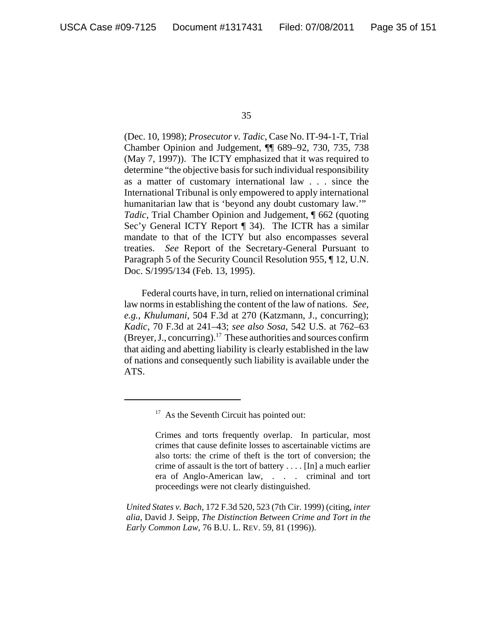(Dec. 10, 1998); *Prosecutor v. Tadic*, Case No. IT-94-1-T, Trial Chamber Opinion and Judgement, ¶¶ 689–92, 730, 735, 738 (May 7, 1997)). The ICTY emphasized that it was required to determine "the objective basis for such individual responsibility as a matter of customary international law . . . since the International Tribunal is only empowered to apply international humanitarian law that is 'beyond any doubt customary law.'" *Tadic*, Trial Chamber Opinion and Judgement, ¶ 662 (quoting Sec'y General ICTY Report ¶ 34). The ICTR has a similar mandate to that of the ICTY but also encompasses several treaties. *See* Report of the Secretary-General Pursuant to Paragraph 5 of the Security Council Resolution 955, ¶ 12, U.N. Doc. S/1995/134 (Feb. 13, 1995).

Federal courts have, in turn, relied on international criminal law norms in establishing the content of the law of nations. *See, e.g.*, *Khulumani*, 504 F.3d at 270 (Katzmann, J., concurring); *Kadic*, 70 F.3d at 241–43; *see also Sosa*, 542 U.S. at 762–63 (Breyer, J., concurring).<sup>17</sup> These authorities and sources confirm that aiding and abetting liability is clearly established in the law of nations and consequently such liability is available under the ATS.

 $17$  As the Seventh Circuit has pointed out:

Crimes and torts frequently overlap. In particular, most crimes that cause definite losses to ascertainable victims are also torts: the crime of theft is the tort of conversion; the crime of assault is the tort of battery . . . . [In] a much earlier era of Anglo-American law, . . . criminal and tort proceedings were not clearly distinguished.

*United States v. Bach*, 172 F.3d 520, 523 (7th Cir. 1999) (citing, *inter alia*, David J. Seipp, *The Distinction Between Crime and Tort in the Early Common Law*, 76 B.U. L. REV. 59, 81 (1996)).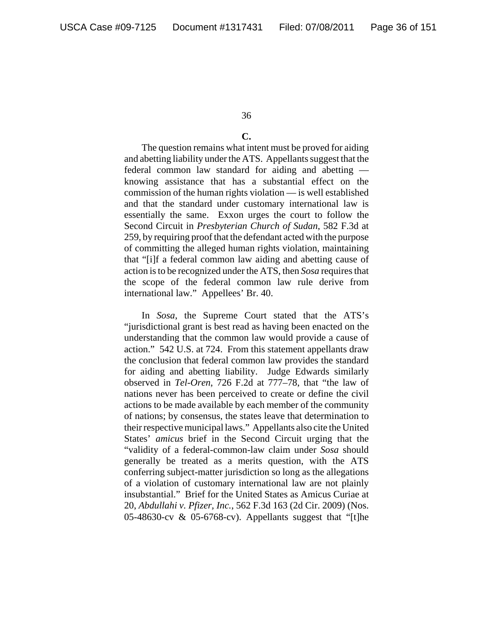#### **C.**

The question remains what intent must be proved for aiding and abetting liability under the ATS. Appellants suggest that the federal common law standard for aiding and abetting knowing assistance that has a substantial effect on the commission of the human rights violation — is well established and that the standard under customary international law is essentially the same. Exxon urges the court to follow the Second Circuit in *Presbyterian Church of Sudan*, 582 F.3d at 259, by requiring proof that the defendant acted with the purpose of committing the alleged human rights violation, maintaining that "[i]f a federal common law aiding and abetting cause of action is to be recognized under the ATS, then *Sosa* requires that the scope of the federal common law rule derive from international law." Appellees' Br. 40.

In *Sosa*, the Supreme Court stated that the ATS's "jurisdictional grant is best read as having been enacted on the understanding that the common law would provide a cause of action." 542 U.S. at 724. From this statement appellants draw the conclusion that federal common law provides the standard for aiding and abetting liability. Judge Edwards similarly observed in *Tel-Oren*, 726 F.2d at 777–78, that "the law of nations never has been perceived to create or define the civil actions to be made available by each member of the community of nations; by consensus, the states leave that determination to their respective municipal laws." Appellants also cite the United States' *amicus* brief in the Second Circuit urging that the "validity of a federal-common-law claim under *Sosa* should generally be treated as a merits question, with the ATS conferring subject-matter jurisdiction so long as the allegations of a violation of customary international law are not plainly insubstantial." Brief for the United States as Amicus Curiae at 20, *Abdullahi v. Pfizer, Inc.*, 562 F.3d 163 (2d Cir. 2009) (Nos. 05-48630-cv & 05-6768-cv). Appellants suggest that "[t]he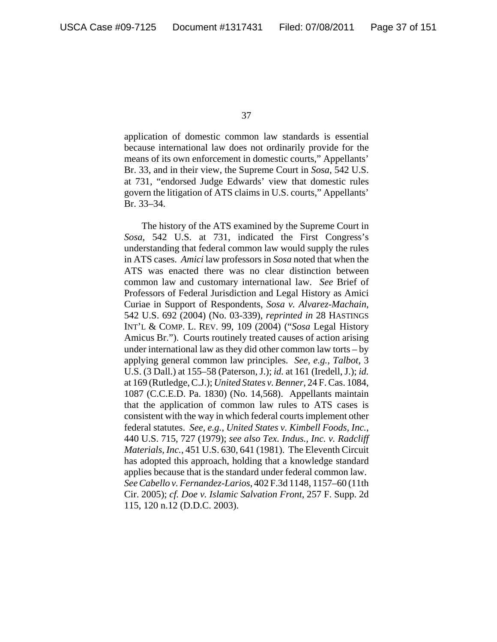application of domestic common law standards is essential because international law does not ordinarily provide for the means of its own enforcement in domestic courts," Appellants' Br. 33, and in their view, the Supreme Court in *Sosa*, 542 U.S. at 731, "endorsed Judge Edwards' view that domestic rules govern the litigation of ATS claims in U.S. courts," Appellants' Br. 33–34.

The history of the ATS examined by the Supreme Court in *Sosa*, 542 U.S. at 731, indicated the First Congress's understanding that federal common law would supply the rules in ATS cases. *Amici* law professors in *Sosa* noted that when the ATS was enacted there was no clear distinction between common law and customary international law. *See* Brief of Professors of Federal Jurisdiction and Legal History as Amici Curiae in Support of Respondents, *Sosa v. Alvarez-Machain*, 542 U.S. 692 (2004) (No. 03-339), *reprinted in* 28 HASTINGS INT'L & COMP. L. REV. 99, 109 (2004) ("*Sosa* Legal History Amicus Br."). Courts routinely treated causes of action arising under international law as they did other common law torts – by applying general common law principles. *See, e.g.*, *Talbot*, 3 U.S. (3 Dall.) at 155–58 (Paterson, J.); *id.* at 161 (Iredell, J.); *id.* at 169 (Rutledge, C.J.); *United States v. Benner*, 24 F. Cas. 1084, 1087 (C.C.E.D. Pa. 1830) (No. 14,568). Appellants maintain that the application of common law rules to ATS cases is consistent with the way in which federal courts implement other federal statutes. *See, e.g.*, *United States v. Kimbell Foods, Inc.*, 440 U.S. 715, 727 (1979); *see also Tex. Indus., Inc. v. Radcliff Materials, Inc.*, 451 U.S. 630, 641 (1981). The Eleventh Circuit has adopted this approach, holding that a knowledge standard applies because that is the standard under federal common law. *See Cabello v. Fernandez-Larios*, 402 F.3d 1148, 1157–60 (11th Cir. 2005); *cf. Doe v. Islamic Salvation Front*, 257 F. Supp. 2d 115, 120 n.12 (D.D.C. 2003).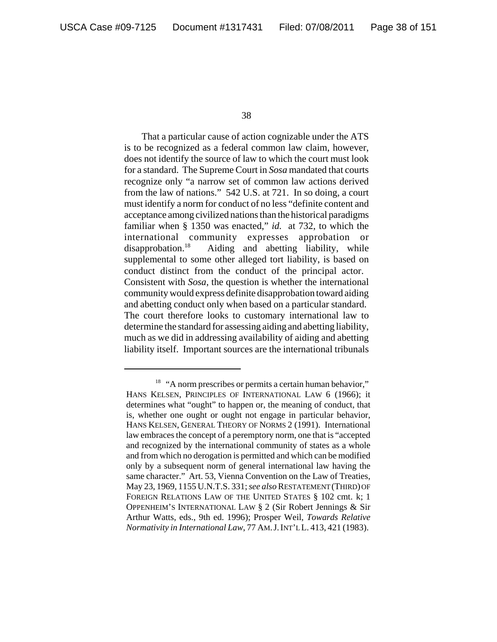That a particular cause of action cognizable under the ATS is to be recognized as a federal common law claim, however, does not identify the source of law to which the court must look for a standard. The Supreme Court in *Sosa* mandated that courts recognize only "a narrow set of common law actions derived from the law of nations." 542 U.S. at 721. In so doing, a court must identify a norm for conduct of no less "definite content and acceptance among civilized nations than the historical paradigms familiar when § 1350 was enacted," *id.* at 732, to which the international community expresses approbation or disapprobation.<sup>18</sup> Aiding and abetting liability, while supplemental to some other alleged tort liability, is based on conduct distinct from the conduct of the principal actor. Consistent with *Sosa*, the question is whether the international community would express definite disapprobation toward aiding and abetting conduct only when based on a particular standard. The court therefore looks to customary international law to determine the standard for assessing aiding and abetting liability, much as we did in addressing availability of aiding and abetting liability itself. Important sources are the international tribunals

<sup>&</sup>lt;sup>18</sup> "A norm prescribes or permits a certain human behavior," HANS KELSEN, PRINCIPLES OF INTERNATIONAL LAW 6 (1966); it determines what "ought" to happen or, the meaning of conduct, that is, whether one ought or ought not engage in particular behavior, HANS KELSEN, GENERAL THEORY OF NORMS 2 (1991). International law embraces the concept of a peremptory norm, one that is "accepted and recognized by the international community of states as a whole and from which no derogation is permitted and which can be modified only by a subsequent norm of general international law having the same character." Art. 53, Vienna Convention on the Law of Treaties, May 23, 1969, 1155 U.N.T.S. 331; *see also* RESTATEMENT (THIRD) OF FOREIGN RELATIONS LAW OF THE UNITED STATES § 102 cmt. k; 1 OPPENHEIM'S INTERNATIONAL LAW § 2 (Sir Robert Jennings & Sir Arthur Watts, eds., 9th ed. 1996); Prosper Weil, *Towards Relative Normativity in International Law, 77 AM. J. INT'LL.* 413, 421 (1983).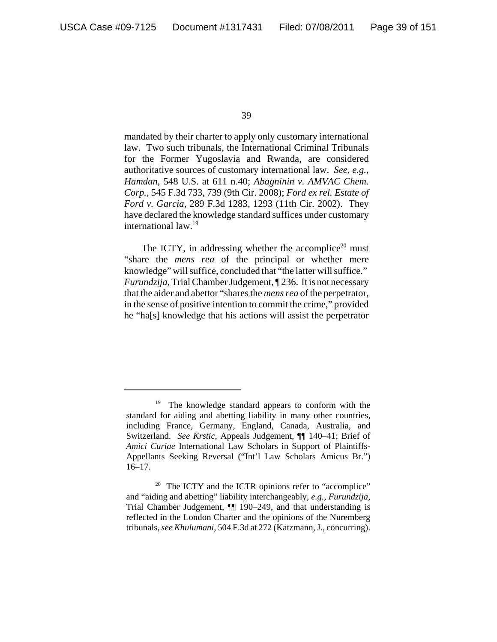mandated by their charter to apply only customary international law. Two such tribunals, the International Criminal Tribunals for the Former Yugoslavia and Rwanda, are considered authoritative sources of customary international law. *See, e.g.*, *Hamdan*, 548 U.S. at 611 n.40; *Abagninin v. AMVAC Chem. Corp.*, 545 F.3d 733, 739 (9th Cir. 2008); *Ford ex rel. Estate of Ford v. Garcia*, 289 F.3d 1283, 1293 (11th Cir. 2002). They have declared the knowledge standard suffices under customary international law.19

The ICTY, in addressing whether the accomplice<sup>20</sup> must "share the *mens rea* of the principal or whether mere knowledge" will suffice, concluded that "the latter will suffice." *Furundzija*, Trial Chamber Judgement, ¶ 236. It is not necessary that the aider and abettor "shares the *mens rea* of the perpetrator, in the sense of positive intention to commit the crime," provided he "ha[s] knowledge that his actions will assist the perpetrator

<sup>&</sup>lt;sup>19</sup> The knowledge standard appears to conform with the standard for aiding and abetting liability in many other countries, including France, Germany, England, Canada, Australia, and Switzerland. *See Krstic*, Appeals Judgement, ¶¶ 140–41; Brief of *Amici Curiae* International Law Scholars in Support of Plaintiffs-Appellants Seeking Reversal ("Int'l Law Scholars Amicus Br.") 16–17.

<sup>&</sup>lt;sup>20</sup> The ICTY and the ICTR opinions refer to "accomplice" and "aiding and abetting" liability interchangeably, *e.g.*, *Furundzija*, Trial Chamber Judgement, ¶¶ 190–249, and that understanding is reflected in the London Charter and the opinions of the Nuremberg tribunals, *see Khulumani*, 504 F.3d at 272 (Katzmann, J., concurring).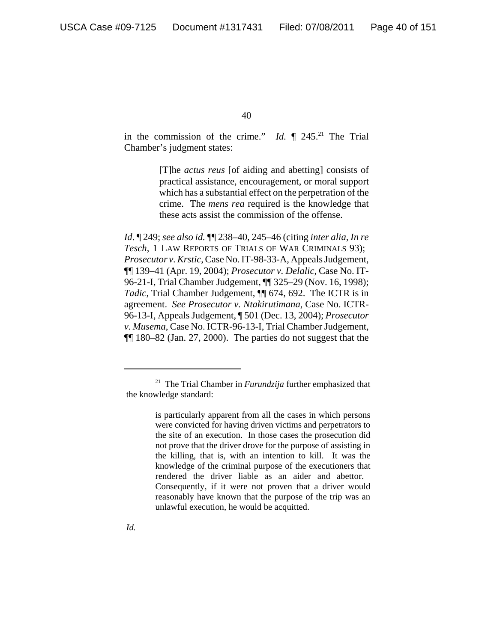in the commission of the crime." *Id.*  $\P$  245.<sup>21</sup> The Trial Chamber's judgment states:

> [T]he *actus reus* [of aiding and abetting] consists of practical assistance, encouragement, or moral support which has a substantial effect on the perpetration of the crime. The *mens rea* required is the knowledge that these acts assist the commission of the offense.

*Id*. ¶ 249; *see also id.* ¶¶ 238–40, 245–46 (citing *inter alia*, *In re Tesch*, 1 LAW REPORTS OF TRIALS OF WAR CRIMINALS 93); *Prosecutor v. Krstic*, Case No. IT-98-33-A, Appeals Judgement, ¶¶ 139–41 (Apr. 19, 2004); *Prosecutor v. Delalic*, Case No. IT-96-21-I, Trial Chamber Judgement, ¶¶ 325–29 (Nov. 16, 1998); *Tadic*, Trial Chamber Judgement, ¶¶ 674, 692. The ICTR is in agreement. *See Prosecutor v. Ntakirutimana*, Case No. ICTR-96-13-I, Appeals Judgement, ¶ 501 (Dec. 13, 2004); *Prosecutor v. Musema*, Case No. ICTR-96-13-I, Trial Chamber Judgement, ¶¶ 180–82 (Jan. 27, 2000). The parties do not suggest that the

<sup>21</sup> The Trial Chamber in *Furundzija* further emphasized that the knowledge standard:

is particularly apparent from all the cases in which persons were convicted for having driven victims and perpetrators to the site of an execution. In those cases the prosecution did not prove that the driver drove for the purpose of assisting in the killing, that is, with an intention to kill. It was the knowledge of the criminal purpose of the executioners that rendered the driver liable as an aider and abettor. Consequently, if it were not proven that a driver would reasonably have known that the purpose of the trip was an unlawful execution, he would be acquitted.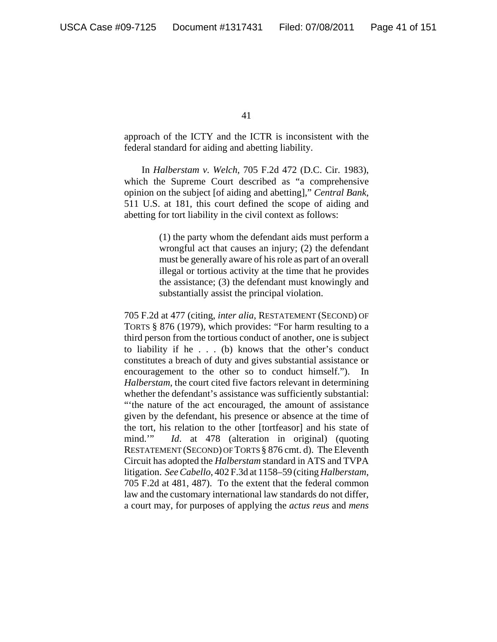approach of the ICTY and the ICTR is inconsistent with the federal standard for aiding and abetting liability.

In *Halberstam v. Welch*, 705 F.2d 472 (D.C. Cir. 1983), which the Supreme Court described as "a comprehensive opinion on the subject [of aiding and abetting]," *Central Bank*, 511 U.S. at 181, this court defined the scope of aiding and abetting for tort liability in the civil context as follows:

> (1) the party whom the defendant aids must perform a wrongful act that causes an injury; (2) the defendant must be generally aware of his role as part of an overall illegal or tortious activity at the time that he provides the assistance; (3) the defendant must knowingly and substantially assist the principal violation.

705 F.2d at 477 (citing, *inter alia*, RESTATEMENT (SECOND) OF TORTS § 876 (1979), which provides: "For harm resulting to a third person from the tortious conduct of another, one is subject to liability if he . . . (b) knows that the other's conduct constitutes a breach of duty and gives substantial assistance or encouragement to the other so to conduct himself."). In *Halberstam*, the court cited five factors relevant in determining whether the defendant's assistance was sufficiently substantial: "'the nature of the act encouraged, the amount of assistance given by the defendant, his presence or absence at the time of the tort, his relation to the other [tortfeasor] and his state of mind.'" *Id*. at 478 (alteration in original) (quoting RESTATEMENT (SECOND) OF TORTS § 876 cmt. d). The Eleventh Circuit has adopted the *Halberstam* standard in ATS and TVPA litigation. *See Cabello*, 402 F.3d at 1158–59 (citing *Halberstam*, 705 F.2d at 481, 487). To the extent that the federal common law and the customary international law standards do not differ, a court may, for purposes of applying the *actus reus* and *mens*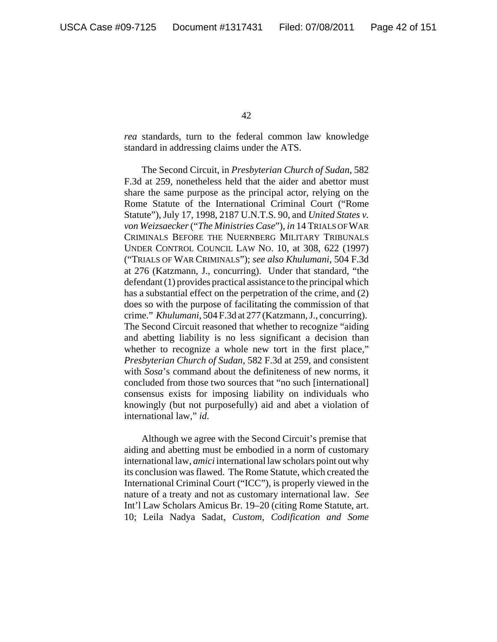*rea* standards, turn to the federal common law knowledge standard in addressing claims under the ATS.

The Second Circuit, in *Presbyterian Church of Sudan*, 582 F.3d at 259, nonetheless held that the aider and abettor must share the same purpose as the principal actor, relying on the Rome Statute of the International Criminal Court ("Rome Statute"), July 17, 1998, 2187 U.N.T.S. 90, and *United States v. von Weizsaecker* ("*The Ministries Case*"), *in* 14 TRIALS OF WAR CRIMINALS BEFORE THE NUERNBERG MILITARY TRIBUNALS UNDER CONTROL COUNCIL LAW NO. 10, at 308, 622 (1997) ("TRIALS OF WAR CRIMINALS"); *see also Khulumani*, 504 F.3d at 276 (Katzmann, J., concurring). Under that standard, "the defendant (1) provides practical assistance to the principal which has a substantial effect on the perpetration of the crime, and (2) does so with the purpose of facilitating the commission of that crime." *Khulumani*, 504 F.3d at 277 (Katzmann, J., concurring). The Second Circuit reasoned that whether to recognize "aiding and abetting liability is no less significant a decision than whether to recognize a whole new tort in the first place," *Presbyterian Church of Sudan*, 582 F.3d at 259, and consistent with *Sosa*'s command about the definiteness of new norms, it concluded from those two sources that "no such [international] consensus exists for imposing liability on individuals who knowingly (but not purposefully) aid and abet a violation of international law," *id*.

Although we agree with the Second Circuit's premise that aiding and abetting must be embodied in a norm of customary international law, *amici* international law scholars point out why its conclusion was flawed. The Rome Statute, which created the International Criminal Court ("ICC"), is properly viewed in the nature of a treaty and not as customary international law. *See* Int'l Law Scholars Amicus Br. 19–20 (citing Rome Statute, art. 10; Leila Nadya Sadat, *Custom, Codification and Some*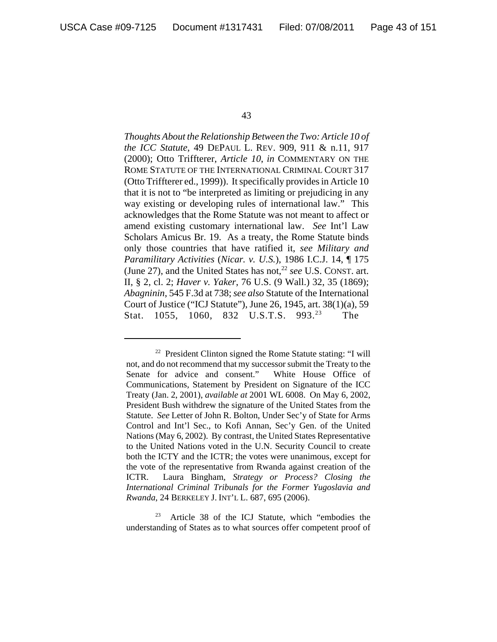*Thoughts About the Relationship Between the Two: Article 10 of the ICC Statute*, 49 DEPAUL L. REV. 909, 911 & n.11, 917 (2000); Otto Triffterer, *Article 10*, *in* COMMENTARY ON THE ROME STATUTE OF THE INTERNATIONAL CRIMINAL COURT 317 (Otto Triffterer ed., 1999)). It specifically provides in Article 10 that it is not to "be interpreted as limiting or prejudicing in any way existing or developing rules of international law." This acknowledges that the Rome Statute was not meant to affect or amend existing customary international law. *See* Int'l Law Scholars Amicus Br. 19. As a treaty, the Rome Statute binds only those countries that have ratified it, *see Military and Paramilitary Activities* (*Nicar. v. U.S.*), 1986 I.C.J. 14, ¶ 175 (June 27), and the United States has not,<sup>22</sup> see U.S. CONST. art. II, § 2, cl. 2; *Haver v. Yaker*, 76 U.S. (9 Wall.) 32, 35 (1869); *Abagninin*, 545 F.3d at 738; *see also* Statute of the International Court of Justice ("ICJ Statute"), June 26, 1945, art. 38(1)(a), 59 Stat. 1055, 1060, 832 U.S.T.S. 993.<sup>23</sup> The

<sup>23</sup> Article 38 of the ICJ Statute, which "embodies the understanding of States as to what sources offer competent proof of

 $22$  President Clinton signed the Rome Statute stating: "I will not, and do not recommend that my successor submit the Treaty to the Senate for advice and consent." White House Office of Communications, Statement by President on Signature of the ICC Treaty (Jan. 2, 2001), *available at* 2001 WL 6008. On May 6, 2002, President Bush withdrew the signature of the United States from the Statute. *See* Letter of John R. Bolton, Under Sec'y of State for Arms Control and Int'l Sec., to Kofi Annan, Sec'y Gen. of the United Nations (May 6, 2002). By contrast, the United States Representative to the United Nations voted in the U.N. Security Council to create both the ICTY and the ICTR; the votes were unanimous, except for the vote of the representative from Rwanda against creation of the ICTR. Laura Bingham, *Strategy or Process? Closing the International Criminal Tribunals for the Former Yugoslavia and Rwanda*, 24 BERKELEY J. INT'L L. 687, 695 (2006).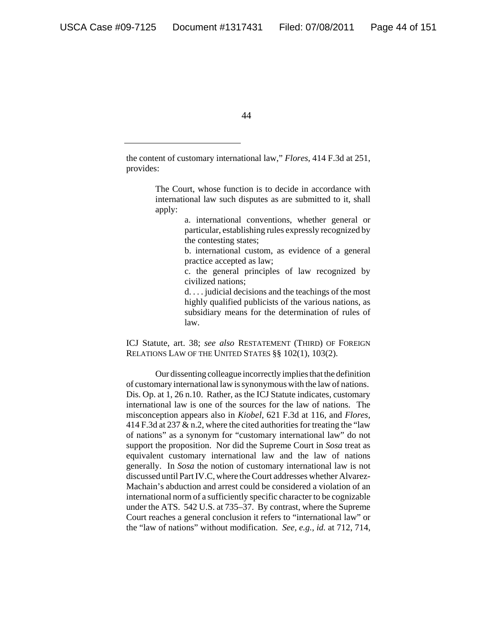the content of customary international law," *Flores*, 414 F.3d at 251, provides:

> The Court, whose function is to decide in accordance with international law such disputes as are submitted to it, shall apply:

> > a. international conventions, whether general or particular, establishing rules expressly recognized by the contesting states;

> > b. international custom, as evidence of a general practice accepted as law;

> > c. the general principles of law recognized by civilized nations;

> > d. . . . judicial decisions and the teachings of the most highly qualified publicists of the various nations, as subsidiary means for the determination of rules of law.

ICJ Statute, art. 38; *see also* RESTATEMENT (THIRD) OF FOREIGN RELATIONS LAW OF THE UNITED STATES §§ 102(1), 103(2).

Our dissenting colleague incorrectly implies that the definition of customary international law is synonymous with the law of nations. Dis. Op. at 1, 26 n.10. Rather, as the ICJ Statute indicates, customary international law is one of the sources for the law of nations. The misconception appears also in *Kiobel*, 621 F.3d at 116, and *Flores*, 414 F.3d at 237 & n.2, where the cited authorities for treating the "law of nations" as a synonym for "customary international law" do not support the proposition. Nor did the Supreme Court in *Sosa* treat as equivalent customary international law and the law of nations generally. In *Sosa* the notion of customary international law is not discussed until Part IV.C, where the Court addresses whether Alvarez-Machain's abduction and arrest could be considered a violation of an international norm of a sufficiently specific character to be cognizable under the ATS. 542 U.S. at 735–37. By contrast, where the Supreme Court reaches a general conclusion it refers to "international law" or the "law of nations" without modification. *See, e.g.*, *id.* at 712, 714,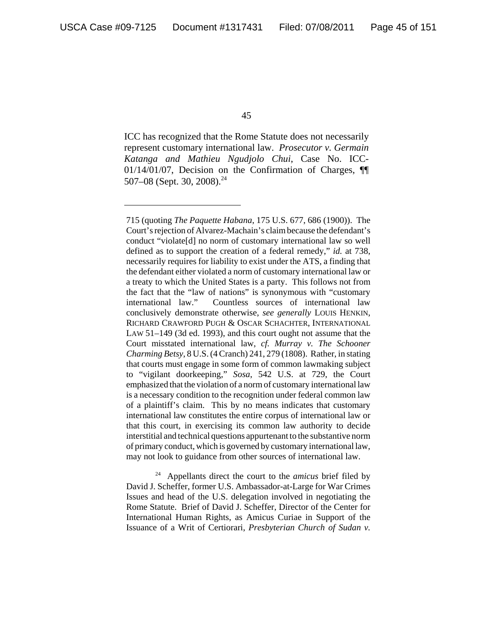ICC has recognized that the Rome Statute does not necessarily represent customary international law. *Prosecutor v. Germain Katanga and Mathieu Ngudjolo Chui*, Case No. ICC-01/14/01/07, Decision on the Confirmation of Charges, ¶¶ 507–08 (Sept. 30, 2008).<sup>24</sup>

24 Appellants direct the court to the *amicus* brief filed by David J. Scheffer, former U.S. Ambassador-at-Large for War Crimes Issues and head of the U.S. delegation involved in negotiating the Rome Statute. Brief of David J. Scheffer, Director of the Center for International Human Rights, as Amicus Curiae in Support of the Issuance of a Writ of Certiorari, *Presbyterian Church of Sudan v.*

<sup>715 (</sup>quoting *The Paquette Habana*, 175 U.S. 677, 686 (1900)). The Court's rejection of Alvarez-Machain's claim because the defendant's conduct "violate[d] no norm of customary international law so well defined as to support the creation of a federal remedy," *id.* at 738, necessarily requires for liability to exist under the ATS, a finding that the defendant either violated a norm of customary international law or a treaty to which the United States is a party. This follows not from the fact that the "law of nations" is synonymous with "customary international law." Countless sources of international law conclusively demonstrate otherwise, *see generally* LOUIS HENKIN, RICHARD CRAWFORD PUGH & OSCAR SCHACHTER, INTERNATIONAL LAW 51–149 (3d ed. 1993), and this court ought not assume that the Court misstated international law, *cf. Murray v. The Schooner Charming Betsy*, 8 U.S. (4 Cranch) 241, 279 (1808). Rather, in stating that courts must engage in some form of common lawmaking subject to "vigilant doorkeeping," *Sosa*, 542 U.S. at 729, the Court emphasized that the violation of a norm of customary international law is a necessary condition to the recognition under federal common law of a plaintiff's claim. This by no means indicates that customary international law constitutes the entire corpus of international law or that this court, in exercising its common law authority to decide interstitial and technical questions appurtenant to the substantive norm of primary conduct, which is governed by customary international law, may not look to guidance from other sources of international law.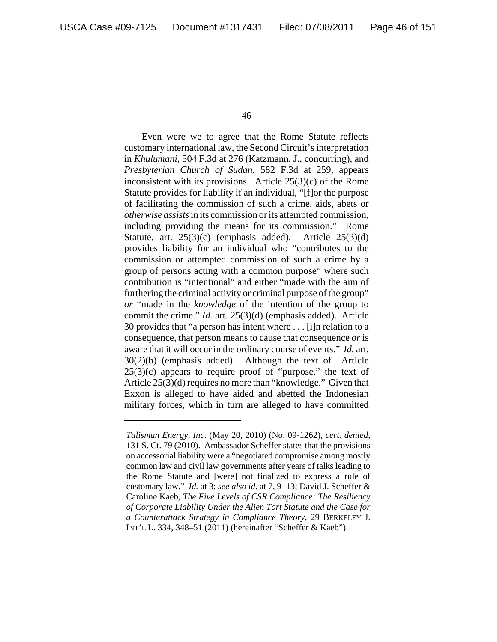Even were we to agree that the Rome Statute reflects customary international law, the Second Circuit's interpretation in *Khulumani*, 504 F.3d at 276 (Katzmann, J., concurring), and *Presbyterian Church of Sudan*, 582 F.3d at 259, appears inconsistent with its provisions. Article  $25(3)(c)$  of the Rome Statute provides for liability if an individual, "[f]or the purpose of facilitating the commission of such a crime, aids, abets or *otherwise assists* in its commission or its attempted commission, including providing the means for its commission." Rome Statute, art.  $25(3)(c)$  (emphasis added). Article  $25(3)(d)$ provides liability for an individual who "contributes to the commission or attempted commission of such a crime by a group of persons acting with a common purpose" where such contribution is "intentional" and either "made with the aim of furthering the criminal activity or criminal purpose of the group" *or* "made in the *knowledge* of the intention of the group to commit the crime." *Id.* art. 25(3)(d) (emphasis added). Article 30 provides that "a person has intent where . . . [i]n relation to a consequence, that person means to cause that consequence *or* is aware that it will occur in the ordinary course of events." *Id.* art. 30(2)(b) (emphasis added). Although the text of Article 25(3)(c) appears to require proof of "purpose," the text of Article 25(3)(d) requires no more than "knowledge." Given that Exxon is alleged to have aided and abetted the Indonesian military forces, which in turn are alleged to have committed

*Talisman Energy, Inc*. (May 20, 2010) (No. 09-1262), *cert. denied*, 131 S. Ct. 79 (2010). Ambassador Scheffer states that the provisions on accessorial liability were a "negotiated compromise among mostly common law and civil law governments after years of talks leading to the Rome Statute and [were] not finalized to express a rule of customary law." *Id.* at 3; *see also id.* at 7, 9–13; David J. Scheffer & Caroline Kaeb, *The Five Levels of CSR Compliance: The Resiliency of Corporate Liability Under the Alien Tort Statute and the Case for a Counterattack Strategy in Compliance Theory*, 29 BERKELEY J. INT'L L. 334, 348–51 (2011) (hereinafter "Scheffer & Kaeb").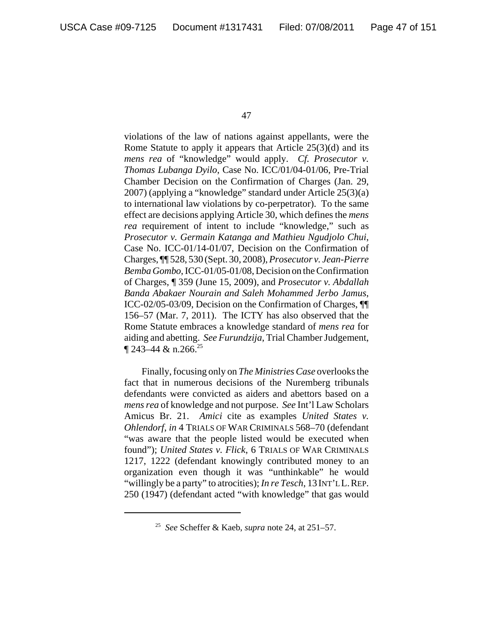violations of the law of nations against appellants, were the Rome Statute to apply it appears that Article 25(3)(d) and its *mens rea* of "knowledge" would apply. *Cf. Prosecutor v. Thomas Lubanga Dyilo*, Case No. ICC/01/04-01/06, Pre-Trial Chamber Decision on the Confirmation of Charges (Jan. 29, 2007) (applying a "knowledge" standard under Article 25(3)(a) to international law violations by co-perpetrator). To the same effect are decisions applying Article 30, which defines the *mens rea* requirement of intent to include "knowledge," such as *Prosecutor v. Germain Katanga and Mathieu Ngudjolo Chui*, Case No. ICC-01/14-01/07, Decision on the Confirmation of Charges, ¶¶ 528, 530 (Sept. 30, 2008), *Prosecutor v. Jean-Pierre Bemba Gombo*, ICC-01/05-01/08, Decision on the Confirmation of Charges, ¶ 359 (June 15, 2009), and *Prosecutor v. Abdallah Banda Abakaer Nourain and Saleh Mohammed Jerbo Jamus*, ICC-02/05-03/09, Decision on the Confirmation of Charges, ¶¶ 156–57 (Mar. 7, 2011). The ICTY has also observed that the Rome Statute embraces a knowledge standard of *mens rea* for aiding and abetting. *See Furundzija*, Trial Chamber Judgement,  $\P$  243–44 & n.266.<sup>25</sup>

Finally, focusing only on *The Ministries Case* overlooks the fact that in numerous decisions of the Nuremberg tribunals defendants were convicted as aiders and abettors based on a *mens rea* of knowledge and not purpose. *See* Int'l Law Scholars Amicus Br. 21. *Amici* cite as examples *United States v. Ohlendorf*, *in* 4 TRIALS OF WAR CRIMINALS 568–70 (defendant "was aware that the people listed would be executed when found"); *United States v. Flick*, 6 TRIALS OF WAR CRIMINALS 1217, 1222 (defendant knowingly contributed money to an organization even though it was "unthinkable" he would "willingly be a party" to atrocities); *In re Tesch*, 13INT'L L.REP. 250 (1947) (defendant acted "with knowledge" that gas would

<sup>25</sup> *See* Scheffer & Kaeb, *supra* note 24, at 251–57.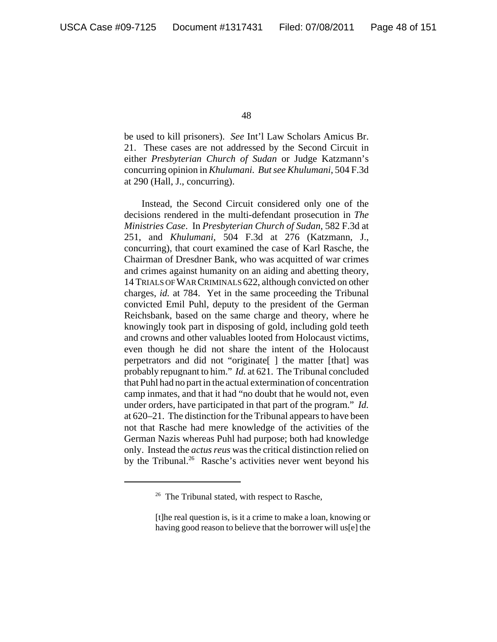be used to kill prisoners). *See* Int'l Law Scholars Amicus Br. 21. These cases are not addressed by the Second Circuit in either *Presbyterian Church of Sudan* or Judge Katzmann's concurring opinion in *Khulumani. But see Khulumani*, 504 F.3d at 290 (Hall, J., concurring).

Instead, the Second Circuit considered only one of the decisions rendered in the multi-defendant prosecution in *The Ministries Case*. In *Presbyterian Church of Sudan*, 582 F.3d at 251, and *Khulumani*, 504 F.3d at 276 (Katzmann, J., concurring), that court examined the case of Karl Rasche, the Chairman of Dresdner Bank, who was acquitted of war crimes and crimes against humanity on an aiding and abetting theory, 14 TRIALS OF WAR CRIMINALS 622, although convicted on other charges, *id.* at 784. Yet in the same proceeding the Tribunal convicted Emil Puhl, deputy to the president of the German Reichsbank, based on the same charge and theory, where he knowingly took part in disposing of gold, including gold teeth and crowns and other valuables looted from Holocaust victims, even though he did not share the intent of the Holocaust perpetrators and did not "originate[ ] the matter [that] was probably repugnant to him." *Id.* at 621. The Tribunal concluded that Puhl had no part in the actual extermination of concentration camp inmates, and that it had "no doubt that he would not, even under orders, have participated in that part of the program." *Id.* at 620–21. The distinction for the Tribunal appears to have been not that Rasche had mere knowledge of the activities of the German Nazis whereas Puhl had purpose; both had knowledge only. Instead the *actus reus* was the critical distinction relied on by the Tribunal.<sup>26</sup> Rasche's activities never went beyond his

 $26$  The Tribunal stated, with respect to Rasche,

<sup>[</sup>t]he real question is, is it a crime to make a loan, knowing or having good reason to believe that the borrower will us[e] the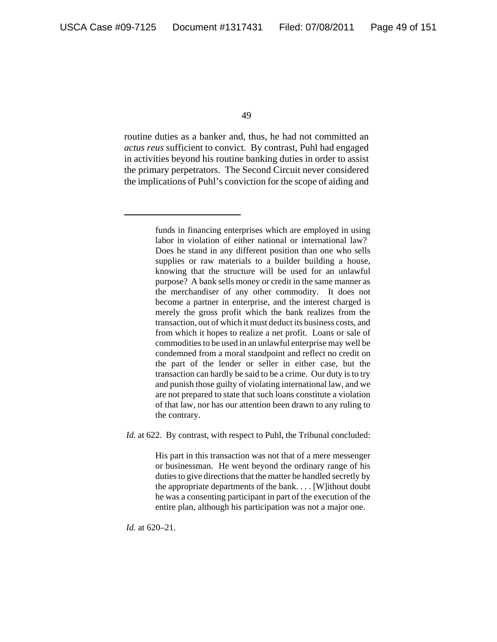routine duties as a banker and, thus, he had not committed an *actus reus* sufficient to convict. By contrast, Puhl had engaged in activities beyond his routine banking duties in order to assist the primary perpetrators. The Second Circuit never considered the implications of Puhl's conviction for the scope of aiding and

> funds in financing enterprises which are employed in using labor in violation of either national or international law? Does he stand in any different position than one who sells supplies or raw materials to a builder building a house, knowing that the structure will be used for an unlawful purpose? A bank sells money or credit in the same manner as the merchandiser of any other commodity. It does not become a partner in enterprise, and the interest charged is merely the gross profit which the bank realizes from the transaction, out of which it must deduct its business costs, and from which it hopes to realize a net profit. Loans or sale of commodities to be used in an unlawful enterprise may well be condemned from a moral standpoint and reflect no credit on the part of the lender or seller in either case, but the transaction can hardly be said to be a crime. Our duty is to try and punish those guilty of violating international law, and we are not prepared to state that such loans constitute a violation of that law, nor has our attention been drawn to any ruling to the contrary.

*Id.* at 622. By contrast, with respect to Puhl, the Tribunal concluded:

His part in this transaction was not that of a mere messenger or businessman. He went beyond the ordinary range of his duties to give directions that the matter be handled secretly by the appropriate departments of the bank. . . . [W]ithout doubt he was a consenting participant in part of the execution of the entire plan, although his participation was not a major one.

*Id.* at 620–21.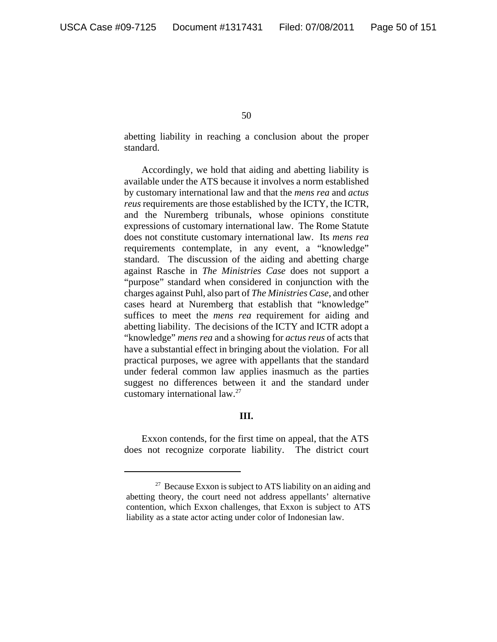abetting liability in reaching a conclusion about the proper standard.

Accordingly, we hold that aiding and abetting liability is available under the ATS because it involves a norm established by customary international law and that the *mens rea* and *actus reus* requirements are those established by the ICTY, the ICTR, and the Nuremberg tribunals, whose opinions constitute expressions of customary international law. The Rome Statute does not constitute customary international law. Its *mens rea* requirements contemplate, in any event, a "knowledge" standard. The discussion of the aiding and abetting charge against Rasche in *The Ministries Case* does not support a "purpose" standard when considered in conjunction with the charges against Puhl, also part of *The Ministries Case*, and other cases heard at Nuremberg that establish that "knowledge" suffices to meet the *mens rea* requirement for aiding and abetting liability. The decisions of the ICTY and ICTR adopt a "knowledge" *mens rea* and a showing for *actus reus* of acts that have a substantial effect in bringing about the violation. For all practical purposes, we agree with appellants that the standard under federal common law applies inasmuch as the parties suggest no differences between it and the standard under customary international law.27

## **III.**

Exxon contends, for the first time on appeal, that the ATS does not recognize corporate liability. The district court

 $27$  Because Exxon is subject to ATS liability on an aiding and abetting theory, the court need not address appellants' alternative contention, which Exxon challenges, that Exxon is subject to ATS liability as a state actor acting under color of Indonesian law.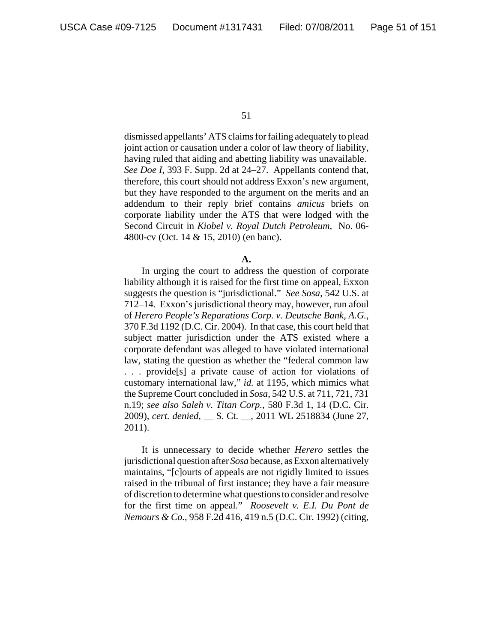dismissed appellants' ATS claims for failing adequately to plead joint action or causation under a color of law theory of liability, having ruled that aiding and abetting liability was unavailable. *See Doe I*, 393 F. Supp. 2d at 24–27. Appellants contend that, therefore, this court should not address Exxon's new argument, but they have responded to the argument on the merits and an addendum to their reply brief contains *amicus* briefs on corporate liability under the ATS that were lodged with the Second Circuit in *Kiobel v. Royal Dutch Petroleum*, No. 06- 4800-cv (Oct. 14 & 15, 2010) (en banc).

## **A.**

In urging the court to address the question of corporate liability although it is raised for the first time on appeal, Exxon suggests the question is "jurisdictional." *See Sosa*, 542 U.S. at 712–14. Exxon's jurisdictional theory may, however, run afoul of *Herero People's Reparations Corp. v. Deutsche Bank, A.G.*, 370 F.3d 1192 (D.C. Cir. 2004). In that case, this court held that subject matter jurisdiction under the ATS existed where a corporate defendant was alleged to have violated international law, stating the question as whether the "federal common law . . . provide[s] a private cause of action for violations of customary international law," *id.* at 1195, which mimics what the Supreme Court concluded in *Sosa*, 542 U.S. at 711, 721, 731 n.19; *see also Saleh v. Titan Corp.*, 580 F.3d 1, 14 (D.C. Cir. 2009), *cert. denied*, \_\_ S. Ct. \_\_, 2011 WL 2518834 (June 27, 2011).

It is unnecessary to decide whether *Herero* settles the jurisdictional question after *Sosa* because, as Exxon alternatively maintains, "[c]ourts of appeals are not rigidly limited to issues raised in the tribunal of first instance; they have a fair measure of discretion to determine what questions to consider and resolve for the first time on appeal." *Roosevelt v. E.I. Du Pont de Nemours & Co.*, 958 F.2d 416, 419 n.5 (D.C. Cir. 1992) (citing,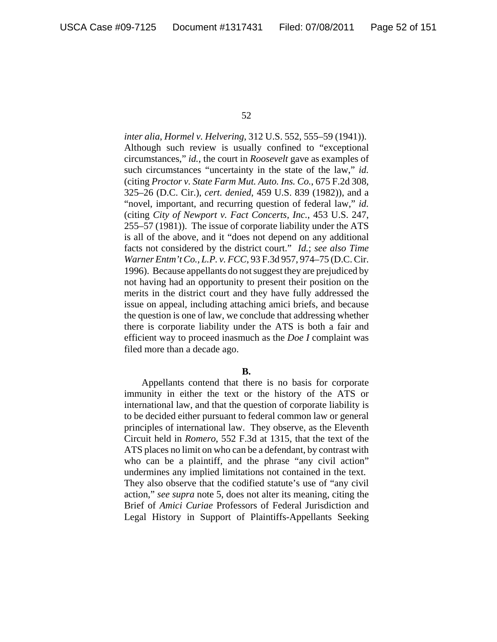*inter alia*, *Hormel v. Helvering*, 312 U.S. 552, 555–59 (1941)). Although such review is usually confined to "exceptional circumstances," *id.*, the court in *Roosevelt* gave as examples of such circumstances "uncertainty in the state of the law," *id.* (citing *Proctor v. State Farm Mut. Auto. Ins. Co.*, 675 F.2d 308, 325–26 (D.C. Cir.), *cert. denied*, 459 U.S. 839 (1982)), and a "novel, important, and recurring question of federal law," *id.* (citing *City of Newport v. Fact Concerts, Inc.*, 453 U.S. 247, 255–57 (1981)). The issue of corporate liability under the ATS is all of the above, and it "does not depend on any additional facts not considered by the district court." *Id.*; *see also Time Warner Entm't Co., L.P. v. FCC*, 93 F.3d 957, 974–75 (D.C. Cir. 1996). Because appellants do not suggest they are prejudiced by not having had an opportunity to present their position on the merits in the district court and they have fully addressed the issue on appeal, including attaching amici briefs, and because the question is one of law, we conclude that addressing whether there is corporate liability under the ATS is both a fair and efficient way to proceed inasmuch as the *Doe I* complaint was filed more than a decade ago.

## **B.**

Appellants contend that there is no basis for corporate immunity in either the text or the history of the ATS or international law, and that the question of corporate liability is to be decided either pursuant to federal common law or general principles of international law. They observe, as the Eleventh Circuit held in *Romero*, 552 F.3d at 1315, that the text of the ATS places no limit on who can be a defendant, by contrast with who can be a plaintiff, and the phrase "any civil action" undermines any implied limitations not contained in the text. They also observe that the codified statute's use of "any civil action," *see supra* note 5, does not alter its meaning, citing the Brief of *Amici Curiae* Professors of Federal Jurisdiction and Legal History in Support of Plaintiffs-Appellants Seeking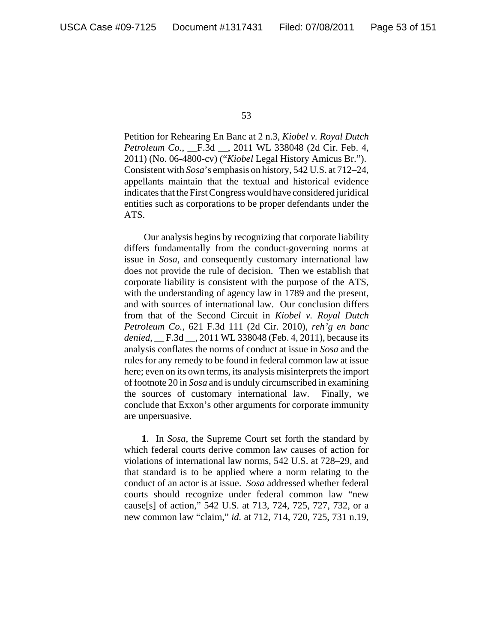Petition for Rehearing En Banc at 2 n.3, *Kiobel v. Royal Dutch Petroleum Co.*, \_\_F.3d \_\_, 2011 WL 338048 (2d Cir. Feb. 4, 2011) (No. 06-4800-cv) ("*Kiobel* Legal History Amicus Br."). Consistent with *Sosa*'s emphasis on history, 542 U.S. at 712–24, appellants maintain that the textual and historical evidence indicates that the First Congress would have considered juridical entities such as corporations to be proper defendants under the ATS.

 Our analysis begins by recognizing that corporate liability differs fundamentally from the conduct-governing norms at issue in *Sosa*, and consequently customary international law does not provide the rule of decision. Then we establish that corporate liability is consistent with the purpose of the ATS, with the understanding of agency law in 1789 and the present, and with sources of international law. Our conclusion differs from that of the Second Circuit in *Kiobel v. Royal Dutch Petroleum Co.*, 621 F.3d 111 (2d Cir. 2010), *reh'g en banc denied*, \_\_ F.3d \_\_, 2011 WL 338048 (Feb. 4, 2011), because its analysis conflates the norms of conduct at issue in *Sosa* and the rules for any remedy to be found in federal common law at issue here; even on its own terms, its analysis misinterprets the import of footnote 20 in *Sosa* and is unduly circumscribed in examining the sources of customary international law. Finally, we conclude that Exxon's other arguments for corporate immunity are unpersuasive.

**1**. In *Sosa*, the Supreme Court set forth the standard by which federal courts derive common law causes of action for violations of international law norms, 542 U.S. at 728–29, and that standard is to be applied where a norm relating to the conduct of an actor is at issue. *Sosa* addressed whether federal courts should recognize under federal common law "new cause[s] of action," 542 U.S. at 713, 724, 725, 727, 732, or a new common law "claim," *id.* at 712, 714, 720, 725, 731 n.19,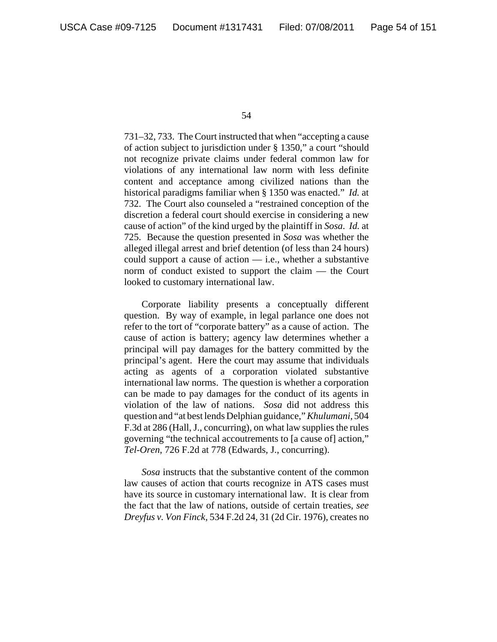731–32, 733. The Court instructed that when "accepting a cause of action subject to jurisdiction under § 1350," a court "should not recognize private claims under federal common law for violations of any international law norm with less definite content and acceptance among civilized nations than the historical paradigms familiar when § 1350 was enacted." *Id.* at 732. The Court also counseled a "restrained conception of the discretion a federal court should exercise in considering a new cause of action" of the kind urged by the plaintiff in *Sosa*. *Id.* at 725. Because the question presented in *Sosa* was whether the alleged illegal arrest and brief detention (of less than 24 hours) could support a cause of action — i.e., whether a substantive norm of conduct existed to support the claim — the Court looked to customary international law.

Corporate liability presents a conceptually different question. By way of example, in legal parlance one does not refer to the tort of "corporate battery" as a cause of action. The cause of action is battery; agency law determines whether a principal will pay damages for the battery committed by the principal's agent. Here the court may assume that individuals acting as agents of a corporation violated substantive international law norms. The question is whether a corporation can be made to pay damages for the conduct of its agents in violation of the law of nations. *Sosa* did not address this question and "at best lends Delphian guidance," *Khulumani*, 504 F.3d at 286 (Hall, J., concurring), on what law supplies the rules governing "the technical accoutrements to [a cause of] action," *Tel-Oren*, 726 F.2d at 778 (Edwards, J., concurring).

*Sosa* instructs that the substantive content of the common law causes of action that courts recognize in ATS cases must have its source in customary international law. It is clear from the fact that the law of nations, outside of certain treaties, *see Dreyfus v. Von Finck*, 534 F.2d 24, 31 (2d Cir. 1976), creates no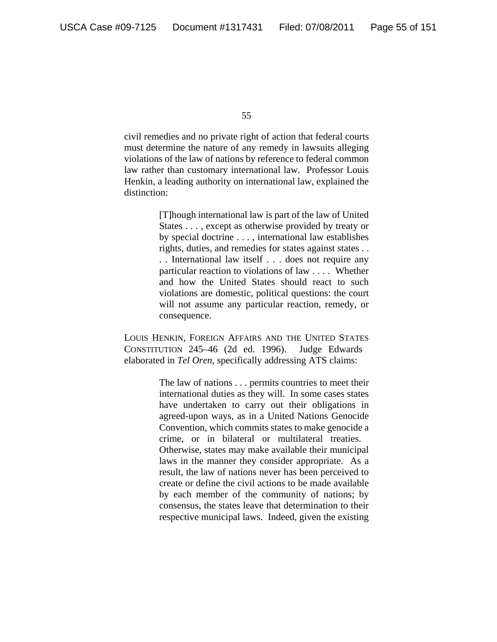civil remedies and no private right of action that federal courts must determine the nature of any remedy in lawsuits alleging violations of the law of nations by reference to federal common law rather than customary international law. Professor Louis Henkin, a leading authority on international law, explained the distinction:

> [T]hough international law is part of the law of United States . . . , except as otherwise provided by treaty or by special doctrine . . . , international law establishes rights, duties, and remedies for states against states . . . . International law itself . . . does not require any particular reaction to violations of law . . . . Whether and how the United States should react to such violations are domestic, political questions: the court will not assume any particular reaction, remedy, or consequence.

LOUIS HENKIN, FOREIGN AFFAIRS AND THE UNITED STATES CONSTITUTION 245–46 (2d ed. 1996). Judge Edwards elaborated in *Tel Oren*, specifically addressing ATS claims:

> The law of nations . . . permits countries to meet their international duties as they will. In some cases states have undertaken to carry out their obligations in agreed-upon ways, as in a United Nations Genocide Convention, which commits states to make genocide a crime, or in bilateral or multilateral treaties. Otherwise, states may make available their municipal laws in the manner they consider appropriate. As a result, the law of nations never has been perceived to create or define the civil actions to be made available by each member of the community of nations; by consensus, the states leave that determination to their respective municipal laws. Indeed, given the existing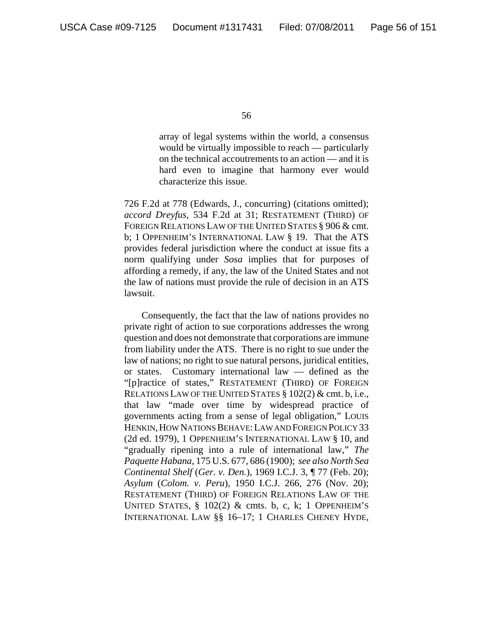array of legal systems within the world, a consensus would be virtually impossible to reach — particularly on the technical accoutrements to an action — and it is hard even to imagine that harmony ever would characterize this issue.

726 F.2d at 778 (Edwards, J., concurring) (citations omitted); *accord Dreyfus*, 534 F.2d at 31; RESTATEMENT (THIRD) OF FOREIGN RELATIONS LAW OF THE UNITED STATES § 906 & cmt. b; 1 OPPENHEIM'S INTERNATIONAL LAW § 19. That the ATS provides federal jurisdiction where the conduct at issue fits a norm qualifying under *Sosa* implies that for purposes of affording a remedy, if any, the law of the United States and not the law of nations must provide the rule of decision in an ATS lawsuit.

Consequently, the fact that the law of nations provides no private right of action to sue corporations addresses the wrong question and does not demonstrate that corporations are immune from liability under the ATS. There is no right to sue under the law of nations; no right to sue natural persons, juridical entities, or states. Customary international law — defined as the "[p]ractice of states," RESTATEMENT (THIRD) OF FOREIGN RELATIONS LAW OF THE UNITED STATES § 102(2) & cmt. b, i.e., that law "made over time by widespread practice of governments acting from a sense of legal obligation," LOUIS HENKIN, HOW NATIONS BEHAVE: LAW AND FOREIGN POLICY 33 (2d ed. 1979), 1 OPPENHEIM'S INTERNATIONAL LAW § 10, and "gradually ripening into a rule of international law," *The Paquette Habana*, 175 U.S. 677, 686 (1900); *see also North Sea Continental Shelf* (*Ger. v. Den.*), 1969 I.C.J. 3, ¶ 77 (Feb. 20); *Asylum* (*Colom. v. Peru*), 1950 I.C.J. 266, 276 (Nov. 20); RESTATEMENT (THIRD) OF FOREIGN RELATIONS LAW OF THE UNITED STATES,  $\S$  102(2) & cmts. b, c, k; 1 OPPENHEIM'S INTERNATIONAL LAW §§ 16–17; 1 CHARLES CHENEY HYDE,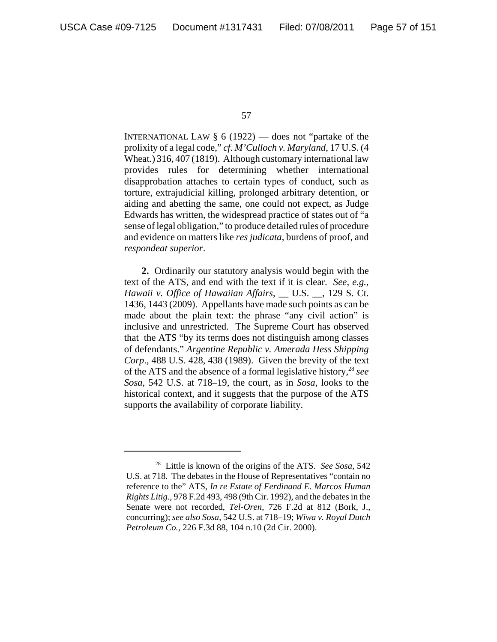INTERNATIONAL LAW  $\S 6$  (1922) — does not "partake of the prolixity of a legal code," *cf. M'Culloch v. Maryland*, 17 U.S. (4 Wheat.) 316, 407 (1819). Although customary international law provides rules for determining whether international disapprobation attaches to certain types of conduct, such as torture, extrajudicial killing, prolonged arbitrary detention, or aiding and abetting the same, one could not expect, as Judge Edwards has written, the widespread practice of states out of "a sense of legal obligation," to produce detailed rules of procedure and evidence on matters like *res judicata*, burdens of proof, and *respondeat superior*.

**2.** Ordinarily our statutory analysis would begin with the text of the ATS, and end with the text if it is clear. *See, e.g., Hawaii v. Office of Hawaiian Affairs*, \_\_ U.S. \_\_, 129 S. Ct. 1436, 1443 (2009). Appellants have made such points as can be made about the plain text: the phrase "any civil action" is inclusive and unrestricted. The Supreme Court has observed that the ATS "by its terms does not distinguish among classes of defendants." *Argentine Republic v. Amerada Hess Shipping Corp*., 488 U.S. 428, 438 (1989). Given the brevity of the text of the ATS and the absence of a formal legislative history,28 *see Sosa*, 542 U.S. at 718–19, the court, as in *Sosa*, looks to the historical context, and it suggests that the purpose of the ATS supports the availability of corporate liability.

<sup>28</sup> Little is known of the origins of the ATS. *See Sosa*, 542 U.S. at 718. The debates in the House of Representatives "contain no reference to the" ATS, *In re Estate of Ferdinand E. Marcos Human Rights Litig.*, 978 F.2d 493, 498 (9th Cir. 1992), and the debates in the Senate were not recorded, *Tel-Oren*, 726 F.2d at 812 (Bork, J., concurring); *see also Sosa*, 542 U.S. at 718–19; *Wiwa v. Royal Dutch Petroleum Co.*, 226 F.3d 88, 104 n.10 (2d Cir. 2000).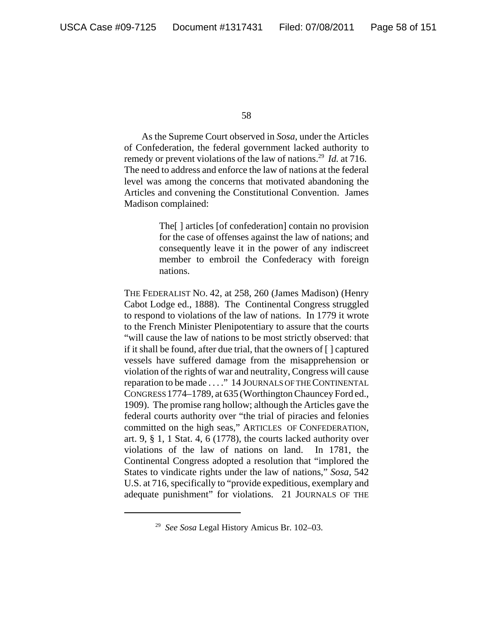As the Supreme Court observed in *Sosa*, under the Articles of Confederation, the federal government lacked authority to remedy or prevent violations of the law of nations.29 *Id.* at 716. The need to address and enforce the law of nations at the federal level was among the concerns that motivated abandoning the Articles and convening the Constitutional Convention. James Madison complained:

> The[ ] articles [of confederation] contain no provision for the case of offenses against the law of nations; and consequently leave it in the power of any indiscreet member to embroil the Confederacy with foreign nations.

THE FEDERALIST NO. 42, at 258, 260 (James Madison) (Henry Cabot Lodge ed., 1888). The Continental Congress struggled to respond to violations of the law of nations. In 1779 it wrote to the French Minister Plenipotentiary to assure that the courts "will cause the law of nations to be most strictly observed: that if it shall be found, after due trial, that the owners of [ ] captured vessels have suffered damage from the misapprehension or violation of the rights of war and neutrality, Congress will cause reparation to be made . . . ." 14 JOURNALS OF THE CONTINENTAL CONGRESS 1774–1789, at 635 (Worthington Chauncey Ford ed., 1909). The promise rang hollow; although the Articles gave the federal courts authority over "the trial of piracies and felonies committed on the high seas," ARTICLES OF CONFEDERATION, art. 9, § 1, 1 Stat. 4, 6 (1778), the courts lacked authority over violations of the law of nations on land. In 1781, the Continental Congress adopted a resolution that "implored the States to vindicate rights under the law of nations," *Sosa,* 542 U.S. at 716, specifically to "provide expeditious, exemplary and adequate punishment" for violations. 21 JOURNALS OF THE

<sup>29</sup> *See Sosa* Legal History Amicus Br. 102–03.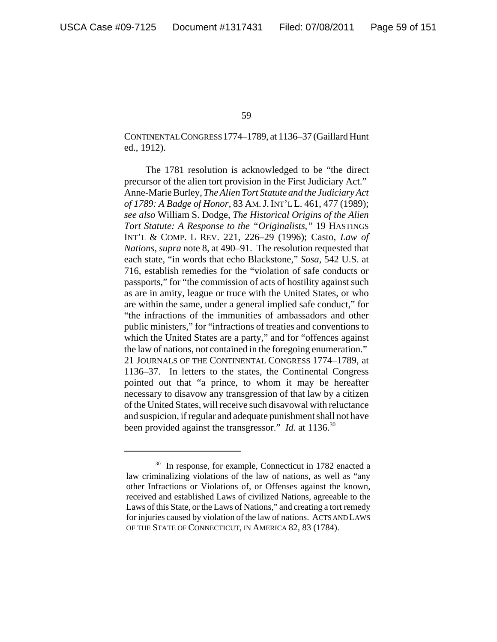CONTINENTAL CONGRESS 1774–1789, at 1136–37 (Gaillard Hunt ed., 1912).

 The 1781 resolution is acknowledged to be "the direct precursor of the alien tort provision in the First Judiciary Act." Anne-Marie Burley, *The Alien Tort Statute and the Judiciary Act of 1789: A Badge of Honor*, 83 AM.J.INT'L L. 461, 477 (1989); *see also* William S. Dodge, *The Historical Origins of the Alien Tort Statute: A Response to the "Originalists*,*"* 19 HASTINGS INT'L & COMP. L REV. 221, 226–29 (1996); Casto, *Law of Nations*, *supra* note 8, at 490–91. The resolution requested that each state, "in words that echo Blackstone," *Sosa*, 542 U.S. at 716, establish remedies for the "violation of safe conducts or passports," for "the commission of acts of hostility against such as are in amity, league or truce with the United States, or who are within the same, under a general implied safe conduct," for "the infractions of the immunities of ambassadors and other public ministers," for "infractions of treaties and conventions to which the United States are a party," and for "offences against the law of nations, not contained in the foregoing enumeration." 21 JOURNALS OF THE CONTINENTAL CONGRESS 1774–1789, at 1136–37. In letters to the states, the Continental Congress pointed out that "a prince, to whom it may be hereafter necessary to disavow any transgression of that law by a citizen of the United States, will receive such disavowal with reluctance and suspicion, if regular and adequate punishment shall not have been provided against the transgressor." *Id.* at 1136.<sup>30</sup>

<sup>&</sup>lt;sup>30</sup> In response, for example, Connecticut in 1782 enacted a law criminalizing violations of the law of nations, as well as "any other Infractions or Violations of, or Offenses against the known, received and established Laws of civilized Nations, agreeable to the Laws of this State, or the Laws of Nations," and creating a tort remedy for injuries caused by violation of the law of nations. ACTS AND LAWS OF THE STATE OF CONNECTICUT, IN AMERICA 82, 83 (1784).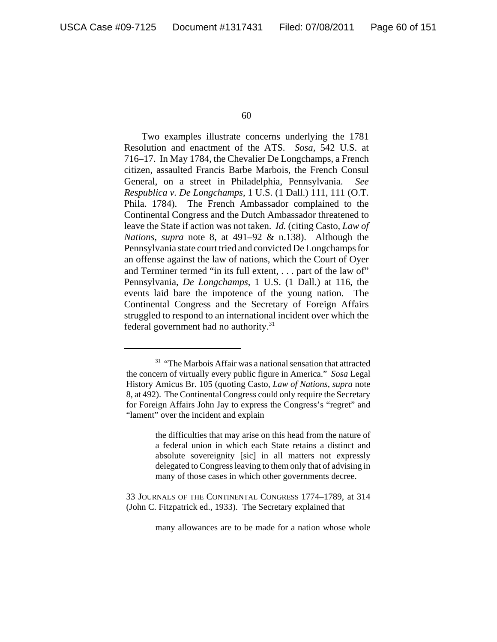Two examples illustrate concerns underlying the 1781 Resolution and enactment of the ATS. *Sosa,* 542 U.S. at 716–17. In May 1784, the Chevalier De Longchamps, a French citizen, assaulted Francis Barbe Marbois, the French Consul General, on a street in Philadelphia, Pennsylvania. *See Respublica v. De Longchamps*, 1 U.S. (1 Dall.) 111, 111 (O.T. Phila. 1784). The French Ambassador complained to the Continental Congress and the Dutch Ambassador threatened to leave the State if action was not taken. *Id.* (citing Casto, *Law of Nations*, *supra* note 8, at 491–92 & n.138). Although the Pennsylvania state court tried and convicted De Longchamps for an offense against the law of nations, which the Court of Oyer and Terminer termed "in its full extent, . . . part of the law of" Pennsylvania, *De Longchamps*, 1 U.S. (1 Dall.) at 116, the events laid bare the impotence of the young nation. The Continental Congress and the Secretary of Foreign Affairs struggled to respond to an international incident over which the federal government had no authority.<sup>31</sup>

the difficulties that may arise on this head from the nature of a federal union in which each State retains a distinct and absolute sovereignity [sic] in all matters not expressly delegated to Congress leaving to them only that of advising in many of those cases in which other governments decree.

33 JOURNALS OF THE CONTINENTAL CONGRESS 1774–1789, at 314 (John C. Fitzpatrick ed., 1933). The Secretary explained that

many allowances are to be made for a nation whose whole

<sup>&</sup>lt;sup>31</sup> "The Marbois Affair was a national sensation that attracted the concern of virtually every public figure in America." *Sosa* Legal History Amicus Br. 105 (quoting Casto, *Law of Nations*, *supra* note 8, at 492). The Continental Congress could only require the Secretary for Foreign Affairs John Jay to express the Congress's "regret" and "lament" over the incident and explain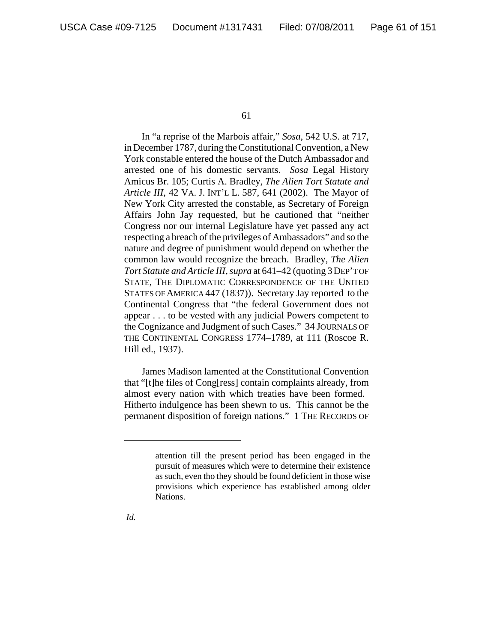In "a reprise of the Marbois affair," *Sosa*, 542 U.S. at 717, in December 1787, during the Constitutional Convention, a New York constable entered the house of the Dutch Ambassador and arrested one of his domestic servants. *Sosa* Legal History Amicus Br. 105; Curtis A. Bradley, *The Alien Tort Statute and Article III*, 42 VA. J. INT'L L. 587, 641 (2002). The Mayor of New York City arrested the constable, as Secretary of Foreign Affairs John Jay requested, but he cautioned that "neither Congress nor our internal Legislature have yet passed any act respecting a breach of the privileges of Ambassadors" and so the nature and degree of punishment would depend on whether the common law would recognize the breach. Bradley, *The Alien Tort Statute and Article III*, *supra* at 641–42 (quoting 3DEP'T OF STATE, THE DIPLOMATIC CORRESPONDENCE OF THE UNITED STATES OF AMERICA 447 (1837)). Secretary Jay reported to the Continental Congress that "the federal Government does not appear . . . to be vested with any judicial Powers competent to the Cognizance and Judgment of such Cases." 34 JOURNALS OF THE CONTINENTAL CONGRESS 1774–1789, at 111 (Roscoe R. Hill ed., 1937).

James Madison lamented at the Constitutional Convention that "[t]he files of Cong[ress] contain complaints already, from almost every nation with which treaties have been formed. Hitherto indulgence has been shewn to us. This cannot be the permanent disposition of foreign nations." 1 THE RECORDS OF

attention till the present period has been engaged in the pursuit of measures which were to determine their existence as such, even tho they should be found deficient in those wise provisions which experience has established among older Nations.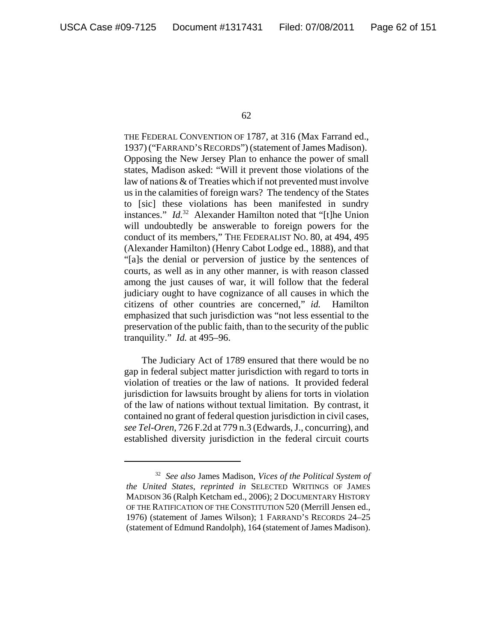THE FEDERAL CONVENTION OF 1787, at 316 (Max Farrand ed., 1937) ("FARRAND'S RECORDS") (statement of James Madison). Opposing the New Jersey Plan to enhance the power of small states, Madison asked: "Will it prevent those violations of the law of nations & of Treaties which if not prevented must involve us in the calamities of foreign wars? The tendency of the States to [sic] these violations has been manifested in sundry instances." *Id.*32 Alexander Hamilton noted that "[t]he Union will undoubtedly be answerable to foreign powers for the conduct of its members," THE FEDERALIST NO. 80, at 494, 495 (Alexander Hamilton) (Henry Cabot Lodge ed., 1888), and that "[a]s the denial or perversion of justice by the sentences of courts, as well as in any other manner, is with reason classed among the just causes of war, it will follow that the federal judiciary ought to have cognizance of all causes in which the citizens of other countries are concerned," *id.* Hamilton emphasized that such jurisdiction was "not less essential to the preservation of the public faith, than to the security of the public tranquility." *Id.* at 495–96.

The Judiciary Act of 1789 ensured that there would be no gap in federal subject matter jurisdiction with regard to torts in violation of treaties or the law of nations. It provided federal jurisdiction for lawsuits brought by aliens for torts in violation of the law of nations without textual limitation. By contrast, it contained no grant of federal question jurisdiction in civil cases, *see Tel-Oren*, 726 F.2d at 779 n.3 (Edwards, J., concurring), and established diversity jurisdiction in the federal circuit courts

<sup>32</sup> *See also* James Madison, *Vices of the Political System of the United States*, *reprinted in* SELECTED WRITINGS OF JAMES MADISON 36 (Ralph Ketcham ed., 2006); 2 DOCUMENTARY HISTORY OF THE RATIFICATION OF THE CONSTITUTION 520 (Merrill Jensen ed., 1976) (statement of James Wilson); 1 FARRAND'S RECORDS 24–25 (statement of Edmund Randolph), 164 (statement of James Madison).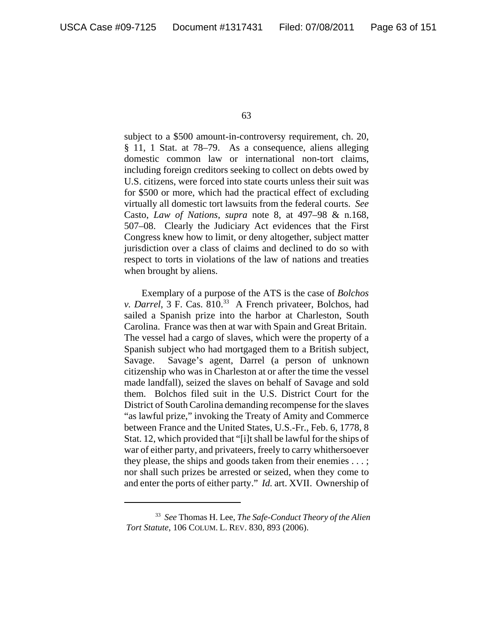subject to a \$500 amount-in-controversy requirement, ch. 20, § 11, 1 Stat. at 78–79. As a consequence, aliens alleging domestic common law or international non-tort claims, including foreign creditors seeking to collect on debts owed by U.S. citizens, were forced into state courts unless their suit was for \$500 or more, which had the practical effect of excluding virtually all domestic tort lawsuits from the federal courts. *See* Casto, *Law of Nations*, *supra* note 8, at 497–98 & n.168, 507–08. Clearly the Judiciary Act evidences that the First Congress knew how to limit, or deny altogether, subject matter jurisdiction over a class of claims and declined to do so with respect to torts in violations of the law of nations and treaties when brought by aliens.

Exemplary of a purpose of the ATS is the case of *Bolchos v. Darrel*, 3 F. Cas. 810.<sup>33</sup> A French privateer, Bolchos, had sailed a Spanish prize into the harbor at Charleston, South Carolina. France was then at war with Spain and Great Britain. The vessel had a cargo of slaves, which were the property of a Spanish subject who had mortgaged them to a British subject, Savage. Savage's agent, Darrel (a person of unknown citizenship who was in Charleston at or after the time the vessel made landfall), seized the slaves on behalf of Savage and sold them. Bolchos filed suit in the U.S. District Court for the District of South Carolina demanding recompense for the slaves "as lawful prize," invoking the Treaty of Amity and Commerce between France and the United States, U.S.-Fr., Feb. 6, 1778, 8 Stat. 12, which provided that "[i]t shall be lawful for the ships of war of either party, and privateers, freely to carry whithersoever they please, the ships and goods taken from their enemies . . . ; nor shall such prizes be arrested or seized, when they come to and enter the ports of either party." *Id.* art. XVII. Ownership of

<sup>33</sup> *See* Thomas H. Lee, *The Safe-Conduct Theory of the Alien Tort Statute*, 106 COLUM. L. REV. 830, 893 (2006).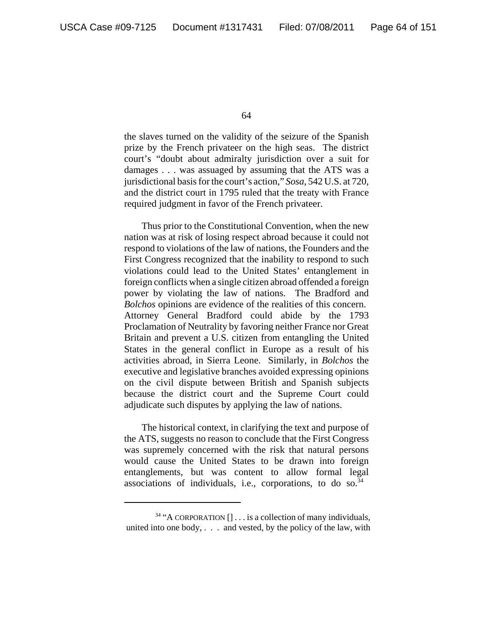the slaves turned on the validity of the seizure of the Spanish prize by the French privateer on the high seas. The district court's "doubt about admiralty jurisdiction over a suit for damages . . . was assuaged by assuming that the ATS was a jurisdictional basis for the court's action," *Sosa*, 542 U.S. at 720, and the district court in 1795 ruled that the treaty with France required judgment in favor of the French privateer.

Thus prior to the Constitutional Convention, when the new nation was at risk of losing respect abroad because it could not respond to violations of the law of nations, the Founders and the First Congress recognized that the inability to respond to such violations could lead to the United States' entanglement in foreign conflicts when a single citizen abroad offended a foreign power by violating the law of nations. The Bradford and *Bolchos* opinions are evidence of the realities of this concern. Attorney General Bradford could abide by the 1793 Proclamation of Neutrality by favoring neither France nor Great Britain and prevent a U.S. citizen from entangling the United States in the general conflict in Europe as a result of his activities abroad, in Sierra Leone. Similarly, in *Bolchos* the executive and legislative branches avoided expressing opinions on the civil dispute between British and Spanish subjects because the district court and the Supreme Court could adjudicate such disputes by applying the law of nations.

The historical context, in clarifying the text and purpose of the ATS, suggests no reason to conclude that the First Congress was supremely concerned with the risk that natural persons would cause the United States to be drawn into foreign entanglements, but was content to allow formal legal associations of individuals, i.e., corporations, to do so. $34$ 

 $34$  "A CORPORATION  $[] \dots$  is a collection of many individuals, united into one body,  $\ldots$  and vested, by the policy of the law, with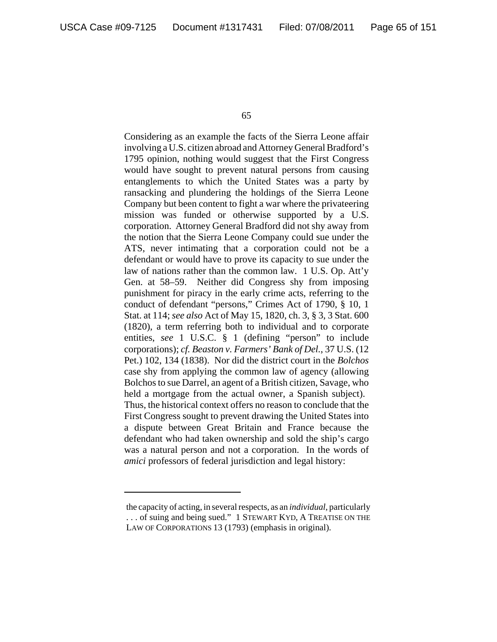Considering as an example the facts of the Sierra Leone affair involving a U.S. citizen abroad and Attorney General Bradford's 1795 opinion, nothing would suggest that the First Congress would have sought to prevent natural persons from causing entanglements to which the United States was a party by ransacking and plundering the holdings of the Sierra Leone Company but been content to fight a war where the privateering mission was funded or otherwise supported by a U.S. corporation. Attorney General Bradford did not shy away from the notion that the Sierra Leone Company could sue under the ATS, never intimating that a corporation could not be a defendant or would have to prove its capacity to sue under the law of nations rather than the common law. 1 U.S. Op. Att'y Gen. at 58–59. Neither did Congress shy from imposing punishment for piracy in the early crime acts, referring to the conduct of defendant "persons," Crimes Act of 1790, § 10, 1 Stat. at 114; *see also* Act of May 15, 1820, ch. 3, § 3, 3 Stat. 600 (1820), a term referring both to individual and to corporate entities, *see* 1 U.S.C. § 1 (defining "person" to include corporations); *cf. Beaston v. Farmers' Bank of Del.*, 37 U.S. (12 Pet.) 102, 134 (1838). Nor did the district court in the *Bolchos* case shy from applying the common law of agency (allowing Bolchos to sue Darrel, an agent of a British citizen, Savage, who held a mortgage from the actual owner, a Spanish subject). Thus, the historical context offers no reason to conclude that the First Congress sought to prevent drawing the United States into a dispute between Great Britain and France because the defendant who had taken ownership and sold the ship's cargo was a natural person and not a corporation. In the words of *amici* professors of federal jurisdiction and legal history:

the capacity of acting, in several respects, as an *individual*, particularly . . . of suing and being sued." 1 STEWART KYD, A TREATISE ON THE LAW OF CORPORATIONS 13 (1793) (emphasis in original).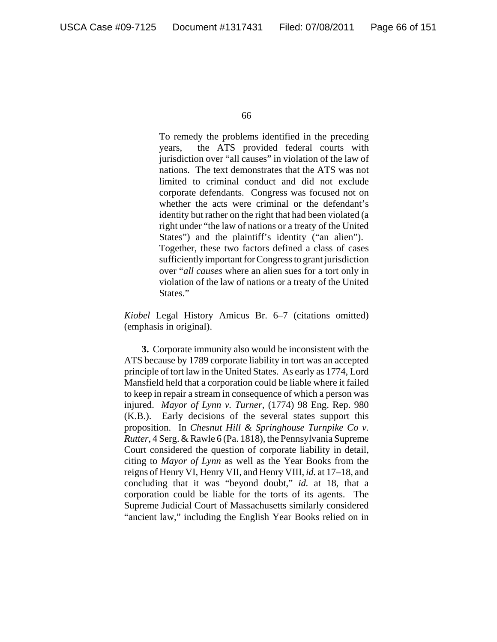To remedy the problems identified in the preceding years, the ATS provided federal courts with jurisdiction over "all causes" in violation of the law of nations. The text demonstrates that the ATS was not limited to criminal conduct and did not exclude corporate defendants. Congress was focused not on whether the acts were criminal or the defendant's identity but rather on the right that had been violated (a right under "the law of nations or a treaty of the United States") and the plaintiff's identity ("an alien"). Together, these two factors defined a class of cases sufficiently important for Congress to grant jurisdiction over "*all causes* where an alien sues for a tort only in violation of the law of nations or a treaty of the United States."

*Kiobel* Legal History Amicus Br. 6–7 (citations omitted) (emphasis in original).

**3.** Corporate immunity also would be inconsistent with the ATS because by 1789 corporate liability in tort was an accepted principle of tort law in the United States. As early as 1774, Lord Mansfield held that a corporation could be liable where it failed to keep in repair a stream in consequence of which a person was injured. *Mayor of Lynn v. Turner*, (1774) 98 Eng. Rep. 980 (K.B.). Early decisions of the several states support this proposition. In *Chesnut Hill & Springhouse Turnpike Co v. Rutter*, 4 Serg. & Rawle 6 (Pa. 1818), the Pennsylvania Supreme Court considered the question of corporate liability in detail, citing to *Mayor of Lynn* as well as the Year Books from the reigns of Henry VI, Henry VII, and Henry VIII, *id.* at 17–18, and concluding that it was "beyond doubt," *id.* at 18, that a corporation could be liable for the torts of its agents. The Supreme Judicial Court of Massachusetts similarly considered "ancient law," including the English Year Books relied on in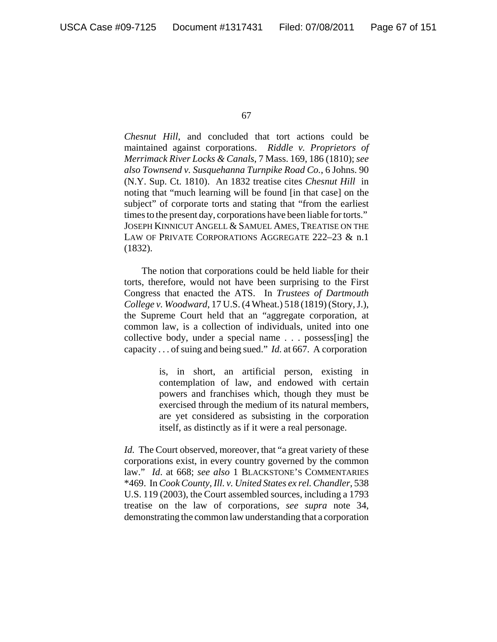*Chesnut Hill*, and concluded that tort actions could be maintained against corporations. *Riddle v. Proprietors of Merrimack River Locks & Canals*, 7 Mass. 169, 186 (1810); *see also Townsend v. Susquehanna Turnpike Road Co.*, 6 Johns. 90 (N.Y. Sup. Ct. 1810). An 1832 treatise cites *Chesnut Hill* in noting that "much learning will be found [in that case] on the subject" of corporate torts and stating that "from the earliest times to the present day, corporations have been liable for torts." JOSEPH KINNICUT ANGELL & SAMUEL AMES, TREATISE ON THE LAW OF PRIVATE CORPORATIONS AGGREGATE 222-23 & n.1 (1832).

The notion that corporations could be held liable for their torts, therefore, would not have been surprising to the First Congress that enacted the ATS. In *Trustees of Dartmouth College v. Woodward*, 17 U.S. (4 Wheat.) 518 (1819) (Story, J.), the Supreme Court held that an "aggregate corporation, at common law, is a collection of individuals, united into one collective body, under a special name . . . possess[ing] the capacity . . . of suing and being sued." *Id.* at 667. A corporation

> is, in short, an artificial person, existing in contemplation of law, and endowed with certain powers and franchises which, though they must be exercised through the medium of its natural members, are yet considered as subsisting in the corporation itself, as distinctly as if it were a real personage.

*Id.* The Court observed, moreover, that "a great variety of these corporations exist, in every country governed by the common law." *Id*. at 668; *see also* 1 BLACKSTONE'S COMMENTARIES \*469. In *Cook County, Ill. v. United States ex rel. Chandler*, 538 U.S. 119 (2003), the Court assembled sources, including a 1793 treatise on the law of corporations, *see supra* note 34, demonstrating the common law understanding that a corporation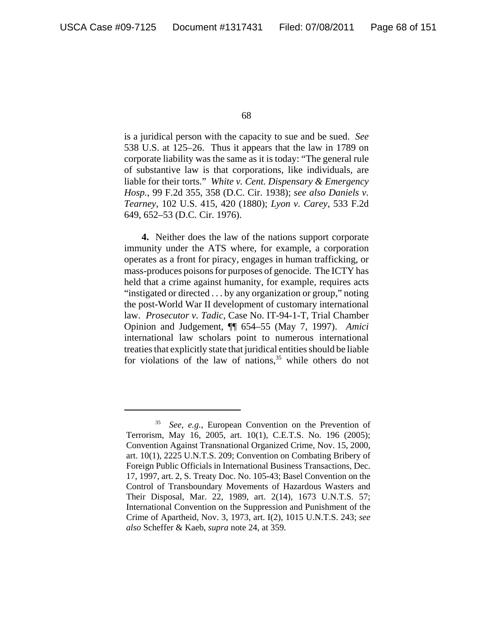is a juridical person with the capacity to sue and be sued. *See* 538 U.S. at 125–26. Thus it appears that the law in 1789 on corporate liability was the same as it is today: "The general rule of substantive law is that corporations, like individuals, are liable for their torts." *White v. Cent. Dispensary & Emergency Hosp.*, 99 F.2d 355, 358 (D.C. Cir. 1938); *see also Daniels v. Tearney*, 102 U.S. 415, 420 (1880); *Lyon v. Carey*, 533 F.2d 649, 652–53 (D.C. Cir. 1976).

**4.** Neither does the law of the nations support corporate immunity under the ATS where, for example, a corporation operates as a front for piracy, engages in human trafficking, or mass-produces poisons for purposes of genocide. The ICTY has held that a crime against humanity, for example, requires acts "instigated or directed . . . by any organization or group," noting the post-World War II development of customary international law. *Prosecutor v. Tadic,* Case No. IT-94-1-T, Trial Chamber Opinion and Judgement, ¶¶ 654–55 (May 7, 1997). *Amici* international law scholars point to numerous international treaties that explicitly state that juridical entities should be liable for violations of the law of nations, $35$  while others do not

See, e.g., European Convention on the Prevention of Terrorism, May 16, 2005, art. 10(1), C.E.T.S. No. 196 (2005); Convention Against Transnational Organized Crime, Nov. 15, 2000, art. 10(1), 2225 U.N.T.S. 209; Convention on Combating Bribery of Foreign Public Officials in International Business Transactions, Dec. 17, 1997, art. 2, S. Treaty Doc. No. 105-43; Basel Convention on the Control of Transboundary Movements of Hazardous Wasters and Their Disposal, Mar. 22, 1989, art. 2(14), 1673 U.N.T.S. 57; International Convention on the Suppression and Punishment of the Crime of Apartheid, Nov. 3, 1973, art. I(2), 1015 U.N.T.S. 243; *see also* Scheffer & Kaeb, *supra* note 24, at 359.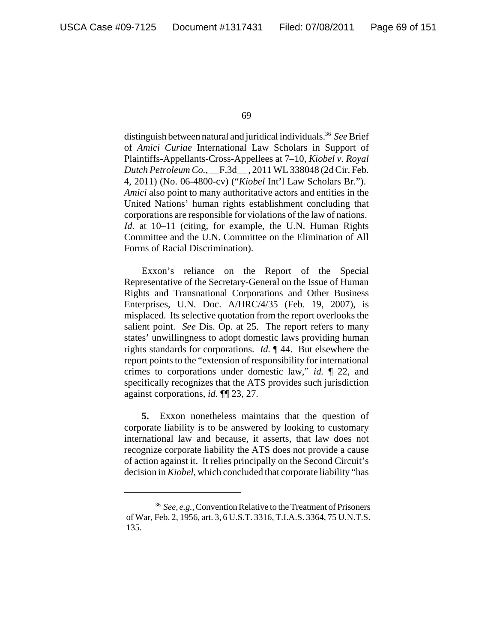distinguish between natural and juridical individuals.<sup>36</sup> See Brief of *Amici Curiae* International Law Scholars in Support of Plaintiffs-Appellants-Cross-Appellees at 7–10, *Kiobel v. Royal Dutch Petroleum Co.*, \_\_F.3d\_\_ , 2011 WL 338048 (2d Cir. Feb. 4, 2011) (No. 06-4800-cv) ("*Kiobel* Int'l Law Scholars Br."). *Amici* also point to many authoritative actors and entities in the United Nations' human rights establishment concluding that corporations are responsible for violations of the law of nations. *Id.* at 10–11 (citing, for example, the U.N. Human Rights Committee and the U.N. Committee on the Elimination of All Forms of Racial Discrimination).

Exxon's reliance on the Report of the Special Representative of the Secretary-General on the Issue of Human Rights and Transnational Corporations and Other Business Enterprises, U.N. Doc. A/HRC/4/35 (Feb. 19, 2007), is misplaced. Its selective quotation from the report overlooks the salient point. *See* Dis. Op. at 25. The report refers to many states' unwillingness to adopt domestic laws providing human rights standards for corporations. *Id.* ¶ 44. But elsewhere the report points to the "extension of responsibility for international crimes to corporations under domestic law," *id.* ¶ 22, and specifically recognizes that the ATS provides such jurisdiction against corporations, *id.* ¶¶ 23, 27.

**5.** Exxon nonetheless maintains that the question of corporate liability is to be answered by looking to customary international law and because, it asserts, that law does not recognize corporate liability the ATS does not provide a cause of action against it. It relies principally on the Second Circuit's decision in *Kiobel*, which concluded that corporate liability "has

<sup>36</sup> *See, e.g.*, Convention Relative to the Treatment of Prisoners of War, Feb. 2, 1956, art. 3, 6 U.S.T. 3316, T.I.A.S. 3364, 75 U.N.T.S. 135.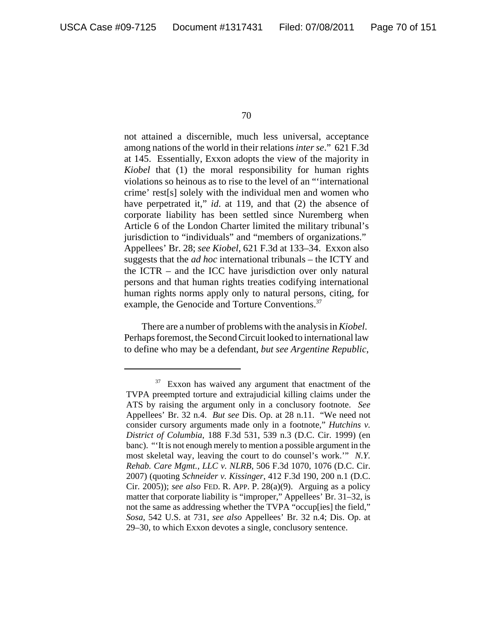not attained a discernible, much less universal, acceptance among nations of the world in their relations *inter se*." 621 F.3d at 145. Essentially, Exxon adopts the view of the majority in *Kiobel* that (1) the moral responsibility for human rights violations so heinous as to rise to the level of an "'international crime' rest[s] solely with the individual men and women who have perpetrated it," *id*. at 119, and that (2) the absence of corporate liability has been settled since Nuremberg when Article 6 of the London Charter limited the military tribunal's jurisdiction to "individuals" and "members of organizations." Appellees' Br. 28; *see Kiobel*, 621 F.3d at 133–34. Exxon also suggests that the *ad hoc* international tribunals – the ICTY and the ICTR – and the ICC have jurisdiction over only natural persons and that human rights treaties codifying international human rights norms apply only to natural persons, citing, for example, the Genocide and Torture Conventions.<sup>37</sup>

There are a number of problems with the analysis in *Kiobel*. Perhaps foremost, the Second Circuit looked to international law to define who may be a defendant, *but see Argentine Republic*,

 $37$  Exxon has waived any argument that enactment of the TVPA preempted torture and extrajudicial killing claims under the ATS by raising the argument only in a conclusory footnote. *See* Appellees' Br. 32 n.4. *But see* Dis. Op. at 28 n.11. "We need not consider cursory arguments made only in a footnote," *Hutchins v. District of Columbia*, 188 F.3d 531, 539 n.3 (D.C. Cir. 1999) (en banc). "'It is not enough merely to mention a possible argument in the most skeletal way, leaving the court to do counsel's work.'" *N.Y. Rehab. Care Mgmt., LLC v. NLRB*, 506 F.3d 1070, 1076 (D.C. Cir. 2007) (quoting *Schneider v. Kissinger*, 412 F.3d 190, 200 n.1 (D.C. Cir. 2005)); *see also* FED. R. APP. P. 28(a)(9). Arguing as a policy matter that corporate liability is "improper," Appellees' Br. 31–32, is not the same as addressing whether the TVPA "occup[ies] the field," *Sosa*, 542 U.S. at 731, *see also* Appellees' Br. 32 n.4; Dis. Op. at 29–30, to which Exxon devotes a single, conclusory sentence.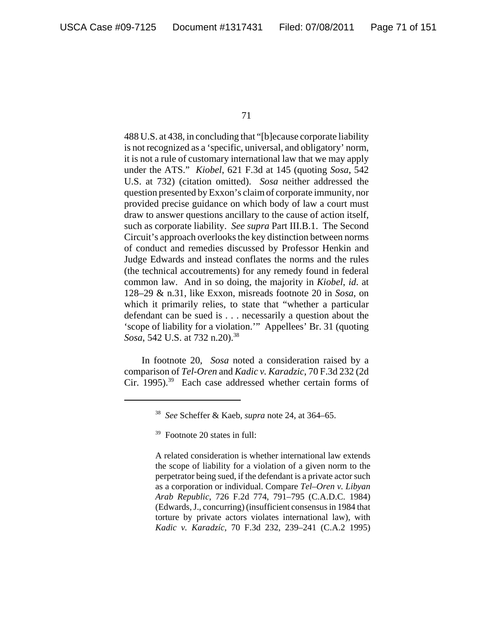488 U.S. at 438, in concluding that "[b]ecause corporate liability is not recognized as a 'specific, universal, and obligatory' norm, it is not a rule of customary international law that we may apply under the ATS." *Kiobel*, 621 F.3d at 145 (quoting *Sosa*, 542 U.S. at 732) (citation omitted). *Sosa* neither addressed the question presented by Exxon's claim of corporate immunity, nor provided precise guidance on which body of law a court must draw to answer questions ancillary to the cause of action itself, such as corporate liability. *See supra* Part III.B.1. The Second Circuit's approach overlooks the key distinction between norms of conduct and remedies discussed by Professor Henkin and Judge Edwards and instead conflates the norms and the rules (the technical accoutrements) for any remedy found in federal common law. And in so doing, the majority in *Kiobel*, *id*. at 128–29 & n.31, like Exxon, misreads footnote 20 in *Sosa*, on which it primarily relies, to state that "whether a particular defendant can be sued is . . . necessarily a question about the 'scope of liability for a violation.'" Appellees' Br. 31 (quoting *Sosa*, 542 U.S. at 732 n.20).<sup>38</sup>

In footnote 20, *Sosa* noted a consideration raised by a comparison of *Tel-Oren* and *Kadic v. Karadzic*, 70 F.3d 232 (2d Cir. 1995).<sup>39</sup> Each case addressed whether certain forms of

A related consideration is whether international law extends the scope of liability for a violation of a given norm to the perpetrator being sued, if the defendant is a private actor such as a corporation or individual. Compare *Tel–Oren v. Libyan Arab Republic*, 726 F.2d 774, 791–795 (C.A.D.C. 1984) (Edwards, J., concurring) (insufficient consensus in 1984 that torture by private actors violates international law), with *Kadic v. Karadzíc*, 70 F.3d 232, 239–241 (C.A.2 1995)

<sup>38</sup> *See* Scheffer & Kaeb, *supra* note 24, at 364–65.

 $39$  Footnote 20 states in full: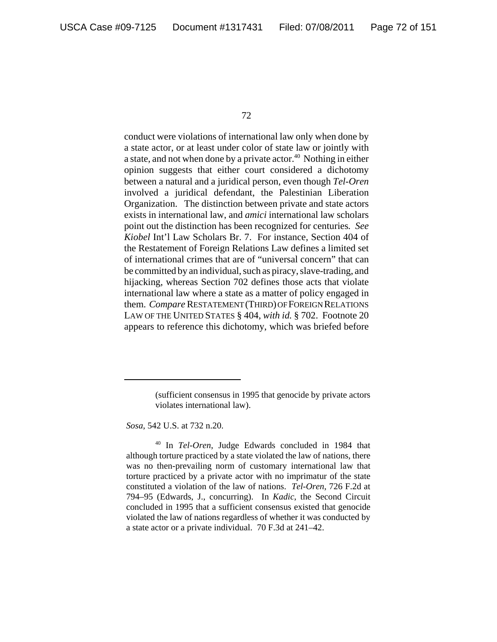conduct were violations of international law only when done by a state actor, or at least under color of state law or jointly with a state, and not when done by a private actor.<sup>40</sup> Nothing in either opinion suggests that either court considered a dichotomy between a natural and a juridical person, even though *Tel-Oren* involved a juridical defendant, the Palestinian Liberation Organization. The distinction between private and state actors exists in international law, and *amici* international law scholars point out the distinction has been recognized for centuries*. See Kiobel* Int'l Law Scholars Br. 7. For instance, Section 404 of the Restatement of Foreign Relations Law defines a limited set of international crimes that are of "universal concern" that can be committed by an individual, such as piracy, slave-trading, and hijacking, whereas Section 702 defines those acts that violate international law where a state as a matter of policy engaged in them. *Compare* RESTATEMENT (THIRD) OF FOREIGN RELATIONS LAW OF THE UNITED STATES § 404, *with id.* § 702. Footnote 20 appears to reference this dichotomy, which was briefed before

*Sosa*, 542 U.S. at 732 n.20.

<sup>(</sup>sufficient consensus in 1995 that genocide by private actors violates international law).

<sup>40</sup> In *Tel-Oren*, Judge Edwards concluded in 1984 that although torture practiced by a state violated the law of nations, there was no then-prevailing norm of customary international law that torture practiced by a private actor with no imprimatur of the state constituted a violation of the law of nations. *Tel-Oren*, 726 F.2d at 794–95 (Edwards, J., concurring). In *Kadic*, the Second Circuit concluded in 1995 that a sufficient consensus existed that genocide violated the law of nations regardless of whether it was conducted by a state actor or a private individual. 70 F.3d at 241–42.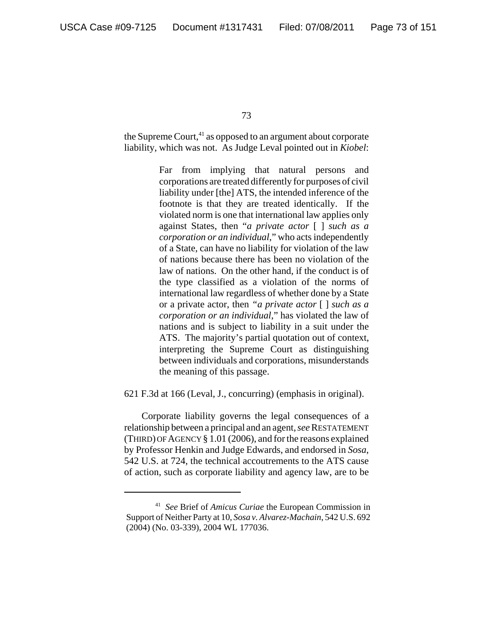the Supreme Court, $41$  as opposed to an argument about corporate liability, which was not. As Judge Leval pointed out in *Kiobel*:

> Far from implying that natural persons and corporations are treated differently for purposes of civil liability under [the] ATS, the intended inference of the footnote is that they are treated identically. If the violated norm is one that international law applies only against States, then "*a private actor* [ ] *such as a corporation or an individual*," who acts independently of a State, can have no liability for violation of the law of nations because there has been no violation of the law of nations. On the other hand, if the conduct is of the type classified as a violation of the norms of international law regardless of whether done by a State or a private actor, then *"a private actor* [ ] *such as a corporation or an individual*," has violated the law of nations and is subject to liability in a suit under the ATS. The majority's partial quotation out of context, interpreting the Supreme Court as distinguishing between individuals and corporations, misunderstands the meaning of this passage.

621 F.3d at 166 (Leval, J., concurring) (emphasis in original).

Corporate liability governs the legal consequences of a relationship between a principal and an agent, *see* RESTATEMENT (THIRD) OF AGENCY § 1.01 (2006), and for the reasons explained by Professor Henkin and Judge Edwards, and endorsed in *Sosa*, 542 U.S. at 724, the technical accoutrements to the ATS cause of action, such as corporate liability and agency law, are to be

<sup>41</sup> *See* Brief of *Amicus Curiae* the European Commission in Support of Neither Party at 10, *Sosa v. Alvarez-Machain*, 542 U.S. 692 (2004) (No. 03-339), 2004 WL 177036.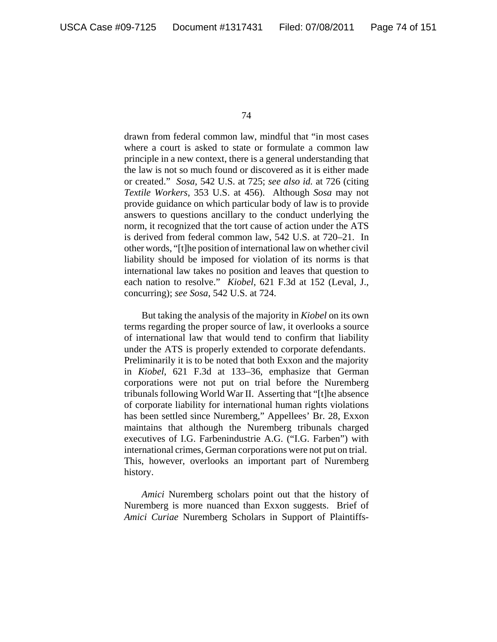drawn from federal common law, mindful that "in most cases where a court is asked to state or formulate a common law principle in a new context, there is a general understanding that the law is not so much found or discovered as it is either made or created." *Sosa*, 542 U.S. at 725; *see also id.* at 726 (citing *Textile Workers*, 353 U.S. at 456). Although *Sosa* may not provide guidance on which particular body of law is to provide answers to questions ancillary to the conduct underlying the norm, it recognized that the tort cause of action under the ATS is derived from federal common law, 542 U.S. at 720–21. In other words, "[t]he position of international law on whether civil liability should be imposed for violation of its norms is that international law takes no position and leaves that question to each nation to resolve." *Kiobel*, 621 F.3d at 152 (Leval, J., concurring); *see Sosa*, 542 U.S. at 724.

But taking the analysis of the majority in *Kiobel* on its own terms regarding the proper source of law, it overlooks a source of international law that would tend to confirm that liability under the ATS is properly extended to corporate defendants. Preliminarily it is to be noted that both Exxon and the majority in *Kiobel*, 621 F.3d at 133–36, emphasize that German corporations were not put on trial before the Nuremberg tribunals following World War II. Asserting that "[t]he absence of corporate liability for international human rights violations has been settled since Nuremberg," Appellees' Br. 28, Exxon maintains that although the Nuremberg tribunals charged executives of I.G. Farbenindustrie A.G. ("I.G. Farben") with international crimes, German corporations were not put on trial. This, however, overlooks an important part of Nuremberg history.

*Amici* Nuremberg scholars point out that the history of Nuremberg is more nuanced than Exxon suggests. Brief of *Amici Curiae* Nuremberg Scholars in Support of Plaintiffs-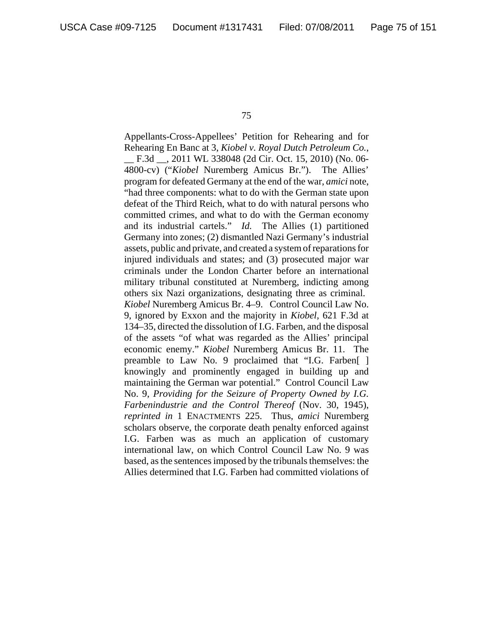Appellants-Cross-Appellees' Petition for Rehearing and for Rehearing En Banc at 3, *Kiobel v. Royal Dutch Petroleum Co.*, \_\_ F.3d \_\_, 2011 WL 338048 (2d Cir. Oct. 15, 2010) (No. 06- 4800-cv) ("*Kiobel* Nuremberg Amicus Br."). The Allies' program for defeated Germany at the end of the war, *amici* note, "had three components: what to do with the German state upon defeat of the Third Reich, what to do with natural persons who committed crimes, and what to do with the German economy and its industrial cartels." *Id.* The Allies (1) partitioned Germany into zones; (2) dismantled Nazi Germany's industrial assets, public and private, and created a system of reparations for injured individuals and states; and (3) prosecuted major war criminals under the London Charter before an international military tribunal constituted at Nuremberg, indicting among others six Nazi organizations, designating three as criminal. *Kiobel* Nuremberg Amicus Br. 4–9. Control Council Law No. 9, ignored by Exxon and the majority in *Kiobel*, 621 F.3d at 134–35, directed the dissolution of I.G. Farben, and the disposal of the assets "of what was regarded as the Allies' principal economic enemy." *Kiobel* Nuremberg Amicus Br. 11. The preamble to Law No. 9 proclaimed that "I.G. Farben[ ] knowingly and prominently engaged in building up and maintaining the German war potential." Control Council Law No. 9, *Providing for the Seizure of Property Owned by I.G. Farbenindustrie and the Control Thereof* (Nov. 30, 1945), *reprinted in* 1 ENACTMENTS 225. Thus, *amici* Nuremberg scholars observe, the corporate death penalty enforced against I.G. Farben was as much an application of customary international law, on which Control Council Law No. 9 was based, as the sentences imposed by the tribunals themselves: the Allies determined that I.G. Farben had committed violations of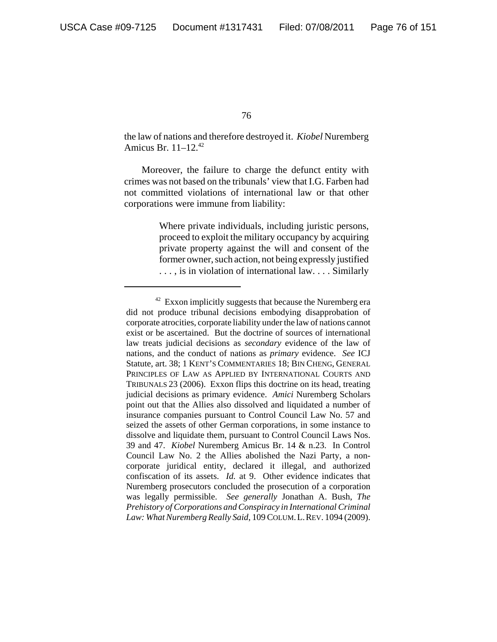the law of nations and therefore destroyed it. *Kiobel* Nuremberg Amicus Br. 11–12.42

Moreover, the failure to charge the defunct entity with crimes was not based on the tribunals' view that I.G. Farben had not committed violations of international law or that other corporations were immune from liability:

> Where private individuals, including juristic persons, proceed to exploit the military occupancy by acquiring private property against the will and consent of the former owner, such action, not being expressly justified . . . , is in violation of international law. . . . Similarly

 $42$  Exxon implicitly suggests that because the Nuremberg era did not produce tribunal decisions embodying disapprobation of corporate atrocities, corporate liability under the law of nations cannot exist or be ascertained. But the doctrine of sources of international law treats judicial decisions as *secondary* evidence of the law of nations, and the conduct of nations as *primary* evidence. *See* ICJ Statute, art. 38; 1 KENT'S COMMENTARIES 18; BIN CHENG, GENERAL PRINCIPLES OF LAW AS APPLIED BY INTERNATIONAL COURTS AND TRIBUNALS 23 (2006). Exxon flips this doctrine on its head, treating judicial decisions as primary evidence. *Amici* Nuremberg Scholars point out that the Allies also dissolved and liquidated a number of insurance companies pursuant to Control Council Law No. 57 and seized the assets of other German corporations, in some instance to dissolve and liquidate them, pursuant to Control Council Laws Nos. 39 and 47. *Kiobel* Nuremberg Amicus Br. 14 & n.23. In Control Council Law No. 2 the Allies abolished the Nazi Party, a noncorporate juridical entity, declared it illegal, and authorized confiscation of its assets. *Id.* at 9. Other evidence indicates that Nuremberg prosecutors concluded the prosecution of a corporation was legally permissible. *See generally* Jonathan A. Bush, *The Prehistory of Corporations and Conspiracy in International Criminal Law: What Nuremberg Really Said*, 109 COLUM.L.REV. 1094 (2009).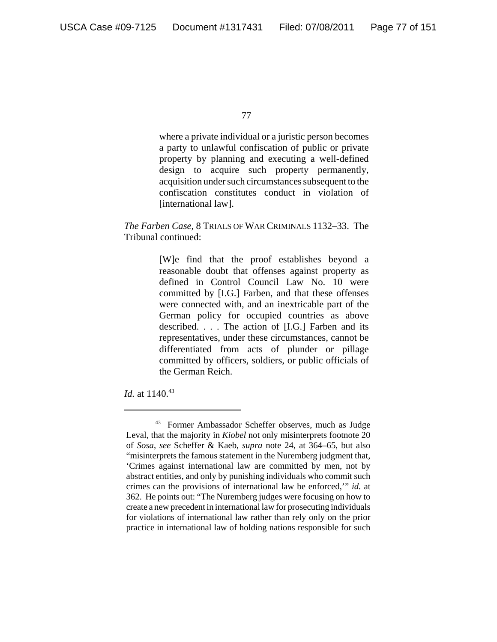where a private individual or a juristic person becomes a party to unlawful confiscation of public or private property by planning and executing a well-defined design to acquire such property permanently, acquisition under such circumstances subsequent to the confiscation constitutes conduct in violation of [international law].

# *The Farben Case*, 8 TRIALS OF WAR CRIMINALS 1132–33. The Tribunal continued:

[W]e find that the proof establishes beyond a reasonable doubt that offenses against property as defined in Control Council Law No. 10 were committed by [I.G.] Farben, and that these offenses were connected with, and an inextricable part of the German policy for occupied countries as above described. . . . The action of [I.G.] Farben and its representatives, under these circumstances, cannot be differentiated from acts of plunder or pillage committed by officers, soldiers, or public officials of the German Reich.

*Id.* at 1140.<sup>43</sup>

<sup>43</sup> Former Ambassador Scheffer observes, much as Judge Leval, that the majority in *Kiobel* not only misinterprets footnote 20 of *Sosa*, *see* Scheffer & Kaeb, *supra* note 24, at 364–65, but also "misinterprets the famous statement in the Nuremberg judgment that, 'Crimes against international law are committed by men, not by abstract entities, and only by punishing individuals who commit such crimes can the provisions of international law be enforced,'" *id.* at 362. He points out: "The Nuremberg judges were focusing on how to create a new precedent in international law for prosecuting individuals for violations of international law rather than rely only on the prior practice in international law of holding nations responsible for such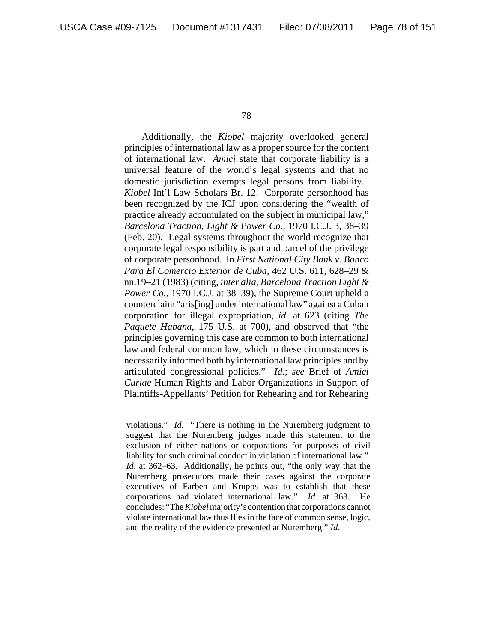Additionally, the *Kiobel* majority overlooked general principles of international law as a proper source for the content of international law. *Amici* state that corporate liability is a universal feature of the world's legal systems and that no domestic jurisdiction exempts legal persons from liability. *Kiobel* Int'l Law Scholars Br. 12. Corporate personhood has been recognized by the ICJ upon considering the "wealth of practice already accumulated on the subject in municipal law," *Barcelona Traction, Light & Power Co.*, 1970 I.C.J. 3, 38–39 (Feb. 20). Legal systems throughout the world recognize that corporate legal responsibility is part and parcel of the privilege of corporate personhood. In *First National City Bank v. Banco Para El Comercio Exterior de Cuba*, 462 U.S. 611, 628–29 & nn.19–21 (1983) (citing, *inter alia*, *Barcelona Traction Light & Power Co.*, 1970 I.C.J. at 38–39), the Supreme Court upheld a counterclaim "aris[ing] under international law" against a Cuban corporation for illegal expropriation, *id.* at 623 (citing *The Paquete Habana*, 175 U.S. at 700), and observed that "the principles governing this case are common to both international law and federal common law, which in these circumstances is necessarily informed both by international law principles and by articulated congressional policies." *Id*.; *see* Brief of *Amici Curiae* Human Rights and Labor Organizations in Support of Plaintiffs-Appellants' Petition for Rehearing and for Rehearing

violations." *Id.* "There is nothing in the Nuremberg judgment to suggest that the Nuremberg judges made this statement to the exclusion of either nations or corporations for purposes of civil liability for such criminal conduct in violation of international law." *Id*. at 362–63. Additionally, he points out, "the only way that the Nuremberg prosecutors made their cases against the corporate executives of Farben and Krupps was to establish that these corporations had violated international law." *Id.* at 363. He concludes: "The *Kiobel* majority's contention that corporations cannot violate international law thus flies in the face of common sense, logic, and the reality of the evidence presented at Nuremberg." *Id*.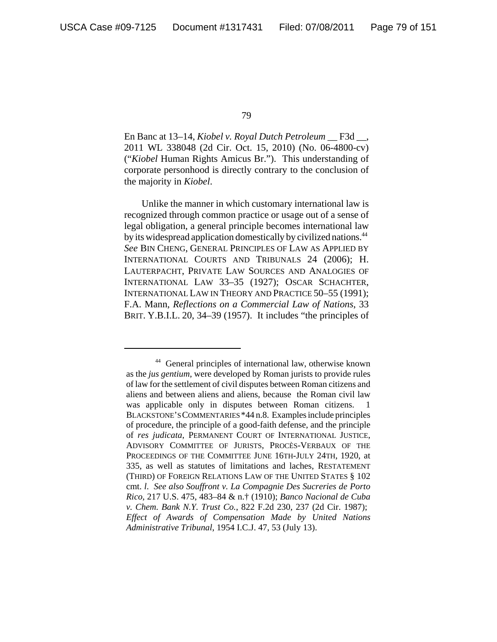En Banc at 13–14, *Kiobel v. Royal Dutch Petroleum* \_\_ F3d \_\_, 2011 WL 338048 (2d Cir. Oct. 15, 2010) (No. 06-4800-cv) ("*Kiobel* Human Rights Amicus Br."). This understanding of corporate personhood is directly contrary to the conclusion of the majority in *Kiobel*.

Unlike the manner in which customary international law is recognized through common practice or usage out of a sense of legal obligation, a general principle becomes international law by its widespread application domestically by civilized nations.<sup>44</sup> *See* BIN CHENG, GENERAL PRINCIPLES OF LAW AS APPLIED BY INTERNATIONAL COURTS AND TRIBUNALS 24 (2006); H. LAUTERPACHT, PRIVATE LAW SOURCES AND ANALOGIES OF INTERNATIONAL LAW 33–35 (1927); OSCAR SCHACHTER, INTERNATIONAL LAW IN THEORY AND PRACTICE 50–55 (1991); F.A. Mann, *Reflections on a Commercial Law of Nations*, 33 BRIT. Y.B.I.L. 20, 34–39 (1957). It includes "the principles of

<sup>44</sup> General principles of international law, otherwise known as the *jus gentium*, were developed by Roman jurists to provide rules of law for the settlement of civil disputes between Roman citizens and aliens and between aliens and aliens, because the Roman civil law was applicable only in disputes between Roman citizens. BLACKSTONE'S COMMENTARIES \*44 n.8. Examples include principles of procedure, the principle of a good-faith defense, and the principle of *res judicata*, PERMANENT COURT OF INTERNATIONAL JUSTICE, ADVISORY COMMITTEE OF JURISTS, PROCÈS-VERBAUX OF THE PROCEEDINGS OF THE COMMITTEE JUNE 16TH-JULY 24TH, 1920, at 335, as well as statutes of limitations and laches, RESTATEMENT (THIRD) OF FOREIGN RELATIONS LAW OF THE UNITED STATES § 102 cmt. *l*. *See also Souffront v. La Compagnie Des Sucreries de Porto Rico*, 217 U.S. 475, 483–84 & n.† (1910); *Banco Nacional de Cuba v. Chem. Bank N.Y. Trust Co.*, 822 F.2d 230, 237 (2d Cir. 1987); *Effect of Awards of Compensation Made by United Nations Administrative Tribunal*, 1954 I.C.J. 47, 53 (July 13).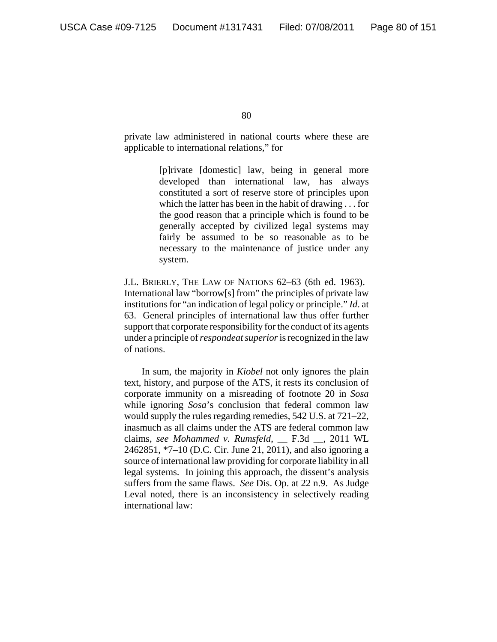private law administered in national courts where these are applicable to international relations," for

> [p]rivate [domestic] law, being in general more developed than international law, has always constituted a sort of reserve store of principles upon which the latter has been in the habit of drawing . . . for the good reason that a principle which is found to be generally accepted by civilized legal systems may fairly be assumed to be so reasonable as to be necessary to the maintenance of justice under any system.

J.L. BRIERLY, THE LAW OF NATIONS 62–63 (6th ed. 1963). International law "borrow[s] from" the principles of private law institutions for "an indication of legal policy or principle." *Id*. at 63. General principles of international law thus offer further support that corporate responsibility for the conduct of its agents under a principle of *respondeat superior* is recognized in the law of nations.

In sum, the majority in *Kiobel* not only ignores the plain text, history, and purpose of the ATS, it rests its conclusion of corporate immunity on a misreading of footnote 20 in *Sosa* while ignoring *Sosa*'s conclusion that federal common law would supply the rules regarding remedies, 542 U.S. at 721–22, inasmuch as all claims under the ATS are federal common law claims, *see Mohammed v. Rumsfeld*, \_\_ F.3d \_\_, 2011 WL 2462851, \*7–10 (D.C. Cir. June 21, 2011), and also ignoring a source of international law providing for corporate liability in all legal systems. In joining this approach, the dissent's analysis suffers from the same flaws. *See* Dis. Op. at 22 n.9. As Judge Leval noted, there is an inconsistency in selectively reading international law: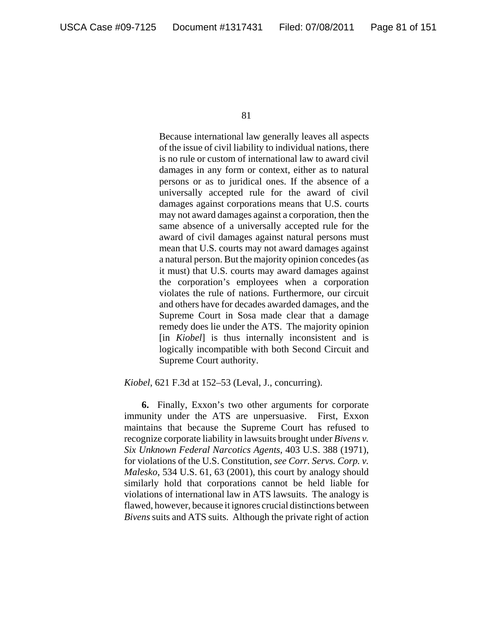Because international law generally leaves all aspects of the issue of civil liability to individual nations, there is no rule or custom of international law to award civil damages in any form or context, either as to natural persons or as to juridical ones. If the absence of a universally accepted rule for the award of civil damages against corporations means that U.S. courts may not award damages against a corporation, then the same absence of a universally accepted rule for the award of civil damages against natural persons must mean that U.S. courts may not award damages against a natural person. But the majority opinion concedes (as it must) that U.S. courts may award damages against the corporation's employees when a corporation violates the rule of nations. Furthermore, our circuit and others have for decades awarded damages, and the Supreme Court in Sosa made clear that a damage remedy does lie under the ATS. The majority opinion [in *Kiobel*] is thus internally inconsistent and is logically incompatible with both Second Circuit and Supreme Court authority.

*Kiobel*, 621 F.3d at 152–53 (Leval, J., concurring).

**6.** Finally, Exxon's two other arguments for corporate immunity under the ATS are unpersuasive. First, Exxon maintains that because the Supreme Court has refused to recognize corporate liability in lawsuits brought under *Bivens v. Six Unknown Federal Narcotics Agents*, 403 U.S. 388 (1971), for violations of the U.S. Constitution, *see Corr. Servs. Corp. v. Malesko*, 534 U.S. 61, 63 (2001), this court by analogy should similarly hold that corporations cannot be held liable for violations of international law in ATS lawsuits. The analogy is flawed, however, because it ignores crucial distinctions between *Bivens* suits and ATS suits. Although the private right of action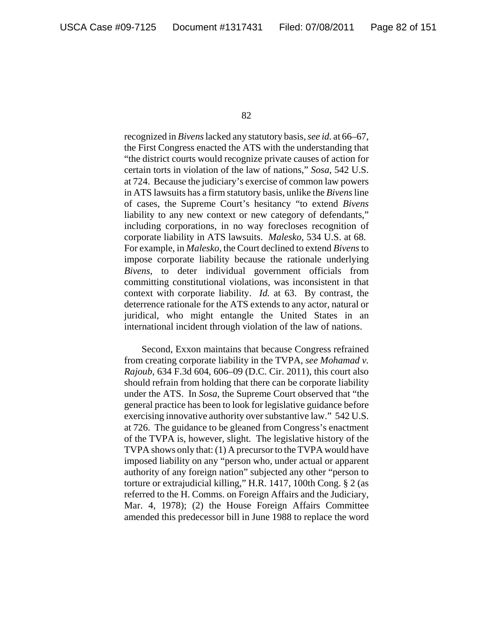recognized in *Bivens* lacked any statutory basis, *see id.* at 66–67, the First Congress enacted the ATS with the understanding that "the district courts would recognize private causes of action for certain torts in violation of the law of nations," *Sosa*, 542 U.S. at 724. Because the judiciary's exercise of common law powers in ATS lawsuits has a firm statutory basis, unlike the *Bivens* line of cases, the Supreme Court's hesitancy "to extend *Bivens* liability to any new context or new category of defendants," including corporations, in no way forecloses recognition of corporate liability in ATS lawsuits. *Malesko*, 534 U.S. at 68. For example, in *Malesko*, the Court declined to extend *Bivens* to impose corporate liability because the rationale underlying *Bivens*, to deter individual government officials from committing constitutional violations, was inconsistent in that context with corporate liability. *Id.* at 63. By contrast, the deterrence rationale for the ATS extends to any actor, natural or juridical, who might entangle the United States in an international incident through violation of the law of nations.

Second, Exxon maintains that because Congress refrained from creating corporate liability in the TVPA, *see Mohamad v. Rajoub*, 634 F.3d 604, 606–09 (D.C. Cir. 2011), this court also should refrain from holding that there can be corporate liability under the ATS. In *Sosa*, the Supreme Court observed that "the general practice has been to look for legislative guidance before exercising innovative authority over substantive law." 542 U.S. at 726. The guidance to be gleaned from Congress's enactment of the TVPA is, however, slight. The legislative history of the TVPA shows only that: (1) A precursor to the TVPA would have imposed liability on any "person who, under actual or apparent authority of any foreign nation" subjected any other "person to torture or extrajudicial killing," H.R. 1417, 100th Cong. § 2 (as referred to the H. Comms. on Foreign Affairs and the Judiciary, Mar. 4, 1978); (2) the House Foreign Affairs Committee amended this predecessor bill in June 1988 to replace the word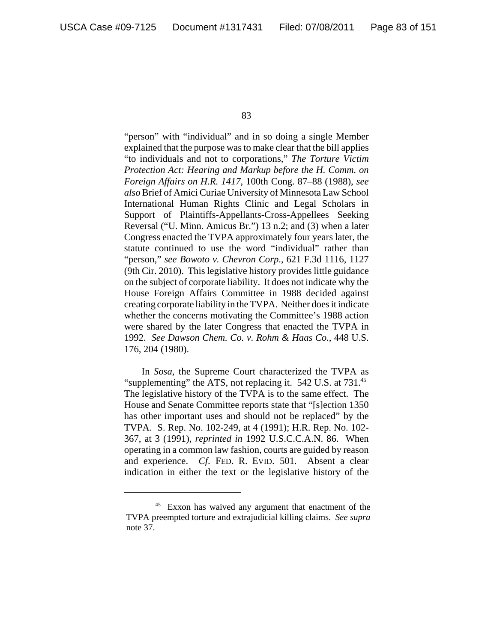"person" with "individual" and in so doing a single Member explained that the purpose was to make clear that the bill applies "to individuals and not to corporations," *The Torture Victim Protection Act: Hearing and Markup before the H. Comm. on Foreign Affairs on H.R. 1417*, 100th Cong. 87–88 (1988), *see also* Brief of Amici Curiae University of Minnesota Law School International Human Rights Clinic and Legal Scholars in Support of Plaintiffs-Appellants-Cross-Appellees Seeking Reversal ("U. Minn. Amicus Br.") 13 n.2; and (3) when a later Congress enacted the TVPA approximately four years later, the statute continued to use the word "individual" rather than "person," *see Bowoto v. Chevron Corp*., 621 F.3d 1116, 1127 (9th Cir. 2010). This legislative history provides little guidance on the subject of corporate liability. It does not indicate why the House Foreign Affairs Committee in 1988 decided against creating corporate liability in the TVPA. Neither does it indicate whether the concerns motivating the Committee's 1988 action were shared by the later Congress that enacted the TVPA in 1992. *See Dawson Chem. Co. v. Rohm & Haas Co.*, 448 U.S. 176, 204 (1980).

In *Sosa*, the Supreme Court characterized the TVPA as "supplementing" the ATS, not replacing it. 542 U.S. at 731.<sup>45</sup> The legislative history of the TVPA is to the same effect. The House and Senate Committee reports state that "[s]ection 1350 has other important uses and should not be replaced" by the TVPA. S. Rep. No. 102-249, at 4 (1991); H.R. Rep. No. 102- 367, at 3 (1991), *reprinted in* 1992 U.S.C.C.A.N. 86. When operating in a common law fashion, courts are guided by reason and experience. *Cf*. FED. R. EVID. 501. Absent a clear indication in either the text or the legislative history of the

<sup>&</sup>lt;sup>45</sup> Exxon has waived any argument that enactment of the TVPA preempted torture and extrajudicial killing claims. *See supra* note 37.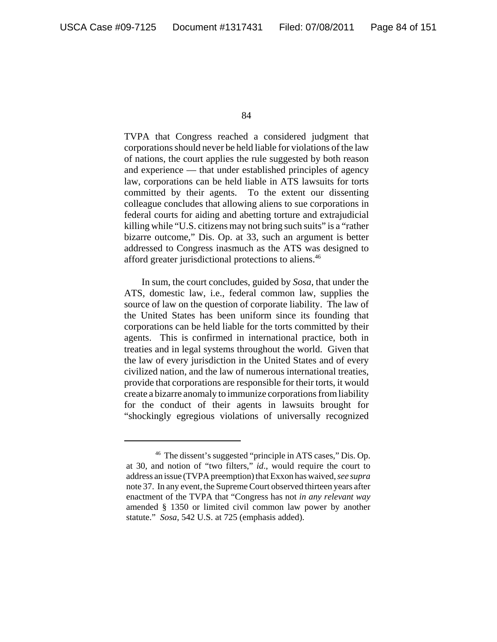TVPA that Congress reached a considered judgment that corporations should never be held liable for violations of the law of nations, the court applies the rule suggested by both reason and experience — that under established principles of agency law, corporations can be held liable in ATS lawsuits for torts committed by their agents. To the extent our dissenting colleague concludes that allowing aliens to sue corporations in federal courts for aiding and abetting torture and extrajudicial killing while "U.S. citizens may not bring such suits" is a "rather bizarre outcome," Dis. Op. at 33, such an argument is better addressed to Congress inasmuch as the ATS was designed to afford greater jurisdictional protections to aliens.46

In sum, the court concludes, guided by *Sosa*, that under the ATS, domestic law, i.e., federal common law, supplies the source of law on the question of corporate liability. The law of the United States has been uniform since its founding that corporations can be held liable for the torts committed by their agents. This is confirmed in international practice, both in treaties and in legal systems throughout the world. Given that the law of every jurisdiction in the United States and of every civilized nation, and the law of numerous international treaties, provide that corporations are responsible for their torts, it would create a bizarre anomaly to immunize corporations from liability for the conduct of their agents in lawsuits brought for "shockingly egregious violations of universally recognized

<sup>46</sup> The dissent's suggested "principle in ATS cases," Dis. Op. at 30, and notion of "two filters," *id*., would require the court to address an issue (TVPA preemption) that Exxon has waived, *see supra* note 37. In any event, the Supreme Court observed thirteen years after enactment of the TVPA that "Congress has not *in any relevant way* amended § 1350 or limited civil common law power by another statute." *Sosa*, 542 U.S. at 725 (emphasis added).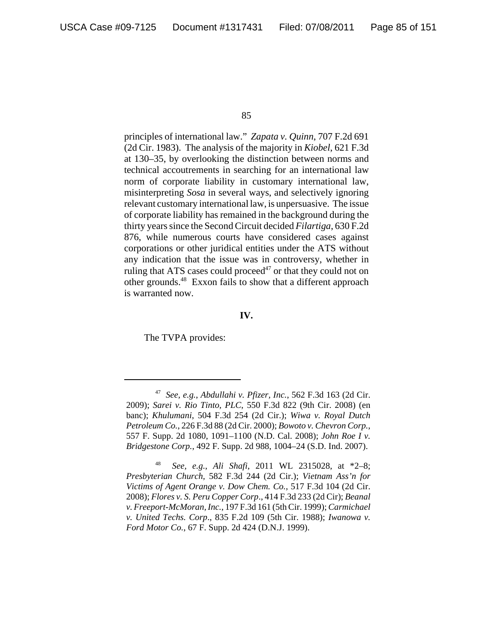principles of international law." *Zapata v. Quinn*, 707 F.2d 691 (2d Cir. 1983). The analysis of the majority in *Kiobel*, 621 F.3d at 130–35, by overlooking the distinction between norms and technical accoutrements in searching for an international law norm of corporate liability in customary international law, misinterpreting *Sosa* in several ways, and selectively ignoring relevant customary international law, is unpersuasive. The issue of corporate liability has remained in the background during the thirty years since the Second Circuit decided *Filartiga*, 630 F.2d 876, while numerous courts have considered cases against corporations or other juridical entities under the ATS without any indication that the issue was in controversy, whether in ruling that ATS cases could proceed<sup>47</sup> or that they could not on other grounds.48 Exxon fails to show that a different approach is warranted now.

### **IV.**

The TVPA provides:

<sup>47</sup> *See, e.g.*, *Abdullahi v. Pfizer, Inc.*, 562 F.3d 163 (2d Cir. 2009); *Sarei v. Rio Tinto, PLC*, 550 F.3d 822 (9th Cir. 2008) (en banc); *Khulumani*, 504 F.3d 254 (2d Cir.); *Wiwa v. Royal Dutch Petroleum Co.*, 226 F.3d 88 (2d Cir. 2000); *Bowoto v. Chevron Corp.*, 557 F. Supp. 2d 1080, 1091–1100 (N.D. Cal. 2008); *John Roe I v. Bridgestone Corp.*, 492 F. Supp. 2d 988, 1004–24 (S.D. Ind. 2007).

<sup>48</sup> *See, e.g.*, *Ali Shafi*, 2011 WL 2315028, at \*2–8; *Presbyterian Church,* 582 F.3d 244 (2d Cir.); *Vietnam Ass'n for Victims of Agent Orange v. Dow Chem. Co.*, 517 F.3d 104 (2d Cir. 2008); *Flores v. S. Peru Copper Corp*., 414 F.3d 233 (2d Cir); *Beanal v. Freeport-McMoran, Inc.*, 197 F.3d 161 (5th Cir. 1999); *Carmichael v. United Techs. Corp*., 835 F.2d 109 (5th Cir. 1988); *Iwanowa v. Ford Motor Co.*, 67 F. Supp. 2d 424 (D.N.J. 1999).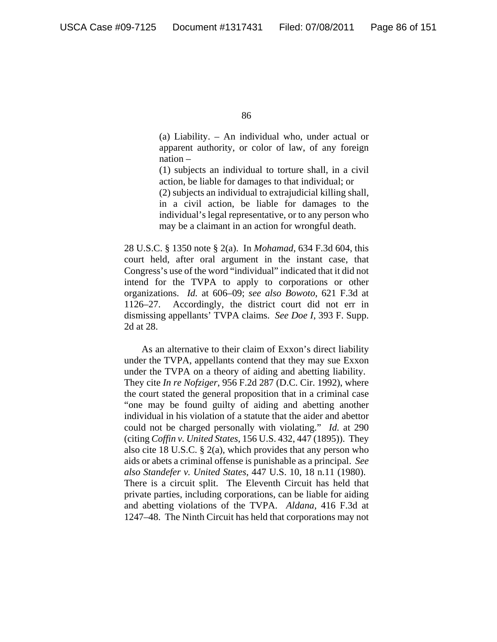(a) Liability. – An individual who, under actual or apparent authority, or color of law, of any foreign nation –

(1) subjects an individual to torture shall, in a civil action, be liable for damages to that individual; or

(2) subjects an individual to extrajudicial killing shall, in a civil action, be liable for damages to the individual's legal representative, or to any person who may be a claimant in an action for wrongful death.

28 U.S.C. § 1350 note § 2(a). In *Mohamad*, 634 F.3d 604, this court held, after oral argument in the instant case, that Congress's use of the word "individual" indicated that it did not intend for the TVPA to apply to corporations or other organizations. *Id.* at 606–09; *see also Bowoto*, 621 F.3d at 1126–27. Accordingly, the district court did not err in dismissing appellants' TVPA claims. *See Doe I*, 393 F. Supp. 2d at 28.

As an alternative to their claim of Exxon's direct liability under the TVPA, appellants contend that they may sue Exxon under the TVPA on a theory of aiding and abetting liability. They cite *In re Nofziger*, 956 F.2d 287 (D.C. Cir. 1992), where the court stated the general proposition that in a criminal case "one may be found guilty of aiding and abetting another individual in his violation of a statute that the aider and abettor could not be charged personally with violating." *Id.* at 290 (citing *Coffin v. United States*, 156 U.S. 432, 447 (1895)). They also cite 18 U.S.C. § 2(a), which provides that any person who aids or abets a criminal offense is punishable as a principal. *See also Standefer v. United States*, 447 U.S. 10, 18 n.11 (1980). There is a circuit split. The Eleventh Circuit has held that private parties, including corporations, can be liable for aiding and abetting violations of the TVPA. *Aldana*, 416 F.3d at 1247–48. The Ninth Circuit has held that corporations may not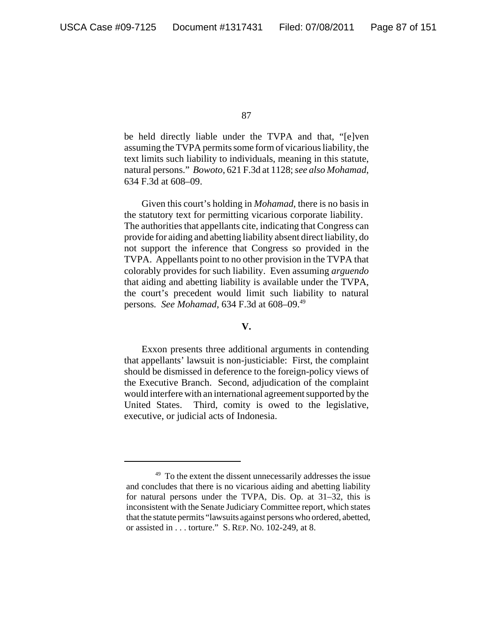be held directly liable under the TVPA and that, "[e]ven assuming the TVPA permits some form of vicarious liability, the text limits such liability to individuals, meaning in this statute, natural persons." *Bowoto*, 621 F.3d at 1128; *see also Mohamad*, 634 F.3d at 608–09.

Given this court's holding in *Mohamad*, there is no basis in the statutory text for permitting vicarious corporate liability. The authorities that appellants cite, indicating that Congress can provide for aiding and abetting liability absent direct liability, do not support the inference that Congress so provided in the TVPA. Appellants point to no other provision in the TVPA that colorably provides for such liability. Even assuming *arguendo* that aiding and abetting liability is available under the TVPA, the court's precedent would limit such liability to natural persons*. See Mohamad*, 634 F.3d at 608–09.49

# **V.**

Exxon presents three additional arguments in contending that appellants' lawsuit is non-justiciable: First, the complaint should be dismissed in deference to the foreign-policy views of the Executive Branch. Second, adjudication of the complaint would interfere with an international agreement supported by the United States. Third, comity is owed to the legislative, executive, or judicial acts of Indonesia.

 $49$  To the extent the dissent unnecessarily addresses the issue and concludes that there is no vicarious aiding and abetting liability for natural persons under the TVPA, Dis. Op. at 31–32, this is inconsistent with the Senate Judiciary Committee report, which states that the statute permits "lawsuits against persons who ordered, abetted, or assisted in . . . torture." S. REP. NO. 102-249, at 8.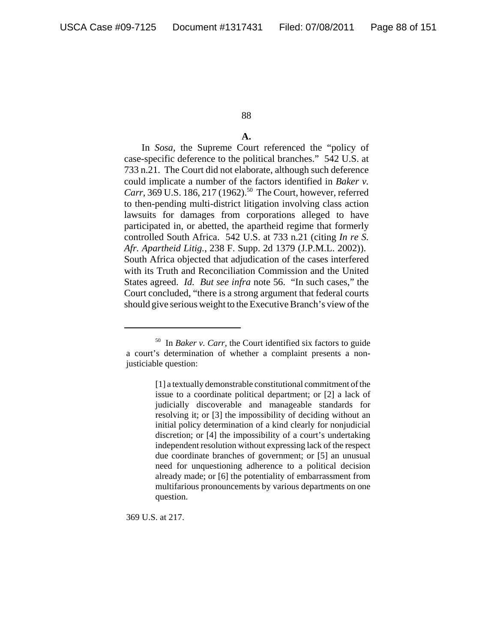# **A.**

In *Sosa*, the Supreme Court referenced the "policy of case-specific deference to the political branches." 542 U.S. at 733 n.21. The Court did not elaborate, although such deference could implicate a number of the factors identified in *Baker v. Carr*, 369 U.S. 186, 217 (1962).<sup>50</sup> The Court, however, referred to then-pending multi-district litigation involving class action lawsuits for damages from corporations alleged to have participated in, or abetted, the apartheid regime that formerly controlled South Africa. 542 U.S. at 733 n.21 (citing *In re S. Afr. Apartheid Litig.*, 238 F. Supp. 2d 1379 (J.P.M.L. 2002)). South Africa objected that adjudication of the cases interfered with its Truth and Reconciliation Commission and the United States agreed. *Id. But see infra* note 56. "In such cases," the Court concluded, "there is a strong argument that federal courts should give serious weight to the Executive Branch's view of the

369 U.S. at 217.

<sup>50</sup> In *Baker v. Carr*, the Court identified six factors to guide a court's determination of whether a complaint presents a nonjusticiable question:

<sup>[1]</sup> a textually demonstrable constitutional commitment of the issue to a coordinate political department; or [2] a lack of judicially discoverable and manageable standards for resolving it; or [3] the impossibility of deciding without an initial policy determination of a kind clearly for nonjudicial discretion; or [4] the impossibility of a court's undertaking independent resolution without expressing lack of the respect due coordinate branches of government; or [5] an unusual need for unquestioning adherence to a political decision already made; or [6] the potentiality of embarrassment from multifarious pronouncements by various departments on one question.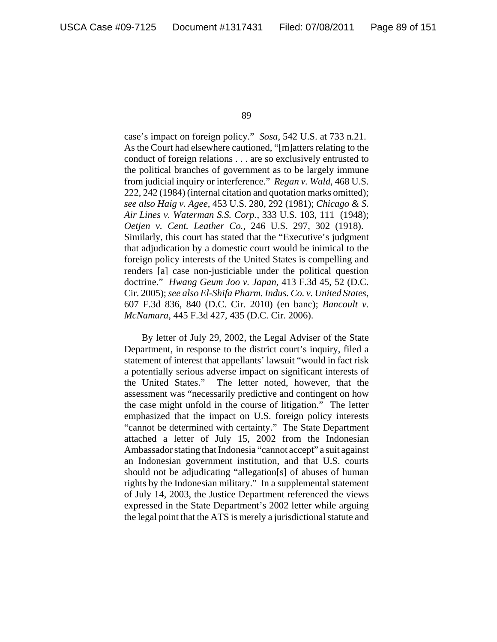case's impact on foreign policy." *Sosa*, 542 U.S. at 733 n.21. As the Court had elsewhere cautioned, "[m]atters relating to the conduct of foreign relations . . . are so exclusively entrusted to the political branches of government as to be largely immune from judicial inquiry or interference." *Regan v. Wald*, 468 U.S. 222, 242 (1984) (internal citation and quotation marks omitted); *see also Haig v. Agee*, 453 U.S. 280, 292 (1981); *Chicago & S. Air Lines v. Waterman S.S. Corp.*, 333 U.S. 103, 111 (1948); *Oetjen v. Cent. Leather Co.*, 246 U.S. 297, 302 (1918). Similarly, this court has stated that the "Executive's judgment that adjudication by a domestic court would be inimical to the foreign policy interests of the United States is compelling and renders [a] case non-justiciable under the political question doctrine." *Hwang Geum Joo v. Japan*, 413 F.3d 45, 52 (D.C. Cir. 2005); *see also El-Shifa Pharm. Indus. Co. v. United States*, 607 F.3d 836, 840 (D.C. Cir. 2010) (en banc); *Bancoult v. McNamara*, 445 F.3d 427, 435 (D.C. Cir. 2006).

By letter of July 29, 2002, the Legal Adviser of the State Department, in response to the district court's inquiry, filed a statement of interest that appellants' lawsuit "would in fact risk a potentially serious adverse impact on significant interests of the United States." The letter noted, however, that the assessment was "necessarily predictive and contingent on how the case might unfold in the course of litigation." The letter emphasized that the impact on U.S. foreign policy interests "cannot be determined with certainty." The State Department attached a letter of July 15, 2002 from the Indonesian Ambassador stating that Indonesia "cannot accept" a suit against an Indonesian government institution, and that U.S. courts should not be adjudicating "allegation[s] of abuses of human rights by the Indonesian military." In a supplemental statement of July 14, 2003, the Justice Department referenced the views expressed in the State Department's 2002 letter while arguing the legal point that the ATS is merely a jurisdictional statute and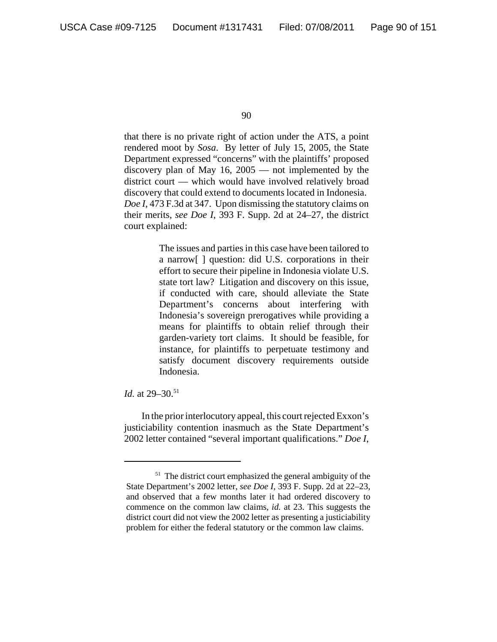that there is no private right of action under the ATS, a point rendered moot by *Sosa*. By letter of July 15, 2005, the State Department expressed "concerns" with the plaintiffs' proposed discovery plan of May 16, 2005 — not implemented by the district court — which would have involved relatively broad discovery that could extend to documents located in Indonesia. *Doe I*, 473 F.3d at 347. Upon dismissing the statutory claims on their merits, *see Doe I*, 393 F. Supp. 2d at 24–27, the district court explained:

> The issues and parties in this case have been tailored to a narrow[ ] question: did U.S. corporations in their effort to secure their pipeline in Indonesia violate U.S. state tort law? Litigation and discovery on this issue, if conducted with care, should alleviate the State Department's concerns about interfering with Indonesia's sovereign prerogatives while providing a means for plaintiffs to obtain relief through their garden-variety tort claims. It should be feasible, for instance, for plaintiffs to perpetuate testimony and satisfy document discovery requirements outside Indonesia.

*Id.* at 29–30.<sup>51</sup>

In the prior interlocutory appeal, this court rejected Exxon's justiciability contention inasmuch as the State Department's 2002 letter contained "several important qualifications." *Doe I*,

<sup>&</sup>lt;sup>51</sup> The district court emphasized the general ambiguity of the State Department's 2002 letter, *see Doe I*, 393 F. Supp. 2d at 22–23, and observed that a few months later it had ordered discovery to commence on the common law claims, *id.* at 23. This suggests the district court did not view the 2002 letter as presenting a justiciability problem for either the federal statutory or the common law claims.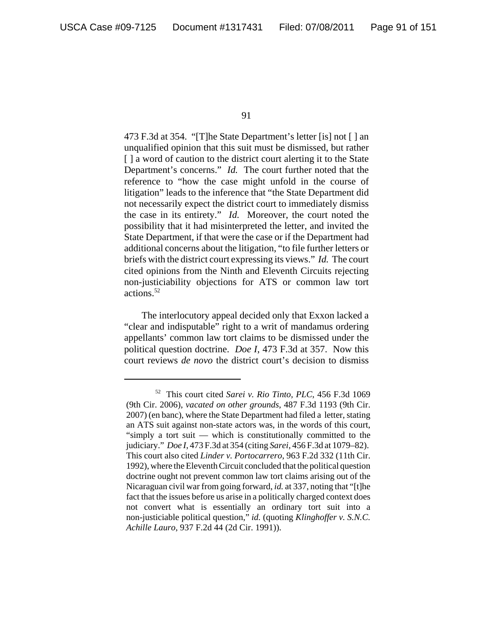473 F.3d at 354. "[T]he State Department's letter [is] not [ ] an unqualified opinion that this suit must be dismissed, but rather [ ] a word of caution to the district court alerting it to the State Department's concerns." *Id.* The court further noted that the reference to "how the case might unfold in the course of litigation" leads to the inference that "the State Department did not necessarily expect the district court to immediately dismiss the case in its entirety." *Id.* Moreover, the court noted the possibility that it had misinterpreted the letter, and invited the State Department, if that were the case or if the Department had additional concerns about the litigation, "to file further letters or briefs with the district court expressing its views." *Id.* The court cited opinions from the Ninth and Eleventh Circuits rejecting non-justiciability objections for ATS or common law tort actions.52

The interlocutory appeal decided only that Exxon lacked a "clear and indisputable" right to a writ of mandamus ordering appellants' common law tort claims to be dismissed under the political question doctrine. *Doe I*, 473 F.3d at 357. Now this court reviews *de novo* the district court's decision to dismiss

<sup>52</sup> This court cited *Sarei v. Rio Tinto, PLC*, 456 F.3d 1069 (9th Cir. 2006), *vacated on other grounds*, 487 F.3d 1193 (9th Cir. 2007) (en banc), where the State Department had filed a letter, stating an ATS suit against non-state actors was, in the words of this court, "simply a tort suit — which is constitutionally committed to the judiciary." *Doe I*, 473 F.3d at 354 (citing *Sarei*, 456 F.3d at 1079–82). This court also cited *Linder v. Portocarrero*, 963 F.2d 332 (11th Cir. 1992), where the Eleventh Circuit concluded that the political question doctrine ought not prevent common law tort claims arising out of the Nicaraguan civil war from going forward, *id.* at 337, noting that "[t]he fact that the issues before us arise in a politically charged context does not convert what is essentially an ordinary tort suit into a non-justiciable political question," *id.* (quoting *Klinghoffer v. S.N.C. Achille Lauro*, 937 F.2d 44 (2d Cir. 1991)).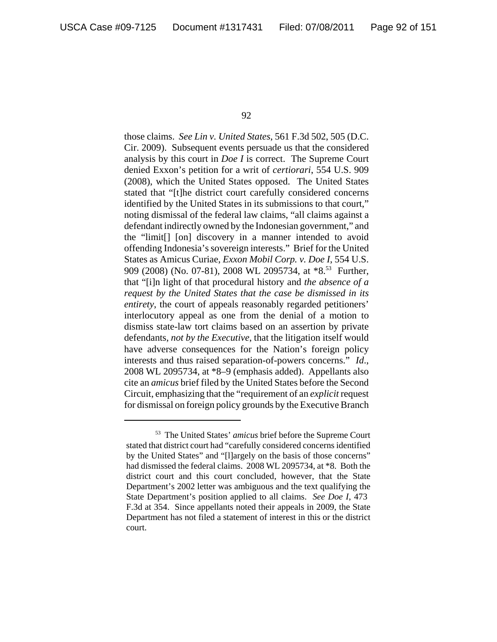those claims. *See Lin v. United States*, 561 F.3d 502, 505 (D.C. Cir. 2009). Subsequent events persuade us that the considered analysis by this court in *Doe I* is correct. The Supreme Court denied Exxon's petition for a writ of *certiorari*, 554 U.S. 909 (2008), which the United States opposed. The United States stated that "[t]he district court carefully considered concerns identified by the United States in its submissions to that court," noting dismissal of the federal law claims, "all claims against a defendant indirectly owned by the Indonesian government," and the "limit[] [on] discovery in a manner intended to avoid offending Indonesia's sovereign interests." Brief for the United States as Amicus Curiae, *Exxon Mobil Corp. v. Doe I*, 554 U.S. 909 (2008) (No. 07-81), 2008 WL 2095734, at \*8.<sup>53</sup> Further, that "[i]n light of that procedural history and *the absence of a request by the United States that the case be dismissed in its entirety*, the court of appeals reasonably regarded petitioners' interlocutory appeal as one from the denial of a motion to dismiss state-law tort claims based on an assertion by private defendants, *not by the Executive*, that the litigation itself would have adverse consequences for the Nation's foreign policy interests and thus raised separation-of-powers concerns." *Id*., 2008 WL 2095734, at \*8–9 (emphasis added). Appellants also cite an *amicus* brief filed by the United States before the Second Circuit, emphasizing that the "requirement of an *explicit* request for dismissal on foreign policy grounds by the Executive Branch

<sup>53</sup> The United States' *amicus* brief before the Supreme Court stated that district court had "carefully considered concerns identified by the United States" and "[l]argely on the basis of those concerns" had dismissed the federal claims. 2008 WL 2095734, at \*8. Both the district court and this court concluded, however, that the State Department's 2002 letter was ambiguous and the text qualifying the State Department's position applied to all claims. *See Doe I*, 473 F.3d at 354. Since appellants noted their appeals in 2009, the State Department has not filed a statement of interest in this or the district court.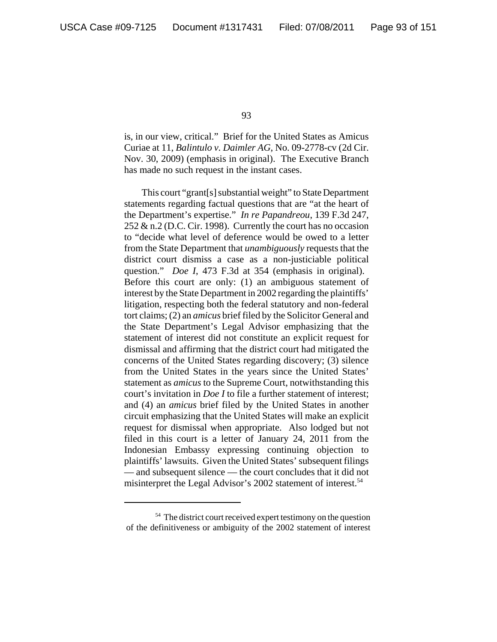is, in our view, critical." Brief for the United States as Amicus Curiae at 11, *Balintulo v. Daimler AG*, No. 09-2778-cv (2d Cir. Nov. 30, 2009) (emphasis in original). The Executive Branch has made no such request in the instant cases.

This court "grant[s] substantial weight" to State Department statements regarding factual questions that are "at the heart of the Department's expertise." *In re Papandreou*, 139 F.3d 247,  $252 \& n.2$  (D.C. Cir. 1998). Currently the court has no occasion to "decide what level of deference would be owed to a letter from the State Department that *unambiguously* requests that the district court dismiss a case as a non-justiciable political question." *Doe I*, 473 F.3d at 354 (emphasis in original). Before this court are only: (1) an ambiguous statement of interest by the State Department in 2002 regarding the plaintiffs' litigation, respecting both the federal statutory and non-federal tort claims; (2) an *amicus* brief filed by the Solicitor General and the State Department's Legal Advisor emphasizing that the statement of interest did not constitute an explicit request for dismissal and affirming that the district court had mitigated the concerns of the United States regarding discovery; (3) silence from the United States in the years since the United States' statement as *amicus* to the Supreme Court, notwithstanding this court's invitation in *Doe I* to file a further statement of interest; and (4) an *amicus* brief filed by the United States in another circuit emphasizing that the United States will make an explicit request for dismissal when appropriate. Also lodged but not filed in this court is a letter of January 24, 2011 from the Indonesian Embassy expressing continuing objection to plaintiffs' lawsuits. Given the United States' subsequent filings — and subsequent silence — the court concludes that it did not misinterpret the Legal Advisor's 2002 statement of interest.<sup>54</sup>

<sup>&</sup>lt;sup>54</sup> The district court received expert testimony on the question of the definitiveness or ambiguity of the 2002 statement of interest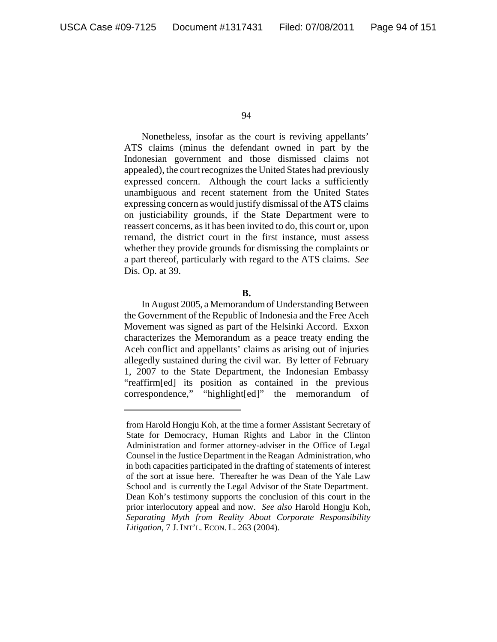Nonetheless, insofar as the court is reviving appellants' ATS claims (minus the defendant owned in part by the Indonesian government and those dismissed claims not appealed), the court recognizes the United States had previously expressed concern. Although the court lacks a sufficiently unambiguous and recent statement from the United States expressing concern as would justify dismissal of the ATS claims on justiciability grounds, if the State Department were to reassert concerns, as it has been invited to do, this court or, upon remand, the district court in the first instance, must assess whether they provide grounds for dismissing the complaints or a part thereof, particularly with regard to the ATS claims. *See* Dis. Op. at 39.

**B.**

In August 2005, a Memorandum of Understanding Between the Government of the Republic of Indonesia and the Free Aceh Movement was signed as part of the Helsinki Accord. Exxon characterizes the Memorandum as a peace treaty ending the Aceh conflict and appellants' claims as arising out of injuries allegedly sustained during the civil war. By letter of February 1, 2007 to the State Department, the Indonesian Embassy "reaffirm[ed] its position as contained in the previous correspondence," "highlight[ed]" the memorandum of

from Harold Hongju Koh, at the time a former Assistant Secretary of State for Democracy, Human Rights and Labor in the Clinton Administration and former attorney-adviser in the Office of Legal Counsel in the Justice Department in the Reagan Administration, who in both capacities participated in the drafting of statements of interest of the sort at issue here. Thereafter he was Dean of the Yale Law School and is currently the Legal Advisor of the State Department. Dean Koh's testimony supports the conclusion of this court in the prior interlocutory appeal and now. *See also* Harold Hongju Koh, *Separating Myth from Reality About Corporate Responsibility Litigation*, 7 J. INT'L. ECON. L. 263 (2004).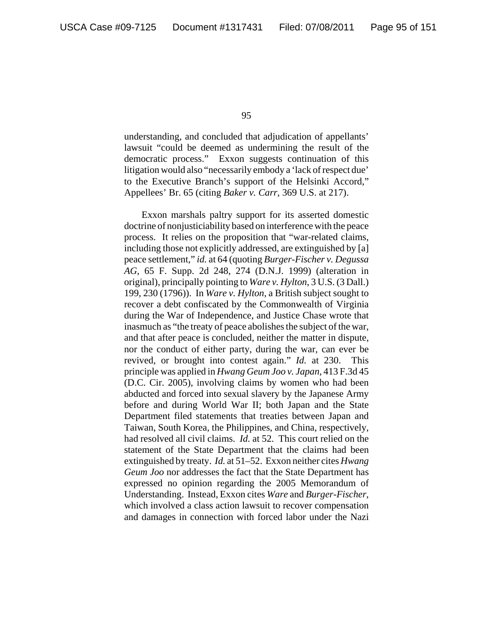understanding, and concluded that adjudication of appellants' lawsuit "could be deemed as undermining the result of the democratic process." Exxon suggests continuation of this litigation would also "necessarily embody a 'lack of respect due' to the Executive Branch's support of the Helsinki Accord," Appellees' Br. 65 (citing *Baker v. Carr*, 369 U.S. at 217).

Exxon marshals paltry support for its asserted domestic doctrine of nonjusticiability based on interference with the peace process. It relies on the proposition that "war-related claims, including those not explicitly addressed, are extinguished by [a] peace settlement," *id.* at 64 (quoting *Burger-Fischer v. Degussa AG*, 65 F. Supp. 2d 248, 274 (D.N.J. 1999) (alteration in original), principally pointing to *Ware v. Hylton*, 3 U.S. (3 Dall.) 199, 230 (1796)). In *Ware v. Hylton*, a British subject sought to recover a debt confiscated by the Commonwealth of Virginia during the War of Independence, and Justice Chase wrote that inasmuch as "the treaty of peace abolishes the subject of the war, and that after peace is concluded, neither the matter in dispute, nor the conduct of either party, during the war, can ever be revived, or brought into contest again." *Id.* at 230. This principle was applied in *Hwang Geum Joo v. Japan*, 413 F.3d 45 (D.C. Cir. 2005), involving claims by women who had been abducted and forced into sexual slavery by the Japanese Army before and during World War II; both Japan and the State Department filed statements that treaties between Japan and Taiwan, South Korea, the Philippines, and China, respectively, had resolved all civil claims. *Id.* at 52. This court relied on the statement of the State Department that the claims had been extinguished by treaty. *Id.* at 51–52. Exxon neither cites *Hwang Geum Joo* nor addresses the fact that the State Department has expressed no opinion regarding the 2005 Memorandum of Understanding. Instead, Exxon cites *Ware* and *Burger-Fischer*, which involved a class action lawsuit to recover compensation and damages in connection with forced labor under the Nazi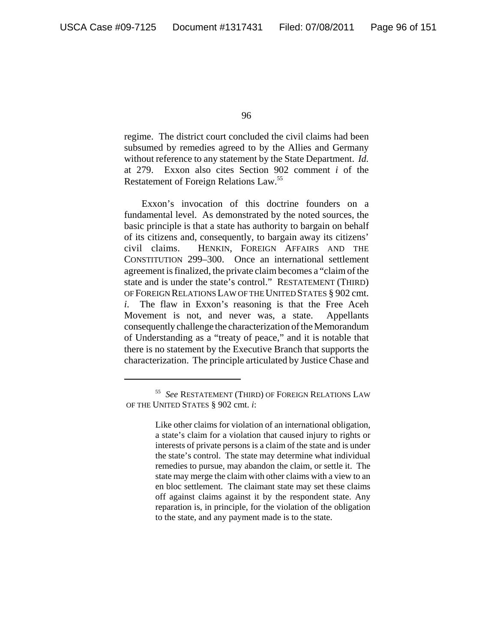regime. The district court concluded the civil claims had been subsumed by remedies agreed to by the Allies and Germany without reference to any statement by the State Department. *Id.* at 279. Exxon also cites Section 902 comment *i* of the Restatement of Foreign Relations Law.55

Exxon's invocation of this doctrine founders on a fundamental level. As demonstrated by the noted sources, the basic principle is that a state has authority to bargain on behalf of its citizens and, consequently, to bargain away its citizens' civil claims. HENKIN, FOREIGN AFFAIRS AND THE CONSTITUTION 299–300. Once an international settlement agreement is finalized, the private claim becomes a "claim of the state and is under the state's control." RESTATEMENT (THIRD) OF FOREIGN RELATIONS LAW OF THE UNITED STATES § 902 cmt. *i*. The flaw in Exxon's reasoning is that the Free Aceh Movement is not, and never was, a state. Appellants consequently challenge the characterization of the Memorandum of Understanding as a "treaty of peace," and it is notable that there is no statement by the Executive Branch that supports the characterization. The principle articulated by Justice Chase and

<sup>55</sup> *See* RESTATEMENT (THIRD) OF FOREIGN RELATIONS LAW OF THE UNITED STATES § 902 cmt. *i*:

Like other claims for violation of an international obligation, a state's claim for a violation that caused injury to rights or interests of private persons is a claim of the state and is under the state's control. The state may determine what individual remedies to pursue, may abandon the claim, or settle it. The state may merge the claim with other claims with a view to an en bloc settlement. The claimant state may set these claims off against claims against it by the respondent state. Any reparation is, in principle, for the violation of the obligation to the state, and any payment made is to the state.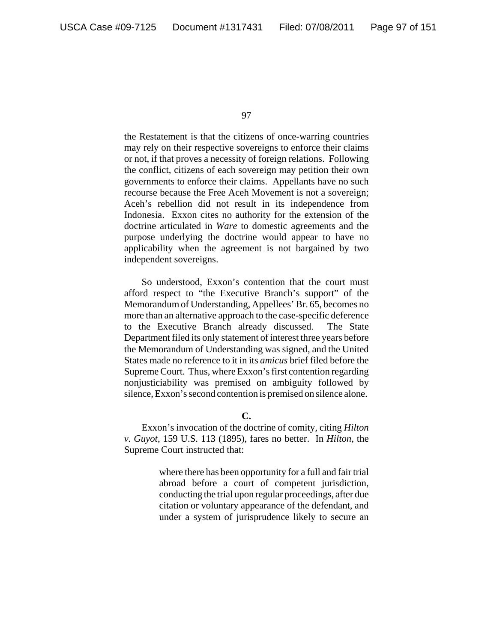the Restatement is that the citizens of once-warring countries may rely on their respective sovereigns to enforce their claims or not, if that proves a necessity of foreign relations. Following the conflict, citizens of each sovereign may petition their own governments to enforce their claims. Appellants have no such recourse because the Free Aceh Movement is not a sovereign; Aceh's rebellion did not result in its independence from Indonesia. Exxon cites no authority for the extension of the doctrine articulated in *Ware* to domestic agreements and the purpose underlying the doctrine would appear to have no applicability when the agreement is not bargained by two independent sovereigns.

So understood, Exxon's contention that the court must afford respect to "the Executive Branch's support" of the Memorandum of Understanding, Appellees' Br. 65, becomes no more than an alternative approach to the case-specific deference to the Executive Branch already discussed. The State Department filed its only statement of interest three years before the Memorandum of Understanding was signed, and the United States made no reference to it in its *amicus* brief filed before the Supreme Court. Thus, where Exxon's first contention regarding nonjusticiability was premised on ambiguity followed by silence, Exxon's second contention is premised on silence alone.

**C.**

Exxon's invocation of the doctrine of comity, citing *Hilton v. Guyot*, 159 U.S. 113 (1895), fares no better. In *Hilton*, the Supreme Court instructed that:

> where there has been opportunity for a full and fair trial abroad before a court of competent jurisdiction, conducting the trial upon regular proceedings, after due citation or voluntary appearance of the defendant, and under a system of jurisprudence likely to secure an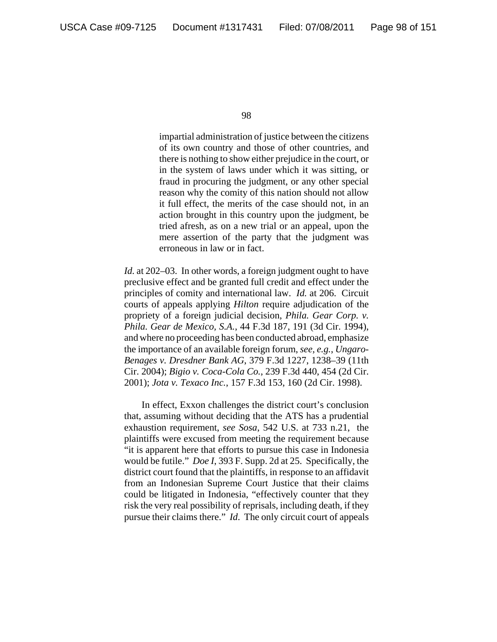impartial administration of justice between the citizens of its own country and those of other countries, and there is nothing to show either prejudice in the court, or in the system of laws under which it was sitting, or fraud in procuring the judgment, or any other special reason why the comity of this nation should not allow it full effect, the merits of the case should not, in an action brought in this country upon the judgment, be tried afresh, as on a new trial or an appeal, upon the mere assertion of the party that the judgment was erroneous in law or in fact.

*Id.* at 202–03. In other words, a foreign judgment ought to have preclusive effect and be granted full credit and effect under the principles of comity and international law. *Id.* at 206. Circuit courts of appeals applying *Hilton* require adjudication of the propriety of a foreign judicial decision, *Phila. Gear Corp. v. Phila. Gear de Mexico, S.A.*, 44 F.3d 187, 191 (3d Cir. 1994), and where no proceeding has been conducted abroad, emphasize the importance of an available foreign forum, *see, e.g.*, *Ungaro-Benages v. Dresdner Bank AG*, 379 F.3d 1227, 1238–39 (11th Cir. 2004); *Bigio v. Coca-Cola Co.*, 239 F.3d 440, 454 (2d Cir. 2001); *Jota v. Texaco Inc.*, 157 F.3d 153, 160 (2d Cir. 1998).

In effect, Exxon challenges the district court's conclusion that, assuming without deciding that the ATS has a prudential exhaustion requirement, *see Sosa*, 542 U.S. at 733 n.21, the plaintiffs were excused from meeting the requirement because "it is apparent here that efforts to pursue this case in Indonesia would be futile." *Doe I*, 393 F. Supp. 2d at 25. Specifically, the district court found that the plaintiffs, in response to an affidavit from an Indonesian Supreme Court Justice that their claims could be litigated in Indonesia, "effectively counter that they risk the very real possibility of reprisals, including death, if they pursue their claims there." *Id*. The only circuit court of appeals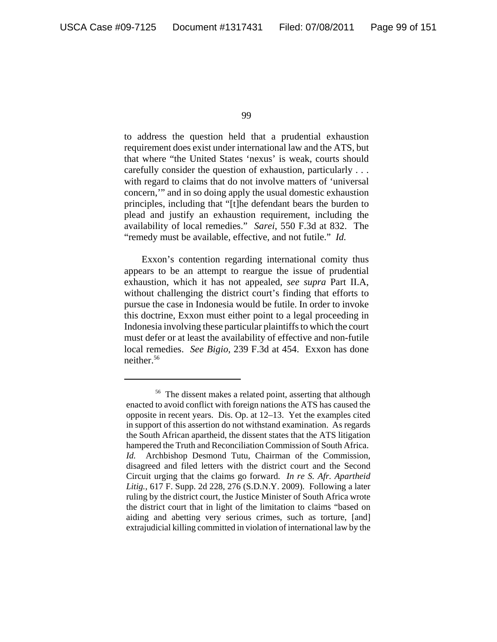to address the question held that a prudential exhaustion requirement does exist under international law and the ATS, but that where "the United States 'nexus' is weak, courts should carefully consider the question of exhaustion, particularly . . . with regard to claims that do not involve matters of 'universal concern,'" and in so doing apply the usual domestic exhaustion principles, including that "[t]he defendant bears the burden to plead and justify an exhaustion requirement, including the availability of local remedies." *Sarei*, 550 F.3d at 832. The "remedy must be available, effective, and not futile." *Id.*

Exxon's contention regarding international comity thus appears to be an attempt to reargue the issue of prudential exhaustion, which it has not appealed, *see supra* Part II.A, without challenging the district court's finding that efforts to pursue the case in Indonesia would be futile. In order to invoke this doctrine, Exxon must either point to a legal proceeding in Indonesia involving these particular plaintiffs to which the court must defer or at least the availability of effective and non-futile local remedies. *See Bigio*, 239 F.3d at 454. Exxon has done neither.<sup>56</sup>

<sup>56</sup> The dissent makes a related point, asserting that although enacted to avoid conflict with foreign nations the ATS has caused the opposite in recent years. Dis. Op. at 12–13. Yet the examples cited in support of this assertion do not withstand examination. As regards the South African apartheid, the dissent states that the ATS litigation hampered the Truth and Reconciliation Commission of South Africa. *Id.* Archbishop Desmond Tutu, Chairman of the Commission, disagreed and filed letters with the district court and the Second Circuit urging that the claims go forward. *In re S. Afr. Apartheid Litig.*, 617 F. Supp. 2d 228, 276 (S.D.N.Y. 2009). Following a later ruling by the district court, the Justice Minister of South Africa wrote the district court that in light of the limitation to claims "based on aiding and abetting very serious crimes, such as torture, [and] extrajudicial killing committed in violation of international law by the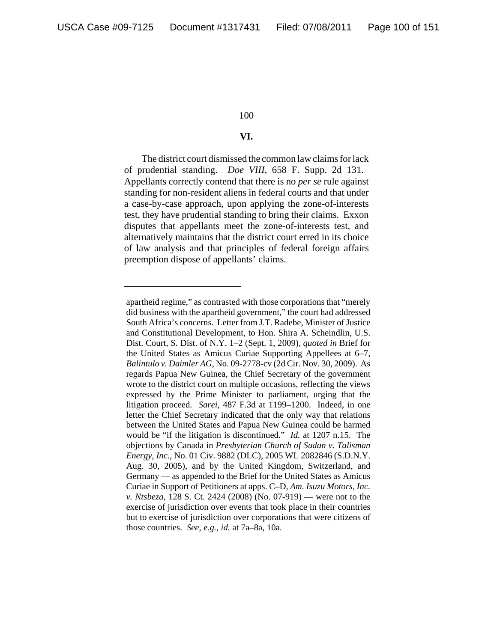# **VI.**

The district court dismissed the common law claims for lack of prudential standing. *Doe VIII*, 658 F. Supp. 2d 131. Appellants correctly contend that there is no *per se* rule against standing for non-resident aliens in federal courts and that under a case-by-case approach, upon applying the zone-of-interests test, they have prudential standing to bring their claims. Exxon disputes that appellants meet the zone-of-interests test, and alternatively maintains that the district court erred in its choice of law analysis and that principles of federal foreign affairs preemption dispose of appellants' claims.

apartheid regime," as contrasted with those corporations that "merely did business with the apartheid government," the court had addressed South Africa's concerns. Letter from J.T. Radebe, Minister of Justice and Constitutional Development, to Hon. Shira A. Scheindlin, U.S. Dist. Court, S. Dist. of N.Y. 1–2 (Sept. 1, 2009), *quoted in* Brief for the United States as Amicus Curiae Supporting Appellees at 6–7, *Balintulo v. Daimler AG*, No. 09-2778-cv (2d Cir. Nov. 30, 2009). As regards Papua New Guinea, the Chief Secretary of the government wrote to the district court on multiple occasions, reflecting the views expressed by the Prime Minister to parliament, urging that the litigation proceed. *Sarei*, 487 F.3d at 1199–1200. Indeed, in one letter the Chief Secretary indicated that the only way that relations between the United States and Papua New Guinea could be harmed would be "if the litigation is discontinued." *Id.* at 1207 n.15. The objections by Canada in *Presbyterian Church of Sudan v. Talisman Energy, Inc.*, No. 01 Civ. 9882 (DLC), 2005 WL 2082846 (S.D.N.Y. Aug. 30, 2005), and by the United Kingdom, Switzerland, and Germany — as appended to the Brief for the United States as Amicus Curiae in Support of Petitioners at apps. C–D, *Am. Isuzu Motors, Inc. v. Ntsbeza*, 128 S. Ct. 2424 (2008) (No. 07-919) — were not to the exercise of jurisdiction over events that took place in their countries but to exercise of jurisdiction over corporations that were citizens of those countries. *See, e.g.*, *id.* at 7a–8a, 10a.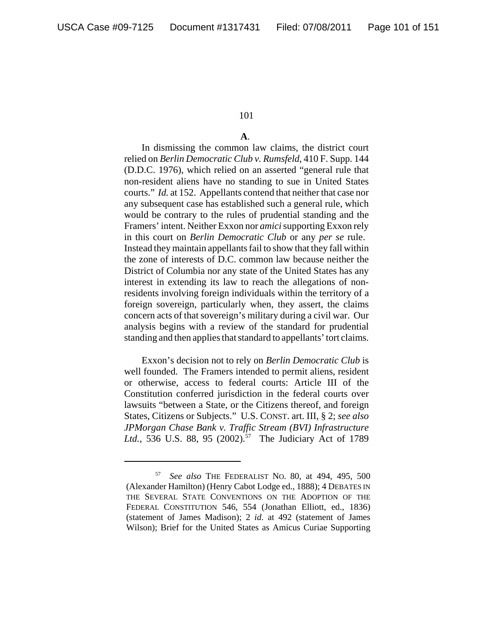# **A**.

In dismissing the common law claims, the district court relied on *Berlin Democratic Club v. Rumsfeld*, 410 F. Supp. 144 (D.D.C. 1976), which relied on an asserted "general rule that non-resident aliens have no standing to sue in United States courts." *Id.* at 152. Appellants contend that neither that case nor any subsequent case has established such a general rule, which would be contrary to the rules of prudential standing and the Framers' intent. Neither Exxon nor *amici* supporting Exxon rely in this court on *Berlin Democratic Club* or any *per se* rule. Instead they maintain appellants fail to show that they fall within the zone of interests of D.C. common law because neither the District of Columbia nor any state of the United States has any interest in extending its law to reach the allegations of nonresidents involving foreign individuals within the territory of a foreign sovereign, particularly when, they assert, the claims concern acts of that sovereign's military during a civil war. Our analysis begins with a review of the standard for prudential standing and then applies that standard to appellants' tort claims.

Exxon's decision not to rely on *Berlin Democratic Club* is well founded. The Framers intended to permit aliens, resident or otherwise, access to federal courts: Article III of the Constitution conferred jurisdiction in the federal courts over lawsuits "between a State, or the Citizens thereof, and foreign States, Citizens or Subjects." U.S. CONST. art. III, § 2; *see also JPMorgan Chase Bank v. Traffic Stream (BVI) Infrastructure* Ltd., 536 U.S. 88, 95 (2002).<sup>57</sup> The Judiciary Act of 1789

<sup>57</sup> *See also* THE FEDERALIST NO. 80, at 494, 495, 500 (Alexander Hamilton) (Henry Cabot Lodge ed., 1888); 4 DEBATES IN THE SEVERAL STATE CONVENTIONS ON THE ADOPTION OF THE FEDERAL CONSTITUTION 546, 554 (Jonathan Elliott, ed., 1836) (statement of James Madison); 2 *id*. at 492 (statement of James Wilson); Brief for the United States as Amicus Curiae Supporting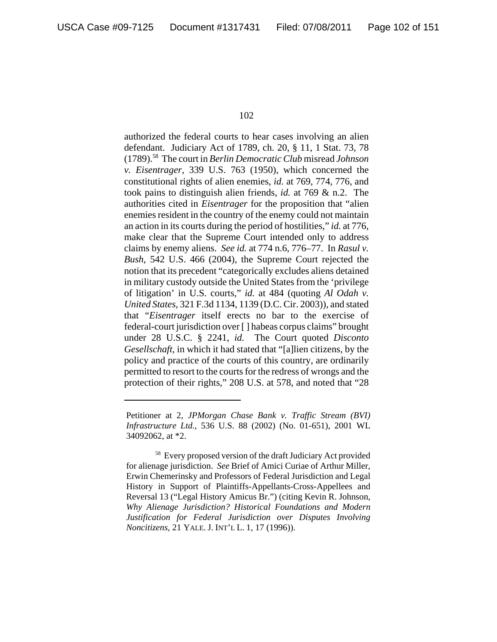authorized the federal courts to hear cases involving an alien defendant. Judiciary Act of 1789, ch. 20, § 11, 1 Stat. 73, 78 (1789).58 The court in *Berlin Democratic Club* misread *Johnson v. Eisentrager*, 339 U.S. 763 (1950), which concerned the constitutional rights of alien enemies, *id.* at 769, 774, 776, and took pains to distinguish alien friends, *id.* at 769 & n.2. The authorities cited in *Eisentrager* for the proposition that "alien enemies resident in the country of the enemy could not maintain an action in its courts during the period of hostilities," *id.* at 776, make clear that the Supreme Court intended only to address claims by enemy aliens. *See id.* at 774 n.6, 776–77. In *Rasul v. Bush*, 542 U.S. 466 (2004), the Supreme Court rejected the notion that its precedent "categorically excludes aliens detained in military custody outside the United States from the 'privilege of litigation' in U.S. courts," *id.* at 484 (quoting *Al Odah v. United States*, 321 F.3d 1134, 1139 (D.C. Cir. 2003)), and stated that "*Eisentrager* itself erects no bar to the exercise of federal-court jurisdiction over [ ] habeas corpus claims" brought under 28 U.S.C. § 2241, *id.* The Court quoted *Disconto Gesellschaft*, in which it had stated that "[a]lien citizens, by the policy and practice of the courts of this country, are ordinarily permitted to resort to the courts for the redress of wrongs and the protection of their rights," 208 U.S. at 578, and noted that "28

Petitioner at 2, *JPMorgan Chase Bank v. Traffic Stream (BVI) Infrastructure Ltd.*, 536 U.S. 88 (2002) (No. 01-651), 2001 WL 34092062, at \*2.

<sup>&</sup>lt;sup>58</sup> Every proposed version of the draft Judiciary Act provided for alienage jurisdiction. *See* Brief of Amici Curiae of Arthur Miller, Erwin Chemerinsky and Professors of Federal Jurisdiction and Legal History in Support of Plaintiffs-Appellants-Cross-Appellees and Reversal 13 ("Legal History Amicus Br.") (citing Kevin R. Johnson, *Why Alienage Jurisdiction? Historical Foundations and Modern Justification for Federal Jurisdiction over Disputes Involving Noncitizens*, 21 YALE. J. INT'L L. 1, 17 (1996)).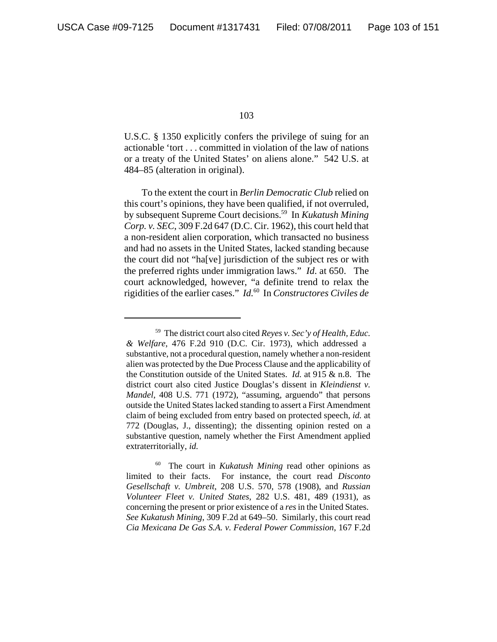U.S.C. § 1350 explicitly confers the privilege of suing for an actionable 'tort . . . committed in violation of the law of nations or a treaty of the United States' on aliens alone." 542 U.S. at 484–85 (alteration in original).

To the extent the court in *Berlin Democratic Club* relied on this court's opinions, they have been qualified, if not overruled, by subsequent Supreme Court decisions.59 In *Kukatush Mining Corp. v. SEC*, 309 F.2d 647 (D.C. Cir. 1962), this court held that a non-resident alien corporation, which transacted no business and had no assets in the United States, lacked standing because the court did not "ha[ve] jurisdiction of the subject res or with the preferred rights under immigration laws." *Id*. at 650. The court acknowledged, however, "a definite trend to relax the rigidities of the earlier cases." *Id.*60 In *Constructores Civiles de*

<sup>59</sup> The district court also cited *Reyes v. Sec'y of Health, Educ. & Welfare*, 476 F.2d 910 (D.C. Cir. 1973), which addressed a substantive, not a procedural question, namely whether a non-resident alien was protected by the Due Process Clause and the applicability of the Constitution outside of the United States. *Id.* at 915 & n.8. The district court also cited Justice Douglas's dissent in *Kleindienst v. Mandel*, 408 U.S. 771 (1972), "assuming, arguendo" that persons outside the United States lacked standing to assert a First Amendment claim of being excluded from entry based on protected speech, *id.* at 772 (Douglas, J., dissenting); the dissenting opinion rested on a substantive question, namely whether the First Amendment applied extraterritorially, *id.*

<sup>60</sup> The court in *Kukatush Mining* read other opinions as limited to their facts. For instance, the court read *Disconto Gesellschaft v. Umbreit*, 208 U.S. 570, 578 (1908), and *Russian Volunteer Fleet v. United States*, 282 U.S. 481, 489 (1931), as concerning the present or prior existence of a *res* in the United States. *See Kukatush Mining*, 309 F.2d at 649–50. Similarly, this court read *Cia Mexicana De Gas S.A. v. Federal Power Commission*, 167 F.2d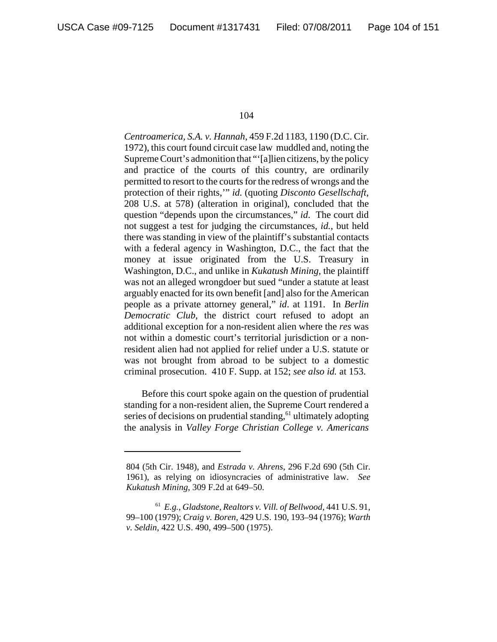*Centroamerica, S.A. v. Hannah*, 459 F.2d 1183, 1190 (D.C. Cir. 1972), this court found circuit case law muddled and, noting the Supreme Court's admonition that "'[a]lien citizens, by the policy and practice of the courts of this country, are ordinarily permitted to resort to the courts for the redress of wrongs and the protection of their rights,'" *id.* (quoting *Disconto Gesellschaft*, 208 U.S. at 578) (alteration in original), concluded that the question "depends upon the circumstances," *id*. The court did not suggest a test for judging the circumstances, *id.*, but held there was standing in view of the plaintiff's substantial contacts with a federal agency in Washington, D.C., the fact that the money at issue originated from the U.S. Treasury in Washington, D.C., and unlike in *Kukatush Mining*, the plaintiff was not an alleged wrongdoer but sued "under a statute at least arguably enacted for its own benefit [and] also for the American people as a private attorney general," *id*. at 1191. In *Berlin Democratic Club*, the district court refused to adopt an additional exception for a non-resident alien where the *res* was not within a domestic court's territorial jurisdiction or a nonresident alien had not applied for relief under a U.S. statute or was not brought from abroad to be subject to a domestic criminal prosecution. 410 F. Supp. at 152; *see also id.* at 153.

Before this court spoke again on the question of prudential standing for a non-resident alien, the Supreme Court rendered a series of decisions on prudential standing, $<sup>61</sup>$  ultimately adopting</sup> the analysis in *Valley Forge Christian College v. Americans*

<sup>804 (5</sup>th Cir. 1948), and *Estrada v. Ahrens*, 296 F.2d 690 (5th Cir. 1961), as relying on idiosyncracies of administrative law. *See Kukatush Mining*, 309 F.2d at 649–50.

<sup>61</sup> *E.g.*, *Gladstone, Realtors v. Vill. of Bellwood*, 441 U.S. 91, 99–100 (1979); *Craig v. Boren*, 429 U.S. 190, 193–94 (1976); *Warth v. Seldin*, 422 U.S. 490, 499–500 (1975).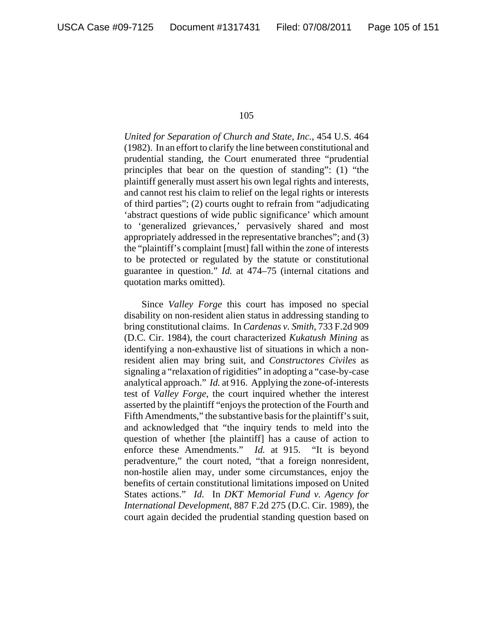*United for Separation of Church and State, Inc.*, 454 U.S. 464 (1982). In an effort to clarify the line between constitutional and prudential standing, the Court enumerated three "prudential principles that bear on the question of standing": (1) "the plaintiff generally must assert his own legal rights and interests, and cannot rest his claim to relief on the legal rights or interests of third parties"; (2) courts ought to refrain from "adjudicating 'abstract questions of wide public significance' which amount to 'generalized grievances,' pervasively shared and most appropriately addressed in the representative branches"; and (3) the "plaintiff's complaint [must] fall within the zone of interests to be protected or regulated by the statute or constitutional guarantee in question." *Id.* at 474–75 (internal citations and quotation marks omitted).

Since *Valley Forge* this court has imposed no special disability on non-resident alien status in addressing standing to bring constitutional claims. In *Cardenas v. Smith*, 733 F.2d 909 (D.C. Cir. 1984), the court characterized *Kukatush Mining* as identifying a non-exhaustive list of situations in which a nonresident alien may bring suit, and *Constructores Civiles* as signaling a "relaxation of rigidities" in adopting a "case-by-case analytical approach." *Id.* at 916. Applying the zone-of-interests test of *Valley Forge*, the court inquired whether the interest asserted by the plaintiff "enjoys the protection of the Fourth and Fifth Amendments," the substantive basis for the plaintiff's suit, and acknowledged that "the inquiry tends to meld into the question of whether [the plaintiff] has a cause of action to enforce these Amendments." *Id.* at 915. "It is beyond peradventure," the court noted, "that a foreign nonresident, non-hostile alien may, under some circumstances, enjoy the benefits of certain constitutional limitations imposed on United States actions." *Id.* In *DKT Memorial Fund v. Agency for International Development*, 887 F.2d 275 (D.C. Cir. 1989), the court again decided the prudential standing question based on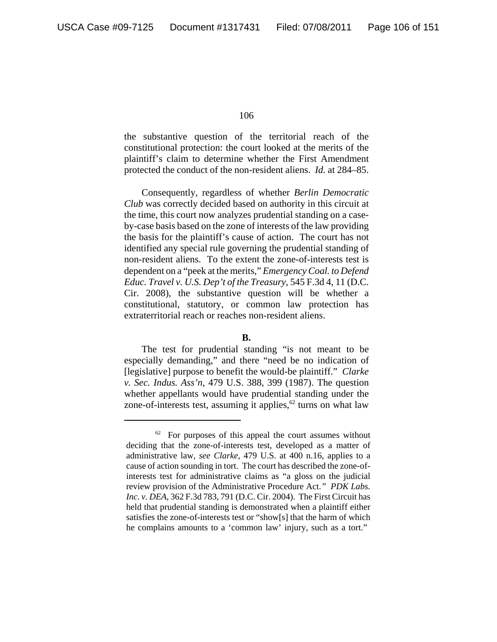the substantive question of the territorial reach of the constitutional protection: the court looked at the merits of the plaintiff's claim to determine whether the First Amendment protected the conduct of the non-resident aliens. *Id.* at 284–85.

Consequently, regardless of whether *Berlin Democratic Club* was correctly decided based on authority in this circuit at the time, this court now analyzes prudential standing on a caseby-case basis based on the zone of interests of the law providing the basis for the plaintiff's cause of action. The court has not identified any special rule governing the prudential standing of non-resident aliens. To the extent the zone-of-interests test is dependent on a "peek at the merits," *Emergency Coal. to Defend Educ. Travel v. U.S. Dep't of the Treasury*, 545 F.3d 4, 11 (D.C. Cir. 2008), the substantive question will be whether a constitutional, statutory, or common law protection has extraterritorial reach or reaches non-resident aliens.

# **B.**

The test for prudential standing "is not meant to be especially demanding," and there "need be no indication of [legislative] purpose to benefit the would-be plaintiff." *Clarke v. Sec. Indus. Ass'n*, 479 U.S. 388, 399 (1987). The question whether appellants would have prudential standing under the zone-of-interests test, assuming it applies,  $62$  turns on what law

 $62$  For purposes of this appeal the court assumes without deciding that the zone-of-interests test, developed as a matter of administrative law, *see Clarke*, 479 U.S. at 400 n.16, applies to a cause of action sounding in tort. The court has described the zone-ofinterests test for administrative claims as "a gloss on the judicial review provision of the Administrative Procedure Act.*" PDK Labs. Inc. v. DEA*, 362 F.3d 783, 791 (D.C. Cir. 2004). The First Circuit has held that prudential standing is demonstrated when a plaintiff either satisfies the zone-of-interests test or "show[s] that the harm of which he complains amounts to a 'common law' injury, such as a tort."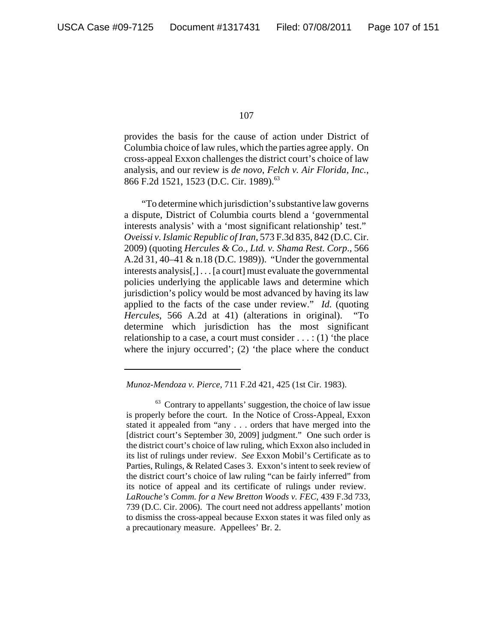provides the basis for the cause of action under District of Columbia choice of law rules, which the parties agree apply. On cross-appeal Exxon challenges the district court's choice of law analysis, and our review is *de novo*, *Felch v. Air Florida, Inc.*, 866 F.2d 1521, 1523 (D.C. Cir. 1989).<sup>63</sup>

"To determine which jurisdiction's substantive law governs a dispute, District of Columbia courts blend a 'governmental interests analysis' with a 'most significant relationship' test." *Oveissi v. Islamic Republic of Iran*, 573 F.3d 835, 842 (D.C. Cir. 2009) (quoting *Hercules & Co., Ltd. v. Shama Rest. Corp*., 566 A.2d 31, 40–41 & n.18 (D.C. 1989)). "Under the governmental interests analysis[,] . . . [a court] must evaluate the governmental policies underlying the applicable laws and determine which jurisdiction's policy would be most advanced by having its law applied to the facts of the case under review." *Id.* (quoting *Hercules*, 566 A.2d at 41) (alterations in original). "To determine which jurisdiction has the most significant relationship to a case, a court must consider  $\dots$ : (1) 'the place where the injury occurred'; (2) 'the place where the conduct

*Munoz-Mendoza v. Pierce*, 711 F.2d 421, 425 (1st Cir. 1983).

 $63$  Contrary to appellants' suggestion, the choice of law issue is properly before the court. In the Notice of Cross-Appeal, Exxon stated it appealed from "any . . . orders that have merged into the [district court's September 30, 2009] judgment." One such order is the district court's choice of law ruling, which Exxon also included in its list of rulings under review. *See* Exxon Mobil's Certificate as to Parties, Rulings, & Related Cases 3. Exxon's intent to seek review of the district court's choice of law ruling "can be fairly inferred" from its notice of appeal and its certificate of rulings under review. *LaRouche's Comm. for a New Bretton Woods v. FEC*, 439 F.3d 733, 739 (D.C. Cir. 2006). The court need not address appellants' motion to dismiss the cross-appeal because Exxon states it was filed only as a precautionary measure. Appellees' Br. 2.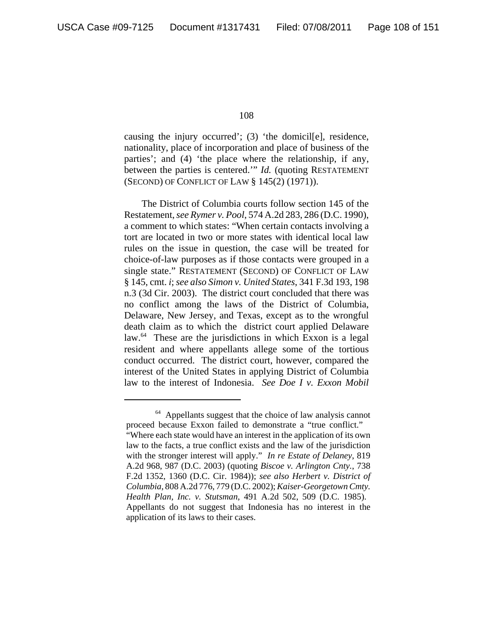causing the injury occurred'; (3) 'the domicil[e], residence, nationality, place of incorporation and place of business of the parties'; and (4) 'the place where the relationship, if any, between the parties is centered.'" *Id.* (quoting RESTATEMENT (SECOND) OF CONFLICT OF LAW § 145(2) (1971)).

The District of Columbia courts follow section 145 of the Restatement, *see Rymer v. Pool*, 574 A.2d 283, 286 (D.C. 1990), a comment to which states: "When certain contacts involving a tort are located in two or more states with identical local law rules on the issue in question, the case will be treated for choice-of-law purposes as if those contacts were grouped in a single state." RESTATEMENT (SECOND) OF CONFLICT OF LAW § 145, cmt. *i*; *see also Simon v. United States*, 341 F.3d 193, 198 n.3 (3d Cir. 2003). The district court concluded that there was no conflict among the laws of the District of Columbia, Delaware, New Jersey, and Texas, except as to the wrongful death claim as to which the district court applied Delaware law.<sup>64</sup> These are the jurisdictions in which Exxon is a legal resident and where appellants allege some of the tortious conduct occurred. The district court, however, compared the interest of the United States in applying District of Columbia law to the interest of Indonesia. *See Doe I v. Exxon Mobil*

<sup>&</sup>lt;sup>64</sup> Appellants suggest that the choice of law analysis cannot proceed because Exxon failed to demonstrate a "true conflict."

<sup>&</sup>quot;Where each state would have an interest in the application of its own law to the facts, a true conflict exists and the law of the jurisdiction with the stronger interest will apply." *In re Estate of Delaney*, 819 A.2d 968, 987 (D.C. 2003) (quoting *Biscoe v. Arlington Cnty.*, 738 F.2d 1352, 1360 (D.C. Cir. 1984)); *see also Herbert v. District of Columbia*, 808 A.2d 776, 779 (D.C. 2002); *Kaiser-Georgetown Cmty. Health Plan, Inc. v. Stutsman*, 491 A.2d 502, 509 (D.C. 1985). Appellants do not suggest that Indonesia has no interest in the application of its laws to their cases.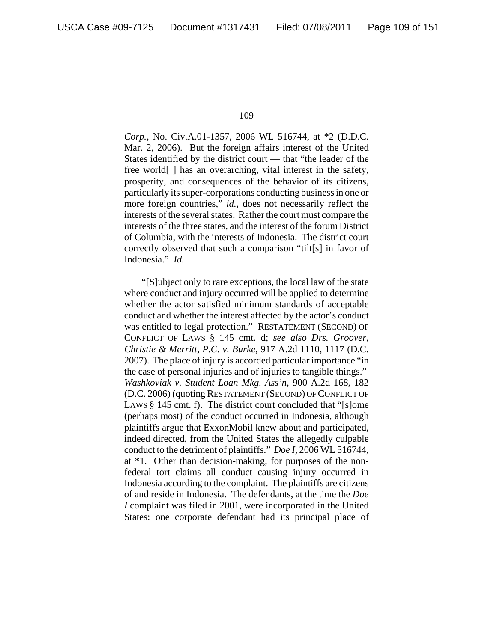*Corp.*, No. Civ.A.01-1357, 2006 WL 516744, at \*2 (D.D.C. Mar. 2, 2006). But the foreign affairs interest of the United States identified by the district court — that "the leader of the free world[ ] has an overarching, vital interest in the safety, prosperity, and consequences of the behavior of its citizens, particularly its super-corporations conducting business in one or more foreign countries," *id.*, does not necessarily reflect the interests of the several states. Rather the court must compare the interests of the three states, and the interest of the forum District of Columbia, with the interests of Indonesia. The district court correctly observed that such a comparison "tilt[s] in favor of Indonesia." *Id.*

"[S]ubject only to rare exceptions, the local law of the state where conduct and injury occurred will be applied to determine whether the actor satisfied minimum standards of acceptable conduct and whether the interest affected by the actor's conduct was entitled to legal protection." RESTATEMENT (SECOND) OF CONFLICT OF LAWS § 145 cmt. d; *see also Drs. Groover, Christie & Merritt, P.C. v. Burke*, 917 A.2d 1110, 1117 (D.C. 2007). The place of injury is accorded particular importance "in the case of personal injuries and of injuries to tangible things." *Washkoviak v. Student Loan Mkg. Ass'n*, 900 A.2d 168, 182 (D.C. 2006) (quoting RESTATEMENT (SECOND) OF CONFLICT OF LAWS § 145 cmt. f). The district court concluded that "[s]ome (perhaps most) of the conduct occurred in Indonesia, although plaintiffs argue that ExxonMobil knew about and participated, indeed directed, from the United States the allegedly culpable conduct to the detriment of plaintiffs." *Doe I*, 2006 WL 516744, at \*1. Other than decision-making, for purposes of the nonfederal tort claims all conduct causing injury occurred in Indonesia according to the complaint. The plaintiffs are citizens of and reside in Indonesia. The defendants, at the time the *Doe I* complaint was filed in 2001, were incorporated in the United States: one corporate defendant had its principal place of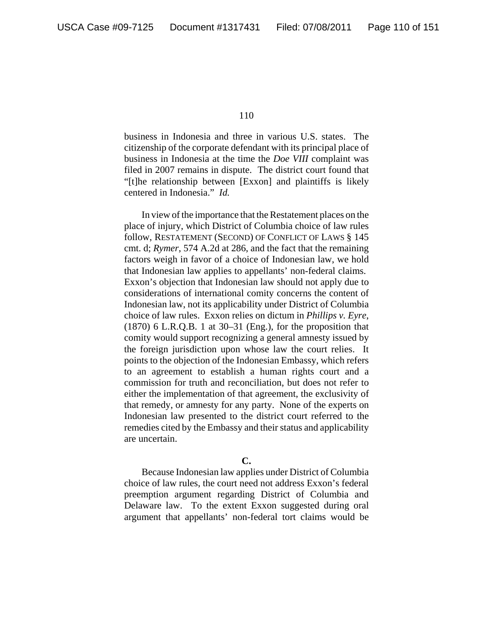business in Indonesia and three in various U.S. states. The citizenship of the corporate defendant with its principal place of business in Indonesia at the time the *Doe VIII* complaint was filed in 2007 remains in dispute. The district court found that "[t]he relationship between [Exxon] and plaintiffs is likely centered in Indonesia." *Id.*

In view of the importance that the Restatement places on the place of injury, which District of Columbia choice of law rules follow, RESTATEMENT (SECOND) OF CONFLICT OF LAWS § 145 cmt. d; *Rymer*, 574 A.2d at 286, and the fact that the remaining factors weigh in favor of a choice of Indonesian law, we hold that Indonesian law applies to appellants' non-federal claims. Exxon's objection that Indonesian law should not apply due to considerations of international comity concerns the content of Indonesian law, not its applicability under District of Columbia choice of law rules. Exxon relies on dictum in *Phillips v. Eyre*,  $(1870)$  6 L.R.Q.B. 1 at 30–31 (Eng.), for the proposition that comity would support recognizing a general amnesty issued by the foreign jurisdiction upon whose law the court relies. It points to the objection of the Indonesian Embassy, which refers to an agreement to establish a human rights court and a commission for truth and reconciliation, but does not refer to either the implementation of that agreement, the exclusivity of that remedy, or amnesty for any party. None of the experts on Indonesian law presented to the district court referred to the remedies cited by the Embassy and their status and applicability are uncertain.

# **C.**

Because Indonesian law applies under District of Columbia choice of law rules, the court need not address Exxon's federal preemption argument regarding District of Columbia and Delaware law. To the extent Exxon suggested during oral argument that appellants' non-federal tort claims would be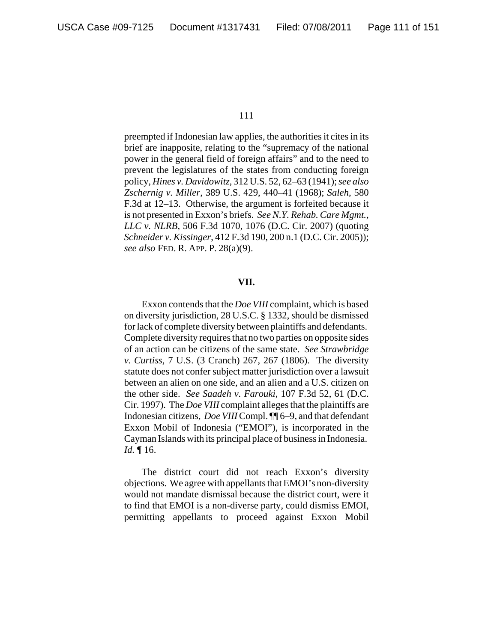preempted if Indonesian law applies, the authorities it cites in its brief are inapposite, relating to the "supremacy of the national power in the general field of foreign affairs" and to the need to prevent the legislatures of the states from conducting foreign policy, *Hines v. Davidowitz*, 312 U.S. 52, 62–63 (1941); *see also Zschernig v. Miller*, 389 U.S. 429, 440–41 (1968); *Saleh*, 580 F.3d at 12–13. Otherwise, the argument is forfeited because it is not presented in Exxon's briefs. *See N.Y. Rehab. Care Mgmt., LLC v. NLRB*, 506 F.3d 1070, 1076 (D.C. Cir. 2007) (quoting *Schneider v. Kissinger*, 412 F.3d 190, 200 n.1 (D.C. Cir. 2005)); *see also* FED. R. APP. P. 28(a)(9).

### **VII.**

Exxon contends that the *Doe VIII* complaint, which is based on diversity jurisdiction, 28 U.S.C. § 1332, should be dismissed for lack of complete diversity between plaintiffs and defendants. Complete diversity requires that no two parties on opposite sides of an action can be citizens of the same state. *See Strawbridge v. Curtiss*, 7 U.S. (3 Cranch) 267, 267 (1806). The diversity statute does not confer subject matter jurisdiction over a lawsuit between an alien on one side, and an alien and a U.S. citizen on the other side. *See Saadeh v. Farouki*, 107 F.3d 52, 61 (D.C. Cir. 1997). The *Doe VIII* complaint alleges that the plaintiffs are Indonesian citizens, *Doe VIII* Compl. ¶¶ 6–9, and that defendant Exxon Mobil of Indonesia ("EMOI"), is incorporated in the Cayman Islands with its principal place of business in Indonesia. *Id.* ¶ 16.

The district court did not reach Exxon's diversity objections. We agree with appellants that EMOI's non-diversity would not mandate dismissal because the district court, were it to find that EMOI is a non-diverse party, could dismiss EMOI, permitting appellants to proceed against Exxon Mobil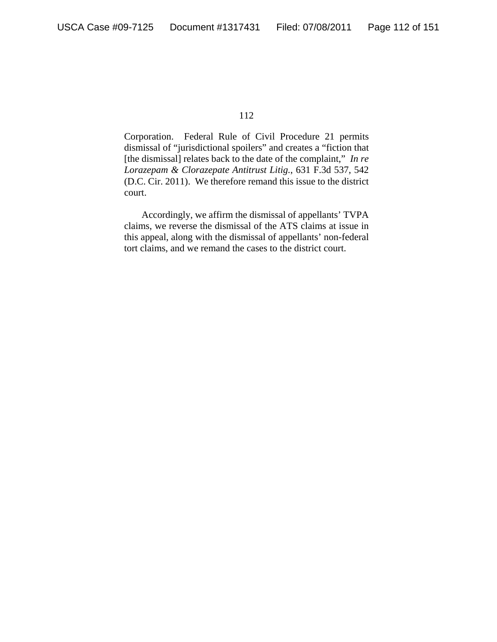Corporation. Federal Rule of Civil Procedure 21 permits dismissal of "jurisdictional spoilers" and creates a "fiction that [the dismissal] relates back to the date of the complaint," *In re Lorazepam & Clorazepate Antitrust Litig.*, 631 F.3d 537, 542 (D.C. Cir. 2011). We therefore remand this issue to the district court.

Accordingly, we affirm the dismissal of appellants' TVPA claims, we reverse the dismissal of the ATS claims at issue in this appeal, along with the dismissal of appellants' non-federal tort claims, and we remand the cases to the district court.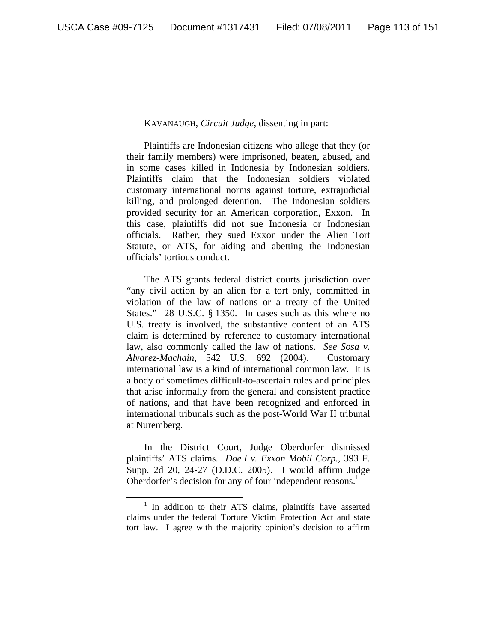# KAVANAUGH, *Circuit Judge*, dissenting in part:

Plaintiffs are Indonesian citizens who allege that they (or their family members) were imprisoned, beaten, abused, and in some cases killed in Indonesia by Indonesian soldiers. Plaintiffs claim that the Indonesian soldiers violated customary international norms against torture, extrajudicial killing, and prolonged detention. The Indonesian soldiers provided security for an American corporation, Exxon. In this case, plaintiffs did not sue Indonesia or Indonesian officials. Rather, they sued Exxon under the Alien Tort Statute, or ATS, for aiding and abetting the Indonesian officials' tortious conduct.

The ATS grants federal district courts jurisdiction over "any civil action by an alien for a tort only, committed in violation of the law of nations or a treaty of the United States." 28 U.S.C. § 1350. In cases such as this where no U.S. treaty is involved, the substantive content of an ATS claim is determined by reference to customary international law, also commonly called the law of nations. *See Sosa v. Alvarez-Machain*, 542 U.S. 692 (2004). Customary international law is a kind of international common law. It is a body of sometimes difficult-to-ascertain rules and principles that arise informally from the general and consistent practice of nations, and that have been recognized and enforced in international tribunals such as the post-World War II tribunal at Nuremberg.

In the District Court, Judge Oberdorfer dismissed plaintiffs' ATS claims. *Doe I v. Exxon Mobil Corp.*, 393 F. Supp. 2d 20, 24-27 (D.D.C. 2005). I would affirm Judge Oberdorfer's decision for any of four independent reasons.<sup>1</sup>

 <sup>1</sup>  $1$  In addition to their ATS claims, plaintiffs have asserted claims under the federal Torture Victim Protection Act and state tort law. I agree with the majority opinion's decision to affirm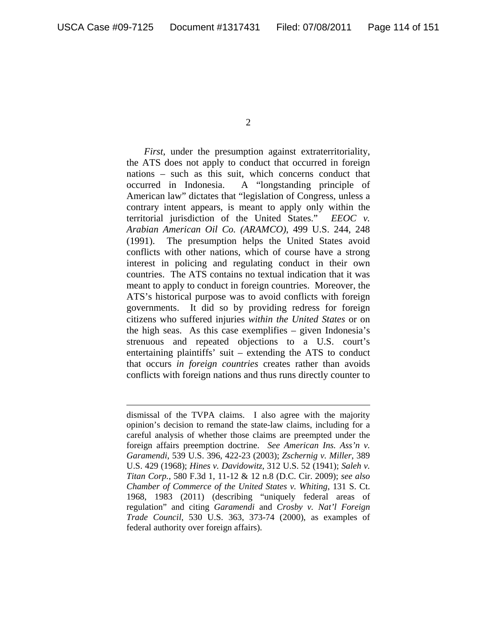$\overline{a}$ 

2

*First*, under the presumption against extraterritoriality, the ATS does not apply to conduct that occurred in foreign nations – such as this suit, which concerns conduct that occurred in Indonesia. A "longstanding principle of American law" dictates that "legislation of Congress, unless a contrary intent appears, is meant to apply only within the territorial jurisdiction of the United States." *EEOC v. Arabian American Oil Co. (ARAMCO)*, 499 U.S. 244, 248 (1991). The presumption helps the United States avoid conflicts with other nations, which of course have a strong interest in policing and regulating conduct in their own countries. The ATS contains no textual indication that it was meant to apply to conduct in foreign countries. Moreover, the ATS's historical purpose was to avoid conflicts with foreign governments. It did so by providing redress for foreign citizens who suffered injuries *within the United States* or on the high seas. As this case exemplifies – given Indonesia's strenuous and repeated objections to a U.S. court's entertaining plaintiffs' suit – extending the ATS to conduct that occurs *in foreign countries* creates rather than avoids conflicts with foreign nations and thus runs directly counter to

dismissal of the TVPA claims. I also agree with the majority opinion's decision to remand the state-law claims, including for a careful analysis of whether those claims are preempted under the foreign affairs preemption doctrine. *See American Ins. Ass'n v. Garamendi*, 539 U.S. 396, 422-23 (2003); *Zschernig v. Miller*, 389 U.S. 429 (1968); *Hines v. Davidowitz*, 312 U.S. 52 (1941); *Saleh v. Titan Corp.*, 580 F.3d 1, 11-12 & 12 n.8 (D.C. Cir. 2009); *see also Chamber of Commerce of the United States v. Whiting*, 131 S. Ct. 1968, 1983 (2011) (describing "uniquely federal areas of regulation" and citing *Garamendi* and *Crosby v. Nat'l Foreign Trade Council*, 530 U.S. 363, 373-74 (2000), as examples of federal authority over foreign affairs).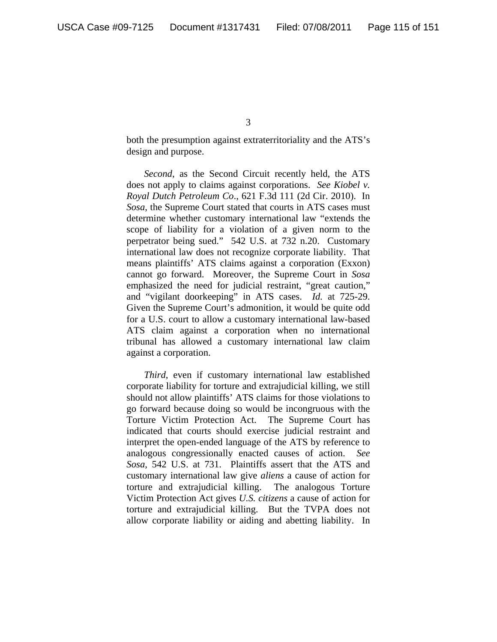both the presumption against extraterritoriality and the ATS's design and purpose.

*Second*, as the Second Circuit recently held, the ATS does not apply to claims against corporations. *See Kiobel v. Royal Dutch Petroleum Co*., 621 F.3d 111 (2d Cir. 2010). In *Sosa*, the Supreme Court stated that courts in ATS cases must determine whether customary international law "extends the scope of liability for a violation of a given norm to the perpetrator being sued." 542 U.S. at 732 n.20. Customary international law does not recognize corporate liability. That means plaintiffs' ATS claims against a corporation (Exxon) cannot go forward. Moreover, the Supreme Court in *Sosa*  emphasized the need for judicial restraint, "great caution," and "vigilant doorkeeping" in ATS cases. *Id.* at 725-29. Given the Supreme Court's admonition, it would be quite odd for a U.S. court to allow a customary international law-based ATS claim against a corporation when no international tribunal has allowed a customary international law claim against a corporation.

*Third*, even if customary international law established corporate liability for torture and extrajudicial killing, we still should not allow plaintiffs' ATS claims for those violations to go forward because doing so would be incongruous with the Torture Victim Protection Act. The Supreme Court has indicated that courts should exercise judicial restraint and interpret the open-ended language of the ATS by reference to analogous congressionally enacted causes of action. *See Sosa*, 542 U.S. at 731. Plaintiffs assert that the ATS and customary international law give *aliens* a cause of action for torture and extrajudicial killing. The analogous Torture Victim Protection Act gives *U.S. citizens* a cause of action for torture and extrajudicial killing. But the TVPA does not allow corporate liability or aiding and abetting liability. In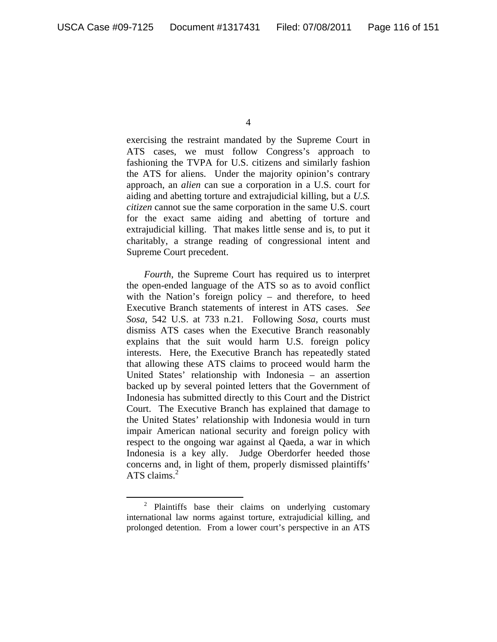exercising the restraint mandated by the Supreme Court in ATS cases, we must follow Congress's approach to fashioning the TVPA for U.S. citizens and similarly fashion the ATS for aliens. Under the majority opinion's contrary approach, an *alien* can sue a corporation in a U.S. court for aiding and abetting torture and extrajudicial killing, but a *U.S. citizen* cannot sue the same corporation in the same U.S. court for the exact same aiding and abetting of torture and extrajudicial killing. That makes little sense and is, to put it charitably, a strange reading of congressional intent and Supreme Court precedent.

 *Fourth*, the Supreme Court has required us to interpret the open-ended language of the ATS so as to avoid conflict with the Nation's foreign policy – and therefore, to heed Executive Branch statements of interest in ATS cases. *See Sosa*, 542 U.S. at 733 n.21. Following *Sosa*, courts must dismiss ATS cases when the Executive Branch reasonably explains that the suit would harm U.S. foreign policy interests. Here, the Executive Branch has repeatedly stated that allowing these ATS claims to proceed would harm the United States' relationship with Indonesia – an assertion backed up by several pointed letters that the Government of Indonesia has submitted directly to this Court and the District Court. The Executive Branch has explained that damage to the United States' relationship with Indonesia would in turn impair American national security and foreign policy with respect to the ongoing war against al Qaeda, a war in which Indonesia is a key ally. Judge Oberdorfer heeded those concerns and, in light of them, properly dismissed plaintiffs' ATS claims.<sup>2</sup>

<sup>4</sup> 

 <sup>2</sup> <sup>2</sup> Plaintiffs base their claims on underlying customary international law norms against torture, extrajudicial killing, and prolonged detention. From a lower court's perspective in an ATS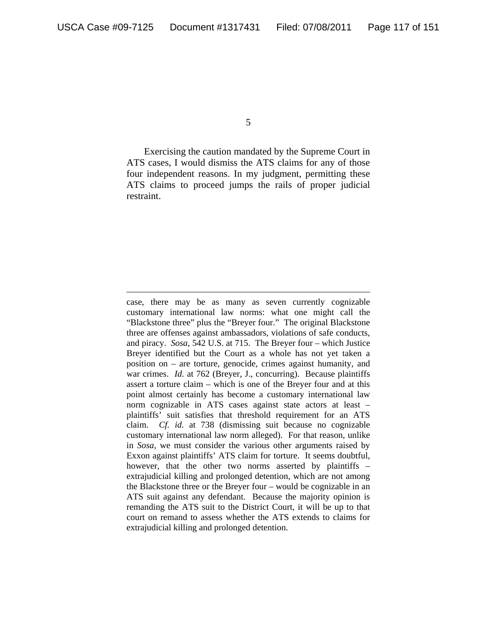$\overline{a}$ 

5

 Exercising the caution mandated by the Supreme Court in ATS cases, I would dismiss the ATS claims for any of those four independent reasons. In my judgment, permitting these ATS claims to proceed jumps the rails of proper judicial restraint.

case, there may be as many as seven currently cognizable customary international law norms: what one might call the "Blackstone three" plus the "Breyer four." The original Blackstone three are offenses against ambassadors, violations of safe conducts, and piracy. *Sosa*, 542 U.S. at 715. The Breyer four – which Justice Breyer identified but the Court as a whole has not yet taken a position on – are torture, genocide, crimes against humanity, and war crimes. *Id.* at 762 (Breyer, J., concurring). Because plaintiffs assert a torture claim – which is one of the Breyer four and at this point almost certainly has become a customary international law norm cognizable in ATS cases against state actors at least – plaintiffs' suit satisfies that threshold requirement for an ATS claim. *Cf. id.* at 738 (dismissing suit because no cognizable customary international law norm alleged). For that reason, unlike in *Sosa*, we must consider the various other arguments raised by Exxon against plaintiffs' ATS claim for torture. It seems doubtful, however, that the other two norms asserted by plaintiffs – extrajudicial killing and prolonged detention, which are not among the Blackstone three or the Breyer four – would be cognizable in an ATS suit against any defendant. Because the majority opinion is remanding the ATS suit to the District Court, it will be up to that court on remand to assess whether the ATS extends to claims for extrajudicial killing and prolonged detention.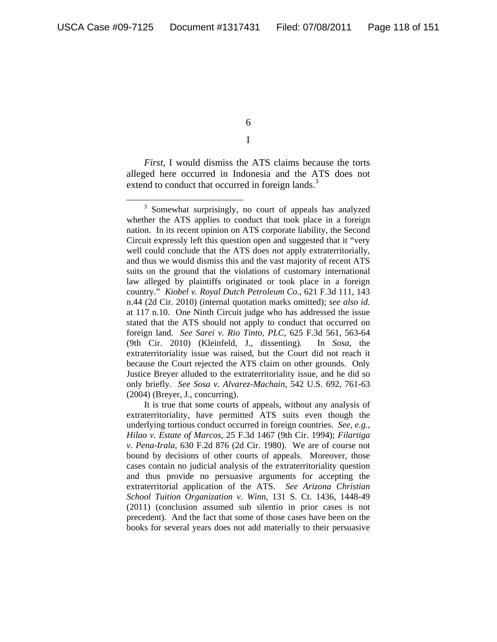6 I

*First*, I would dismiss the ATS claims because the torts alleged here occurred in Indonesia and the ATS does not extend to conduct that occurred in foreign lands.<sup>3</sup>

It is true that some courts of appeals, without any analysis of extraterritoriality, have permitted ATS suits even though the underlying tortious conduct occurred in foreign countries. *See, e.g.*, *Hilao v. Estate of Marcos*, 25 F.3d 1467 (9th Cir. 1994); *Filartiga v. Pena-Irala*, 630 F.2d 876 (2d Cir. 1980). We are of course not bound by decisions of other courts of appeals. Moreover, those cases contain no judicial analysis of the extraterritoriality question and thus provide no persuasive arguments for accepting the extraterritorial application of the ATS. *See Arizona Christian School Tuition Organization v. Winn*, 131 S. Ct. 1436, 1448-49 (2011) (conclusion assumed sub silentio in prior cases is not precedent). And the fact that some of those cases have been on the books for several years does not add materially to their persuasive

 $\frac{1}{3}$ <sup>3</sup> Somewhat surprisingly, no court of appeals has analyzed whether the ATS applies to conduct that took place in a foreign nation. In its recent opinion on ATS corporate liability, the Second Circuit expressly left this question open and suggested that it "very well could conclude that the ATS does *not* apply extraterritorially, and thus we would dismiss this and the vast majority of recent ATS suits on the ground that the violations of customary international law alleged by plaintiffs originated or took place in a foreign country." *Kiobel v. Royal Dutch Petroleum Co.*, 621 F.3d 111, 143 n.44 (2d Cir. 2010) (internal quotation marks omitted); *see also id.*  at 117 n.10. One Ninth Circuit judge who has addressed the issue stated that the ATS should not apply to conduct that occurred on foreign land. *See Sarei v. Rio Tinto, PLC*, 625 F.3d 561, 563-64 (9th Cir. 2010) (Kleinfeld, J., dissenting). In *Sosa*, the extraterritoriality issue was raised, but the Court did not reach it because the Court rejected the ATS claim on other grounds. Only Justice Breyer alluded to the extraterritoriality issue, and he did so only briefly. *See Sosa v. Alvarez-Machain*, 542 U.S. 692, 761-63 (2004) (Breyer, J., concurring).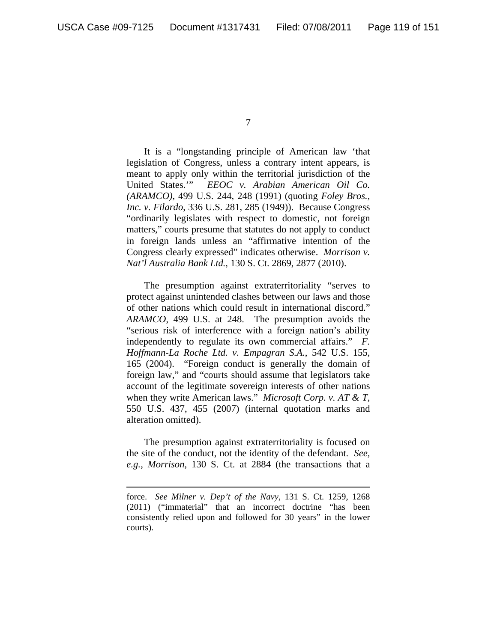$\overline{a}$ 

7

 It is a "longstanding principle of American law 'that legislation of Congress, unless a contrary intent appears, is meant to apply only within the territorial jurisdiction of the United States.'" *EEOC v. Arabian American Oil Co. (ARAMCO)*, 499 U.S. 244, 248 (1991) (quoting *Foley Bros., Inc. v. Filardo*, 336 U.S. 281, 285 (1949)). Because Congress "ordinarily legislates with respect to domestic, not foreign matters," courts presume that statutes do not apply to conduct in foreign lands unless an "affirmative intention of the Congress clearly expressed" indicates otherwise. *Morrison v. Nat'l Australia Bank Ltd.*, 130 S. Ct. 2869, 2877 (2010).

The presumption against extraterritoriality "serves to protect against unintended clashes between our laws and those of other nations which could result in international discord." *ARAMCO*, 499 U.S. at 248. The presumption avoids the "serious risk of interference with a foreign nation's ability independently to regulate its own commercial affairs." *F. Hoffmann-La Roche Ltd. v. Empagran S.A.*, 542 U.S. 155, 165 (2004). "Foreign conduct is generally the domain of foreign law," and "courts should assume that legislators take account of the legitimate sovereign interests of other nations when they write American laws." *Microsoft Corp. v. AT & T*, 550 U.S. 437, 455 (2007) (internal quotation marks and alteration omitted).

 The presumption against extraterritoriality is focused on the site of the conduct, not the identity of the defendant. *See, e.g.*, *Morrison*, 130 S. Ct. at 2884 (the transactions that a

force. *See Milner v. Dep't of the Navy*, 131 S. Ct. 1259, 1268 (2011) ("immaterial" that an incorrect doctrine "has been consistently relied upon and followed for 30 years" in the lower courts).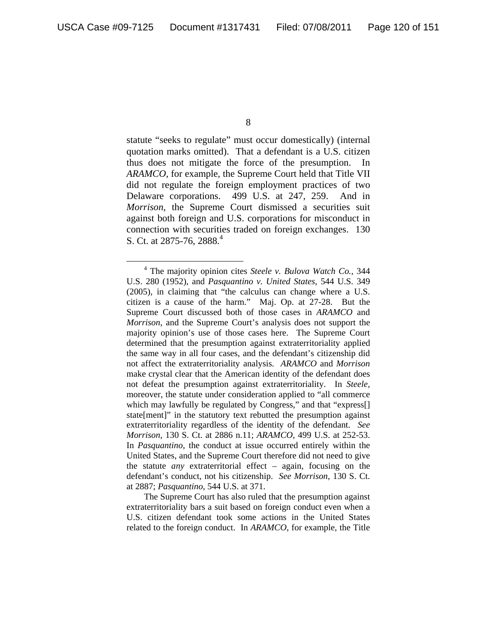statute "seeks to regulate" must occur domestically) (internal quotation marks omitted). That a defendant is a U.S. citizen thus does not mitigate the force of the presumption. In *ARAMCO*, for example, the Supreme Court held that Title VII did not regulate the foreign employment practices of two Delaware corporations. 499 U.S. at 247, 259. And in *Morrison*, the Supreme Court dismissed a securities suit against both foreign and U.S. corporations for misconduct in connection with securities traded on foreign exchanges. 130 S. Ct. at 2875-76, 2888.<sup>4</sup>

The Supreme Court has also ruled that the presumption against extraterritoriality bars a suit based on foreign conduct even when a U.S. citizen defendant took some actions in the United States related to the foreign conduct. In *ARAMCO*, for example, the Title

 $\frac{1}{4}$  The majority opinion cites *Steele v. Bulova Watch Co.*, 344 U.S. 280 (1952), and *Pasquantino v. United States*, 544 U.S. 349 (2005), in claiming that "the calculus can change where a U.S. citizen is a cause of the harm." Maj. Op. at 27-28. But the Supreme Court discussed both of those cases in *ARAMCO* and *Morrison*, and the Supreme Court's analysis does not support the majority opinion's use of those cases here. The Supreme Court determined that the presumption against extraterritoriality applied the same way in all four cases, and the defendant's citizenship did not affect the extraterritoriality analysis. *ARAMCO* and *Morrison* make crystal clear that the American identity of the defendant does not defeat the presumption against extraterritoriality. In *Steele*, moreover, the statute under consideration applied to "all commerce which may lawfully be regulated by Congress," and that "express[] state[ment]" in the statutory text rebutted the presumption against extraterritoriality regardless of the identity of the defendant. *See Morrison*, 130 S. Ct. at 2886 n.11; *ARAMCO*, 499 U.S. at 252-53. In *Pasquantino*, the conduct at issue occurred entirely within the United States, and the Supreme Court therefore did not need to give the statute *any* extraterritorial effect – again, focusing on the defendant's conduct, not his citizenship. *See Morrison*, 130 S. Ct. at 2887; *Pasquantino*, 544 U.S. at 371.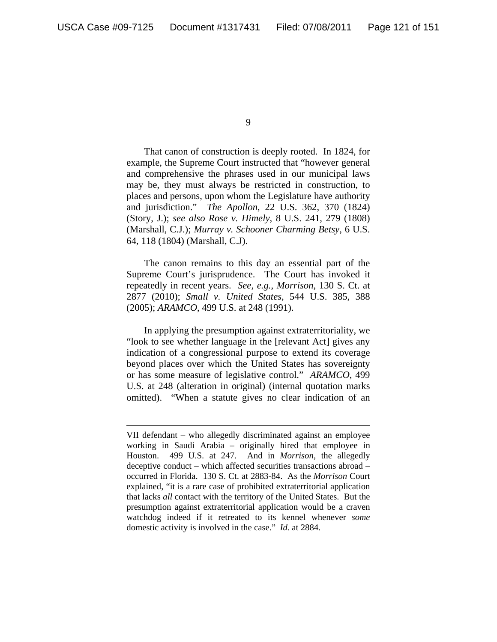$\overline{a}$ 

That canon of construction is deeply rooted. In 1824, for example, the Supreme Court instructed that "however general and comprehensive the phrases used in our municipal laws may be, they must always be restricted in construction, to places and persons, upon whom the Legislature have authority and jurisdiction." *The Apollon*, 22 U.S. 362, 370 (1824) (Story, J.); *see also Rose v. Himely*, 8 U.S. 241, 279 (1808) (Marshall, C.J.); *Murray v. Schooner Charming Betsy*, 6 U.S. 64, 118 (1804) (Marshall, C.J).

The canon remains to this day an essential part of the Supreme Court's jurisprudence. The Court has invoked it repeatedly in recent years. *See, e.g.*, *Morrison*, 130 S. Ct. at 2877 (2010); *Small v. United States*, 544 U.S. 385, 388 (2005); *ARAMCO*, 499 U.S. at 248 (1991).

 In applying the presumption against extraterritoriality, we "look to see whether language in the [relevant Act] gives any indication of a congressional purpose to extend its coverage beyond places over which the United States has sovereignty or has some measure of legislative control." *ARAMCO*, 499 U.S. at 248 (alteration in original) (internal quotation marks omitted). "When a statute gives no clear indication of an

<sup>9</sup> 

VII defendant – who allegedly discriminated against an employee working in Saudi Arabia – originally hired that employee in Houston. 499 U.S. at 247. And in *Morrison*, the allegedly deceptive conduct – which affected securities transactions abroad – occurred in Florida. 130 S. Ct. at 2883-84. As the *Morrison* Court explained, "it is a rare case of prohibited extraterritorial application that lacks *all* contact with the territory of the United States. But the presumption against extraterritorial application would be a craven watchdog indeed if it retreated to its kennel whenever *some* domestic activity is involved in the case." *Id.* at 2884.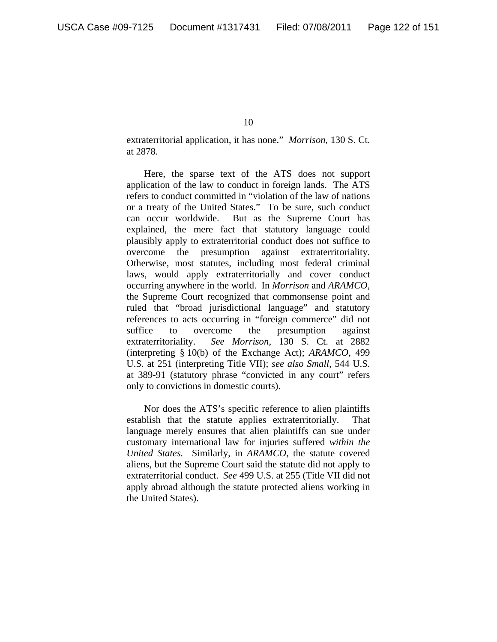extraterritorial application, it has none." *Morrison*, 130 S. Ct. at 2878.

Here, the sparse text of the ATS does not support application of the law to conduct in foreign lands. The ATS refers to conduct committed in "violation of the law of nations or a treaty of the United States." To be sure, such conduct can occur worldwide. But as the Supreme Court has explained, the mere fact that statutory language could plausibly apply to extraterritorial conduct does not suffice to overcome the presumption against extraterritoriality. Otherwise, most statutes, including most federal criminal laws, would apply extraterritorially and cover conduct occurring anywhere in the world. In *Morrison* and *ARAMCO*, the Supreme Court recognized that commonsense point and ruled that "broad jurisdictional language" and statutory references to acts occurring in "foreign commerce" did not suffice to overcome the presumption against extraterritoriality. *See Morrison*, 130 S. Ct. at 2882 (interpreting § 10(b) of the Exchange Act); *ARAMCO*, 499 U.S. at 251 (interpreting Title VII); *see also Small*, 544 U.S. at 389-91 (statutory phrase "convicted in any court" refers only to convictions in domestic courts).

Nor does the ATS's specific reference to alien plaintiffs establish that the statute applies extraterritorially. That language merely ensures that alien plaintiffs can sue under customary international law for injuries suffered *within the United States.* Similarly, in *ARAMCO*, the statute covered aliens, but the Supreme Court said the statute did not apply to extraterritorial conduct. *See* 499 U.S. at 255 (Title VII did not apply abroad although the statute protected aliens working in the United States).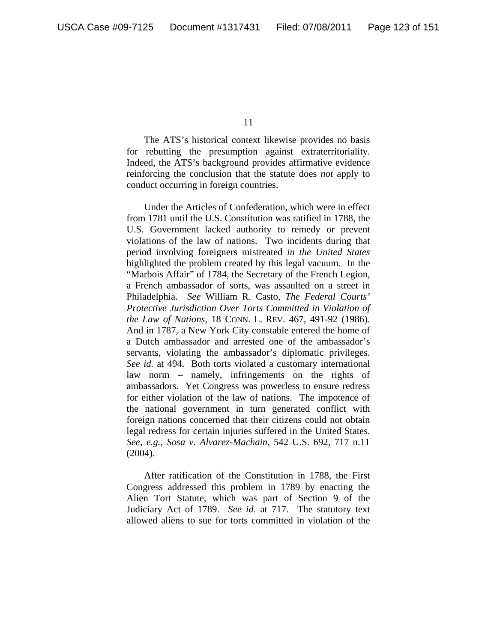The ATS's historical context likewise provides no basis for rebutting the presumption against extraterritoriality. Indeed, the ATS's background provides affirmative evidence reinforcing the conclusion that the statute does *not* apply to conduct occurring in foreign countries.

Under the Articles of Confederation, which were in effect from 1781 until the U.S. Constitution was ratified in 1788, the U.S. Government lacked authority to remedy or prevent violations of the law of nations. Two incidents during that period involving foreigners mistreated *in the United States* highlighted the problem created by this legal vacuum. In the "Marbois Affair" of 1784, the Secretary of the French Legion, a French ambassador of sorts, was assaulted on a street in Philadelphia. *See* William R. Casto, *The Federal Courts' Protective Jurisdiction Over Torts Committed in Violation of the Law of Nations*, 18 CONN. L. REV. 467, 491-92 (1986). And in 1787, a New York City constable entered the home of a Dutch ambassador and arrested one of the ambassador's servants, violating the ambassador's diplomatic privileges. *See id.* at 494. Both torts violated a customary international law norm – namely, infringements on the rights of ambassadors. Yet Congress was powerless to ensure redress for either violation of the law of nations. The impotence of the national government in turn generated conflict with foreign nations concerned that their citizens could not obtain legal redress for certain injuries suffered in the United States. *See, e.g.*, *Sosa v. Alvarez-Machain*, 542 U.S. 692, 717 n.11 (2004).

After ratification of the Constitution in 1788, the First Congress addressed this problem in 1789 by enacting the Alien Tort Statute, which was part of Section 9 of the Judiciary Act of 1789. *See id*. at 717. The statutory text allowed aliens to sue for torts committed in violation of the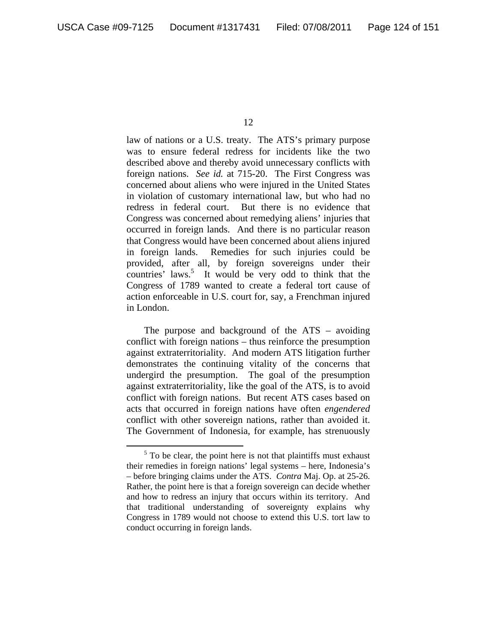law of nations or a U.S. treaty. The ATS's primary purpose was to ensure federal redress for incidents like the two described above and thereby avoid unnecessary conflicts with foreign nations. *See id.* at 715-20. The First Congress was concerned about aliens who were injured in the United States in violation of customary international law, but who had no redress in federal court. But there is no evidence that Congress was concerned about remedying aliens' injuries that occurred in foreign lands. And there is no particular reason that Congress would have been concerned about aliens injured in foreign lands. Remedies for such injuries could be provided, after all, by foreign sovereigns under their countries' laws.<sup>5</sup> It would be very odd to think that the Congress of 1789 wanted to create a federal tort cause of action enforceable in U.S. court for, say, a Frenchman injured in London.

The purpose and background of the ATS – avoiding conflict with foreign nations – thus reinforce the presumption against extraterritoriality. And modern ATS litigation further demonstrates the continuing vitality of the concerns that undergird the presumption. The goal of the presumption against extraterritoriality, like the goal of the ATS, is to avoid conflict with foreign nations. But recent ATS cases based on acts that occurred in foreign nations have often *engendered* conflict with other sovereign nations, rather than avoided it. The Government of Indonesia, for example, has strenuously

 $rac{1}{5}$  $5$  To be clear, the point here is not that plaintiffs must exhaust their remedies in foreign nations' legal systems – here, Indonesia's – before bringing claims under the ATS. *Contra* Maj. Op. at 25-26. Rather, the point here is that a foreign sovereign can decide whether and how to redress an injury that occurs within its territory. And that traditional understanding of sovereignty explains why Congress in 1789 would not choose to extend this U.S. tort law to conduct occurring in foreign lands.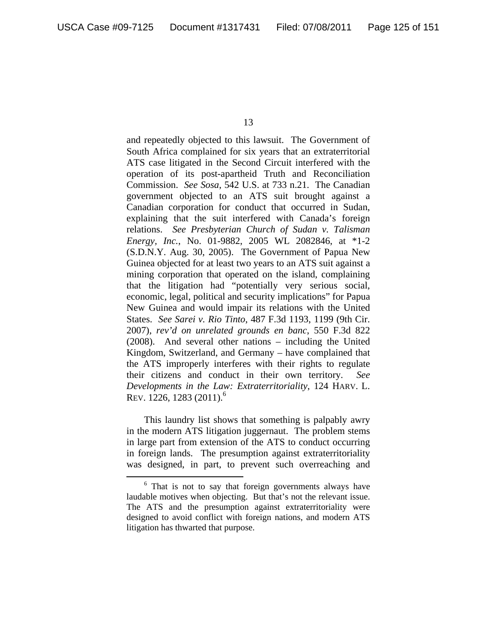and repeatedly objected to this lawsuit. The Government of South Africa complained for six years that an extraterritorial ATS case litigated in the Second Circuit interfered with the operation of its post-apartheid Truth and Reconciliation Commission. *See Sosa*, 542 U.S. at 733 n.21. The Canadian government objected to an ATS suit brought against a Canadian corporation for conduct that occurred in Sudan, explaining that the suit interfered with Canada's foreign relations. *See Presbyterian Church of Sudan v. Talisman Energy, Inc.*, No. 01-9882, 2005 WL 2082846, at \*1-2 (S.D.N.Y. Aug. 30, 2005). The Government of Papua New Guinea objected for at least two years to an ATS suit against a mining corporation that operated on the island, complaining that the litigation had "potentially very serious social, economic, legal, political and security implications" for Papua New Guinea and would impair its relations with the United States. *See Sarei v. Rio Tinto*, 487 F.3d 1193, 1199 (9th Cir. 2007), *rev'd on unrelated grounds en banc*, 550 F.3d 822 (2008). And several other nations – including the United Kingdom, Switzerland, and Germany – have complained that the ATS improperly interferes with their rights to regulate their citizens and conduct in their own territory. *See Developments in the Law: Extraterritoriality*, 124 HARV. L. REV. 1226, 1283 (2011).<sup>6</sup>

This laundry list shows that something is palpably awry in the modern ATS litigation juggernaut. The problem stems in large part from extension of the ATS to conduct occurring in foreign lands. The presumption against extraterritoriality was designed, in part, to prevent such overreaching and

 $\overline{6}$  $6$  That is not to say that foreign governments always have laudable motives when objecting. But that's not the relevant issue. The ATS and the presumption against extraterritoriality were designed to avoid conflict with foreign nations, and modern ATS litigation has thwarted that purpose.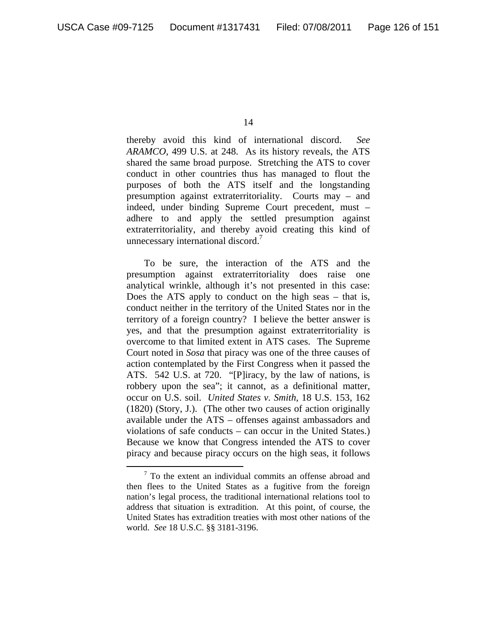thereby avoid this kind of international discord. *See ARAMCO*, 499 U.S. at 248. As its history reveals, the ATS shared the same broad purpose. Stretching the ATS to cover conduct in other countries thus has managed to flout the purposes of both the ATS itself and the longstanding presumption against extraterritoriality. Courts may – and indeed, under binding Supreme Court precedent, must – adhere to and apply the settled presumption against extraterritoriality, and thereby avoid creating this kind of unnecessary international discord.<sup>7</sup>

To be sure, the interaction of the ATS and the presumption against extraterritoriality does raise one analytical wrinkle, although it's not presented in this case: Does the ATS apply to conduct on the high seas – that is, conduct neither in the territory of the United States nor in the territory of a foreign country? I believe the better answer is yes, and that the presumption against extraterritoriality is overcome to that limited extent in ATS cases. The Supreme Court noted in *Sosa* that piracy was one of the three causes of action contemplated by the First Congress when it passed the ATS. 542 U.S. at 720. "[P]iracy, by the law of nations, is robbery upon the sea"; it cannot, as a definitional matter, occur on U.S. soil. *United States v. Smith*, 18 U.S. 153, 162 (1820) (Story, J.). (The other two causes of action originally available under the ATS – offenses against ambassadors and violations of safe conducts – can occur in the United States.) Because we know that Congress intended the ATS to cover piracy and because piracy occurs on the high seas, it follows

<sup>14</sup> 

 $\frac{1}{7}$  $\frac{7}{1}$  To the extent an individual commits an offense abroad and then flees to the United States as a fugitive from the foreign nation's legal process, the traditional international relations tool to address that situation is extradition. At this point, of course, the United States has extradition treaties with most other nations of the world. *See* 18 U.S.C. §§ 3181-3196.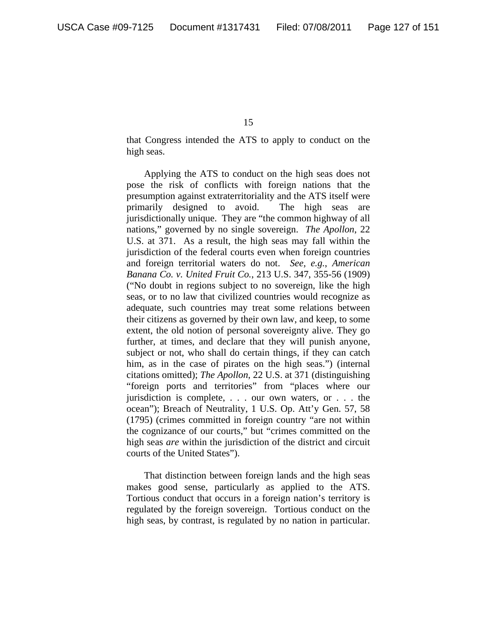that Congress intended the ATS to apply to conduct on the high seas.

Applying the ATS to conduct on the high seas does not pose the risk of conflicts with foreign nations that the presumption against extraterritoriality and the ATS itself were primarily designed to avoid. The high seas are jurisdictionally unique. They are "the common highway of all nations," governed by no single sovereign. *The Apollon*, 22 U.S. at 371. As a result, the high seas may fall within the jurisdiction of the federal courts even when foreign countries and foreign territorial waters do not. *See, e.g.*, *American Banana Co. v. United Fruit Co.*, 213 U.S. 347, 355-56 (1909) ("No doubt in regions subject to no sovereign, like the high seas, or to no law that civilized countries would recognize as adequate, such countries may treat some relations between their citizens as governed by their own law, and keep, to some extent, the old notion of personal sovereignty alive. They go further, at times, and declare that they will punish anyone, subject or not, who shall do certain things, if they can catch him, as in the case of pirates on the high seas.") (internal citations omitted); *The Apollon*, 22 U.S. at 371 (distinguishing "foreign ports and territories" from "places where our jurisdiction is complete, . . . our own waters, or . . . the ocean"); Breach of Neutrality, 1 U.S. Op. Att'y Gen. 57, 58 (1795) (crimes committed in foreign country "are not within the cognizance of our courts," but "crimes committed on the high seas *are* within the jurisdiction of the district and circuit courts of the United States").

That distinction between foreign lands and the high seas makes good sense, particularly as applied to the ATS. Tortious conduct that occurs in a foreign nation's territory is regulated by the foreign sovereign. Tortious conduct on the high seas, by contrast, is regulated by no nation in particular.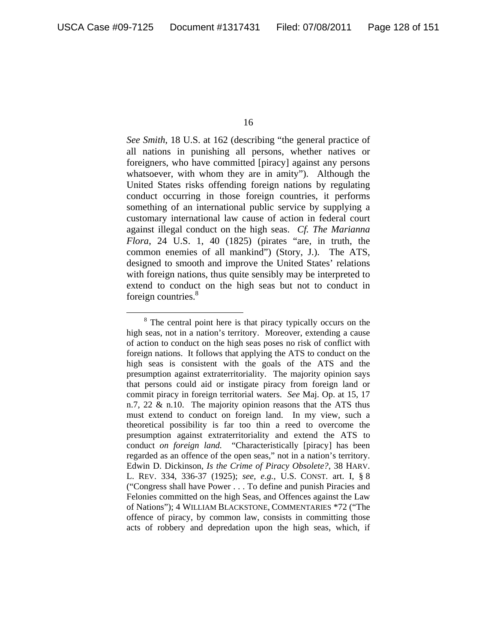*See Smith*, 18 U.S. at 162 (describing "the general practice of all nations in punishing all persons, whether natives or foreigners, who have committed [piracy] against any persons whatsoever, with whom they are in amity"). Although the United States risks offending foreign nations by regulating conduct occurring in those foreign countries, it performs something of an international public service by supplying a customary international law cause of action in federal court against illegal conduct on the high seas. *Cf. The Marianna Flora*, 24 U.S. 1, 40 (1825) (pirates "are, in truth, the common enemies of all mankind") (Story, J.). The ATS, designed to smooth and improve the United States' relations with foreign nations, thus quite sensibly may be interpreted to extend to conduct on the high seas but not to conduct in foreign countries.<sup>8</sup>

 <sup>8</sup>  $8^8$  The central point here is that piracy typically occurs on the high seas, not in a nation's territory. Moreover, extending a cause of action to conduct on the high seas poses no risk of conflict with foreign nations. It follows that applying the ATS to conduct on the high seas is consistent with the goals of the ATS and the presumption against extraterritoriality. The majority opinion says that persons could aid or instigate piracy from foreign land or commit piracy in foreign territorial waters. *See* Maj. Op. at 15, 17 n.7, 22 & n.10. The majority opinion reasons that the ATS thus must extend to conduct on foreign land. In my view, such a theoretical possibility is far too thin a reed to overcome the presumption against extraterritoriality and extend the ATS to conduct *on foreign land.* "Characteristically [piracy] has been regarded as an offence of the open seas," not in a nation's territory. Edwin D. Dickinson, *Is the Crime of Piracy Obsolete?*, 38 HARV. L. REV. 334, 336-37 (1925); *see, e.g.*, U.S. CONST. art. I, § 8 ("Congress shall have Power . . . To define and punish Piracies and Felonies committed on the high Seas, and Offences against the Law of Nations"); 4 WILLIAM BLACKSTONE, COMMENTARIES \*72 ("The offence of piracy, by common law, consists in committing those acts of robbery and depredation upon the high seas, which, if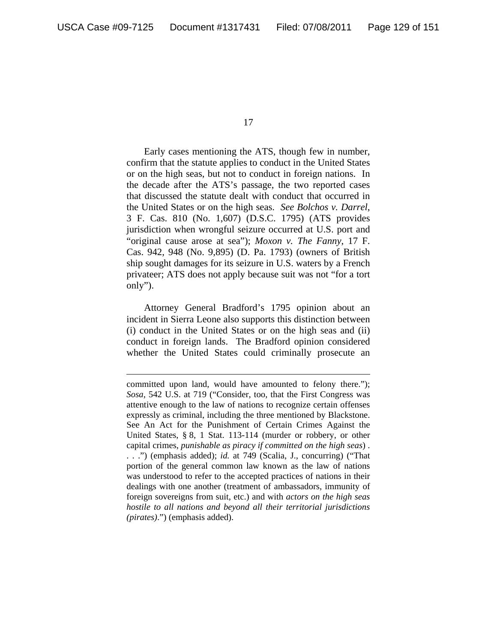$\overline{a}$ 

17

Early cases mentioning the ATS, though few in number, confirm that the statute applies to conduct in the United States or on the high seas, but not to conduct in foreign nations. In the decade after the ATS's passage, the two reported cases that discussed the statute dealt with conduct that occurred in the United States or on the high seas. *See Bolchos v. Darrel*, 3 F. Cas. 810 (No. 1,607) (D.S.C. 1795) (ATS provides jurisdiction when wrongful seizure occurred at U.S. port and "original cause arose at sea"); *Moxon v. The Fanny*, 17 F. Cas. 942, 948 (No. 9,895) (D. Pa. 1793) (owners of British ship sought damages for its seizure in U.S. waters by a French privateer; ATS does not apply because suit was not "for a tort only").

Attorney General Bradford's 1795 opinion about an incident in Sierra Leone also supports this distinction between (i) conduct in the United States or on the high seas and (ii) conduct in foreign lands. The Bradford opinion considered whether the United States could criminally prosecute an

committed upon land, would have amounted to felony there."); *Sosa*, 542 U.S. at 719 ("Consider, too, that the First Congress was attentive enough to the law of nations to recognize certain offenses expressly as criminal, including the three mentioned by Blackstone. See An Act for the Punishment of Certain Crimes Against the United States, § 8, 1 Stat. 113-114 (murder or robbery, or other capital crimes, *punishable as piracy if committed on the high seas*) . . . .") (emphasis added); *id.* at 749 (Scalia, J., concurring) ("That portion of the general common law known as the law of nations was understood to refer to the accepted practices of nations in their dealings with one another (treatment of ambassadors, immunity of foreign sovereigns from suit, etc.) and with *actors on the high seas hostile to all nations and beyond all their territorial jurisdictions (pirates)*.") (emphasis added).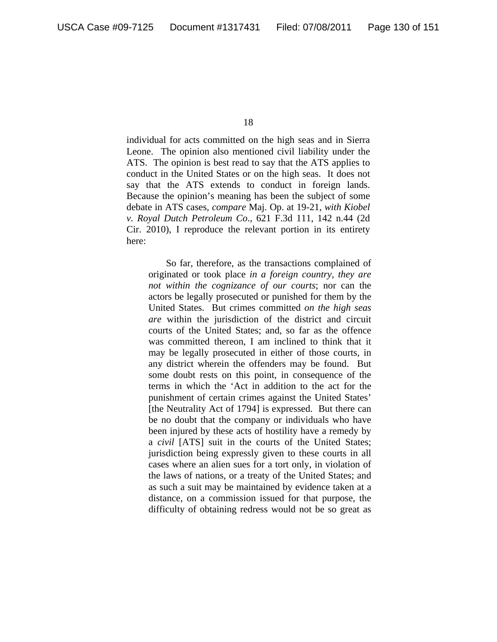individual for acts committed on the high seas and in Sierra Leone. The opinion also mentioned civil liability under the ATS. The opinion is best read to say that the ATS applies to conduct in the United States or on the high seas. It does not say that the ATS extends to conduct in foreign lands. Because the opinion's meaning has been the subject of some debate in ATS cases, *compare* Maj. Op. at 19-21, *with Kiobel v. Royal Dutch Petroleum Co*., 621 F.3d 111, 142 n.44 (2d Cir. 2010), I reproduce the relevant portion in its entirety here:

So far, therefore, as the transactions complained of originated or took place *in a foreign country*, *they are not within the cognizance of our courts*; nor can the actors be legally prosecuted or punished for them by the United States. But crimes committed *on the high seas are* within the jurisdiction of the district and circuit courts of the United States; and, so far as the offence was committed thereon, I am inclined to think that it may be legally prosecuted in either of those courts, in any district wherein the offenders may be found. But some doubt rests on this point, in consequence of the terms in which the 'Act in addition to the act for the punishment of certain crimes against the United States' [the Neutrality Act of 1794] is expressed. But there can be no doubt that the company or individuals who have been injured by these acts of hostility have a remedy by a *civil* [ATS] suit in the courts of the United States; jurisdiction being expressly given to these courts in all cases where an alien sues for a tort only, in violation of the laws of nations, or a treaty of the United States; and as such a suit may be maintained by evidence taken at a distance, on a commission issued for that purpose, the difficulty of obtaining redress would not be so great as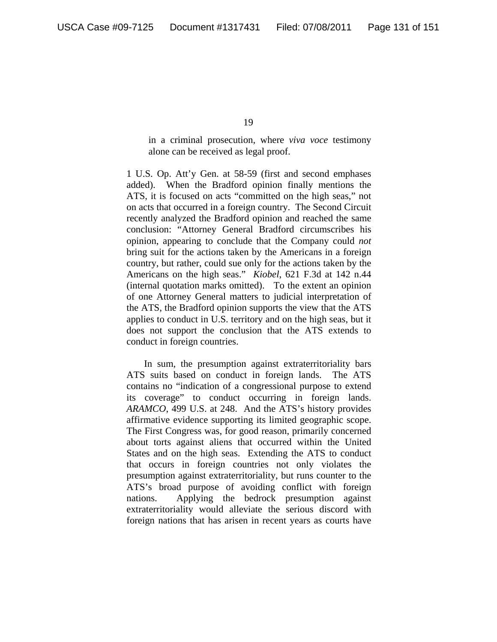in a criminal prosecution, where *viva voce* testimony alone can be received as legal proof.

1 U.S. Op. Att'y Gen. at 58-59 (first and second emphases added). When the Bradford opinion finally mentions the ATS, it is focused on acts "committed on the high seas," not on acts that occurred in a foreign country. The Second Circuit recently analyzed the Bradford opinion and reached the same conclusion: "Attorney General Bradford circumscribes his opinion, appearing to conclude that the Company could *not* bring suit for the actions taken by the Americans in a foreign country, but rather, could sue only for the actions taken by the Americans on the high seas." *Kiobel*, 621 F.3d at 142 n.44 (internal quotation marks omitted). To the extent an opinion of one Attorney General matters to judicial interpretation of the ATS, the Bradford opinion supports the view that the ATS applies to conduct in U.S. territory and on the high seas, but it does not support the conclusion that the ATS extends to conduct in foreign countries.

 In sum, the presumption against extraterritoriality bars ATS suits based on conduct in foreign lands. The ATS contains no "indication of a congressional purpose to extend its coverage" to conduct occurring in foreign lands. *ARAMCO*, 499 U.S. at 248. And the ATS's history provides affirmative evidence supporting its limited geographic scope. The First Congress was, for good reason, primarily concerned about torts against aliens that occurred within the United States and on the high seas. Extending the ATS to conduct that occurs in foreign countries not only violates the presumption against extraterritoriality, but runs counter to the ATS's broad purpose of avoiding conflict with foreign nations. Applying the bedrock presumption against extraterritoriality would alleviate the serious discord with foreign nations that has arisen in recent years as courts have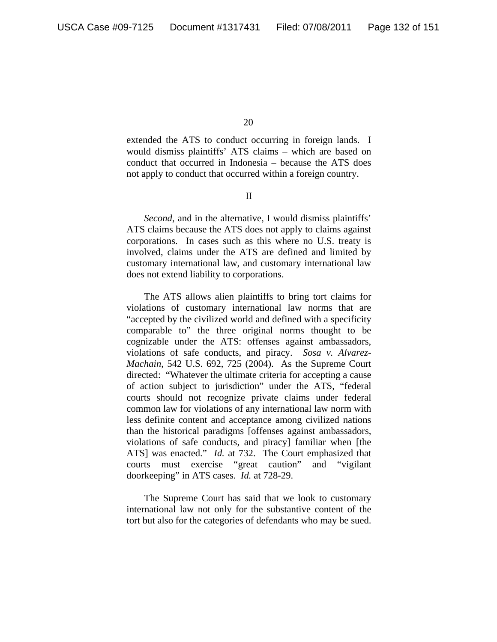extended the ATS to conduct occurring in foreign lands. I would dismiss plaintiffs' ATS claims – which are based on conduct that occurred in Indonesia – because the ATS does not apply to conduct that occurred within a foreign country.

II

*Second*, and in the alternative, I would dismiss plaintiffs' ATS claims because the ATS does not apply to claims against corporations. In cases such as this where no U.S. treaty is involved, claims under the ATS are defined and limited by customary international law, and customary international law does not extend liability to corporations.

The ATS allows alien plaintiffs to bring tort claims for violations of customary international law norms that are "accepted by the civilized world and defined with a specificity comparable to" the three original norms thought to be cognizable under the ATS: offenses against ambassadors, violations of safe conducts, and piracy. *Sosa v. Alvarez-Machain*, 542 U.S. 692, 725 (2004). As the Supreme Court directed: "Whatever the ultimate criteria for accepting a cause of action subject to jurisdiction" under the ATS, "federal courts should not recognize private claims under federal common law for violations of any international law norm with less definite content and acceptance among civilized nations than the historical paradigms [offenses against ambassadors, violations of safe conducts, and piracy] familiar when [the ATS] was enacted." *Id.* at 732. The Court emphasized that courts must exercise "great caution" and "vigilant doorkeeping" in ATS cases. *Id.* at 728-29.

The Supreme Court has said that we look to customary international law not only for the substantive content of the tort but also for the categories of defendants who may be sued.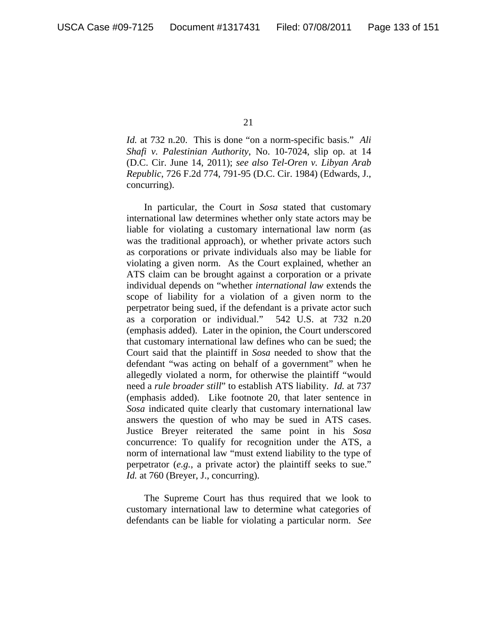*Id.* at 732 n.20. This is done "on a norm-specific basis." *Ali Shafi v. Palestinian Authority*, No. 10-7024, slip op. at 14 (D.C. Cir. June 14, 2011); *see also Tel-Oren v. Libyan Arab Republic*, 726 F.2d 774, 791-95 (D.C. Cir. 1984) (Edwards, J., concurring).

In particular, the Court in *Sosa* stated that customary international law determines whether only state actors may be liable for violating a customary international law norm (as was the traditional approach), or whether private actors such as corporations or private individuals also may be liable for violating a given norm. As the Court explained, whether an ATS claim can be brought against a corporation or a private individual depends on "whether *international law* extends the scope of liability for a violation of a given norm to the perpetrator being sued, if the defendant is a private actor such as a corporation or individual." 542 U.S. at 732 n.20 (emphasis added). Later in the opinion, the Court underscored that customary international law defines who can be sued; the Court said that the plaintiff in *Sosa* needed to show that the defendant "was acting on behalf of a government" when he allegedly violated a norm, for otherwise the plaintiff "would need a *rule broader still*" to establish ATS liability. *Id.* at 737 (emphasis added). Like footnote 20, that later sentence in *Sosa* indicated quite clearly that customary international law answers the question of who may be sued in ATS cases. Justice Breyer reiterated the same point in his *Sosa*  concurrence: To qualify for recognition under the ATS, a norm of international law "must extend liability to the type of perpetrator (*e.g.*, a private actor) the plaintiff seeks to sue." *Id.* at 760 (Breyer, J., concurring).

The Supreme Court has thus required that we look to customary international law to determine what categories of defendants can be liable for violating a particular norm. *See*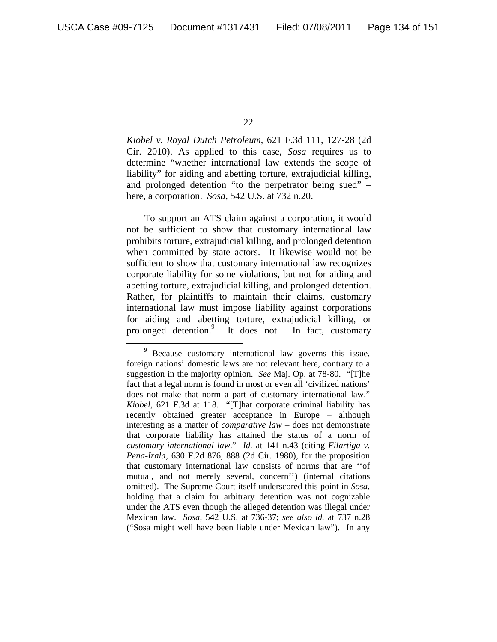*Kiobel v. Royal Dutch Petroleum*, 621 F.3d 111, 127-28 (2d Cir. 2010). As applied to this case, *Sosa* requires us to determine "whether international law extends the scope of liability" for aiding and abetting torture, extrajudicial killing, and prolonged detention "to the perpetrator being sued" – here, a corporation. *Sosa*, 542 U.S. at 732 n.20.

To support an ATS claim against a corporation, it would not be sufficient to show that customary international law prohibits torture, extrajudicial killing, and prolonged detention when committed by state actors. It likewise would not be sufficient to show that customary international law recognizes corporate liability for some violations, but not for aiding and abetting torture, extrajudicial killing, and prolonged detention. Rather, for plaintiffs to maintain their claims, customary international law must impose liability against corporations for aiding and abetting torture, extrajudicial killing, or prolonged detention.9 It does not. In fact, customary

 $\frac{1}{\sqrt{9}}$ <sup>9</sup> Because customary international law governs this issue, foreign nations' domestic laws are not relevant here, contrary to a suggestion in the majority opinion. *See* Maj. Op. at 78-80. "[T]he fact that a legal norm is found in most or even all 'civilized nations' does not make that norm a part of customary international law." *Kiobel*, 621 F.3d at 118. "[T]hat corporate criminal liability has recently obtained greater acceptance in Europe – although interesting as a matter of *comparative law* – does not demonstrate that corporate liability has attained the status of a norm of *customary international law*." *Id.* at 141 n.43 (citing *Filartiga v. Pena-Irala*, 630 F.2d 876, 888 (2d Cir. 1980), for the proposition that customary international law consists of norms that are ''of mutual, and not merely several, concern'') (internal citations omitted). The Supreme Court itself underscored this point in *Sosa*, holding that a claim for arbitrary detention was not cognizable under the ATS even though the alleged detention was illegal under Mexican law. *Sosa*, 542 U.S. at 736-37; *see also id.* at 737 n.28 ("Sosa might well have been liable under Mexican law"). In any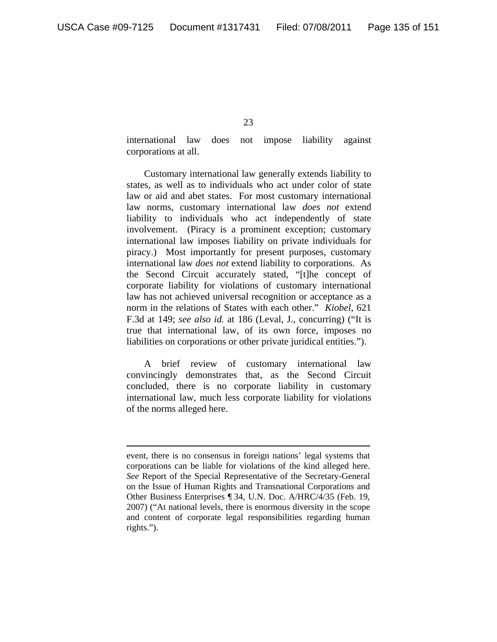$\overline{a}$ 

23

international law does not impose liability against corporations at all.

Customary international law generally extends liability to states, as well as to individuals who act under color of state law or aid and abet states. For most customary international law norms, customary international law *does not* extend liability to individuals who act independently of state involvement. (Piracy is a prominent exception; customary international law imposes liability on private individuals for piracy.) Most importantly for present purposes, customary international law *does not* extend liability to corporations. As the Second Circuit accurately stated, "[t]he concept of corporate liability for violations of customary international law has not achieved universal recognition or acceptance as a norm in the relations of States with each other." *Kiobel*, 621 F.3d at 149; *see also id.* at 186 (Leval, J., concurring) ("It is true that international law, of its own force, imposes no liabilities on corporations or other private juridical entities.").

A brief review of customary international law convincingly demonstrates that, as the Second Circuit concluded, there is no corporate liability in customary international law, much less corporate liability for violations of the norms alleged here.

event, there is no consensus in foreign nations' legal systems that corporations can be liable for violations of the kind alleged here. *See* Report of the Special Representative of the Secretary-General on the Issue of Human Rights and Transnational Corporations and Other Business Enterprises ¶ 34, U.N. Doc. A/HRC/4/35 (Feb. 19, 2007) ("At national levels, there is enormous diversity in the scope and content of corporate legal responsibilities regarding human rights.").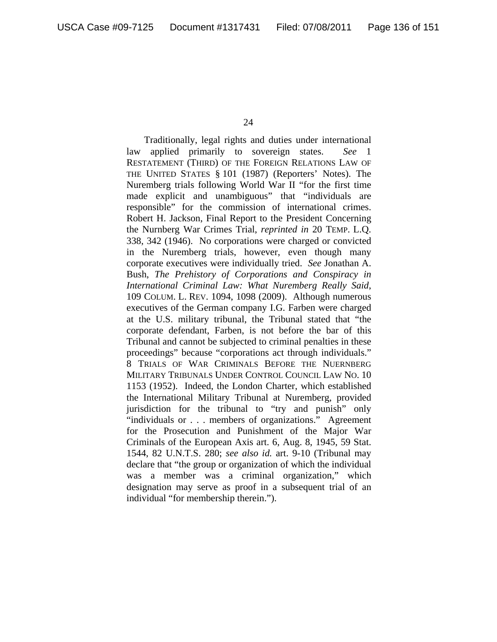Traditionally, legal rights and duties under international law applied primarily to sovereign states. *See* 1 RESTATEMENT (THIRD) OF THE FOREIGN RELATIONS LAW OF THE UNITED STATES § 101 (1987) (Reporters' Notes). The Nuremberg trials following World War II "for the first time made explicit and unambiguous" that "individuals are responsible" for the commission of international crimes. Robert H. Jackson, Final Report to the President Concerning the Nurnberg War Crimes Trial, *reprinted in* 20 TEMP. L.Q. 338, 342 (1946). No corporations were charged or convicted in the Nuremberg trials, however, even though many corporate executives were individually tried. *See* Jonathan A. Bush, *The Prehistory of Corporations and Conspiracy in International Criminal Law: What Nuremberg Really Said*, 109 COLUM. L. REV. 1094, 1098 (2009). Although numerous executives of the German company I.G. Farben were charged at the U.S. military tribunal, the Tribunal stated that "the corporate defendant, Farben, is not before the bar of this Tribunal and cannot be subjected to criminal penalties in these proceedings" because "corporations act through individuals." 8 TRIALS OF WAR CRIMINALS BEFORE THE NUERNBERG MILITARY TRIBUNALS UNDER CONTROL COUNCIL LAW NO. 10 1153 (1952). Indeed, the London Charter, which established the International Military Tribunal at Nuremberg, provided jurisdiction for the tribunal to "try and punish" only "individuals or . . . members of organizations." Agreement for the Prosecution and Punishment of the Major War Criminals of the European Axis art. 6, Aug. 8, 1945, 59 Stat. 1544, 82 U.N.T.S. 280; *see also id.* art. 9-10 (Tribunal may declare that "the group or organization of which the individual was a member was a criminal organization," which designation may serve as proof in a subsequent trial of an individual "for membership therein.").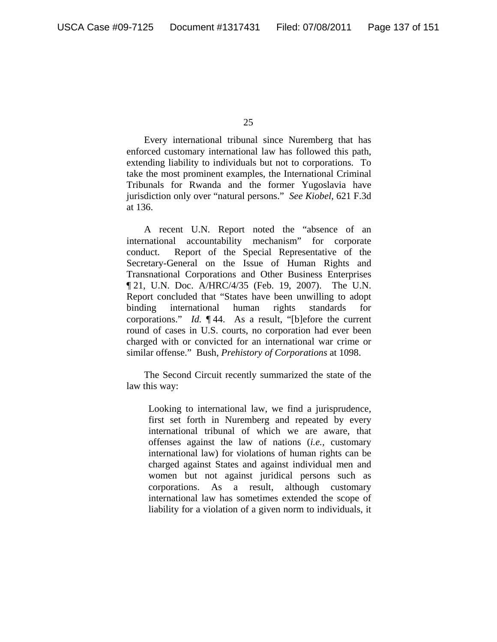Every international tribunal since Nuremberg that has enforced customary international law has followed this path, extending liability to individuals but not to corporations. To take the most prominent examples, the International Criminal Tribunals for Rwanda and the former Yugoslavia have jurisdiction only over "natural persons." *See Kiobel*, 621 F.3d at 136.

A recent U.N. Report noted the "absence of an international accountability mechanism" for corporate conduct. Report of the Special Representative of the Secretary-General on the Issue of Human Rights and Transnational Corporations and Other Business Enterprises ¶ 21, U.N. Doc. A/HRC/4/35 (Feb. 19, 2007). The U.N. Report concluded that "States have been unwilling to adopt binding international human rights standards for corporations." *Id.* ¶ 44. As a result, "[b]efore the current round of cases in U.S. courts, no corporation had ever been charged with or convicted for an international war crime or similar offense." Bush, *Prehistory of Corporations* at 1098.

The Second Circuit recently summarized the state of the law this way:

Looking to international law, we find a jurisprudence, first set forth in Nuremberg and repeated by every international tribunal of which we are aware, that offenses against the law of nations (*i.e.,* customary international law) for violations of human rights can be charged against States and against individual men and women but not against juridical persons such as corporations. As a result, although customary international law has sometimes extended the scope of liability for a violation of a given norm to individuals, it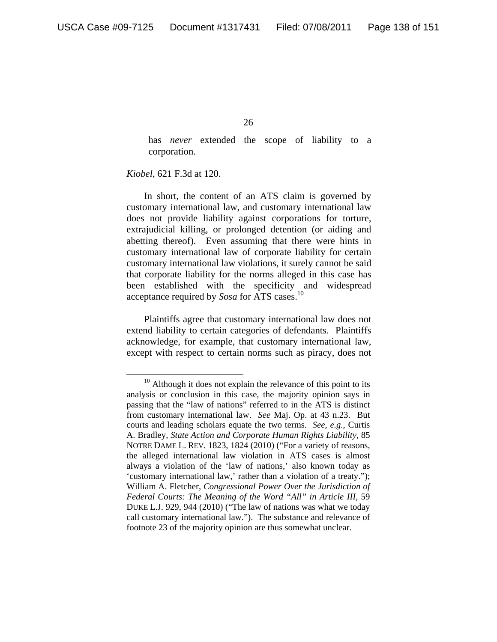has *never* extended the scope of liability to a corporation.

*Kiobel*, 621 F.3d at 120.

In short, the content of an ATS claim is governed by customary international law, and customary international law does not provide liability against corporations for torture, extrajudicial killing, or prolonged detention (or aiding and abetting thereof). Even assuming that there were hints in customary international law of corporate liability for certain customary international law violations, it surely cannot be said that corporate liability for the norms alleged in this case has been established with the specificity and widespread acceptance required by *Sosa* for ATS cases.10

Plaintiffs agree that customary international law does not extend liability to certain categories of defendants. Plaintiffs acknowledge, for example, that customary international law, except with respect to certain norms such as piracy, does not

<sup>&</sup>lt;sup>10</sup> Although it does not explain the relevance of this point to its analysis or conclusion in this case, the majority opinion says in passing that the "law of nations" referred to in the ATS is distinct from customary international law. *See* Maj. Op. at 43 n.23. But courts and leading scholars equate the two terms. *See, e.g.*, Curtis A. Bradley, *State Action and Corporate Human Rights Liability*, 85 NOTRE DAME L. REV. 1823, 1824 (2010) ("For a variety of reasons, the alleged international law violation in ATS cases is almost always a violation of the 'law of nations,' also known today as 'customary international law,' rather than a violation of a treaty."); William A. Fletcher, *Congressional Power Over the Jurisdiction of Federal Courts: The Meaning of the Word "All" in Article III*, 59 DUKE L.J. 929, 944 (2010) ("The law of nations was what we today call customary international law."). The substance and relevance of footnote 23 of the majority opinion are thus somewhat unclear.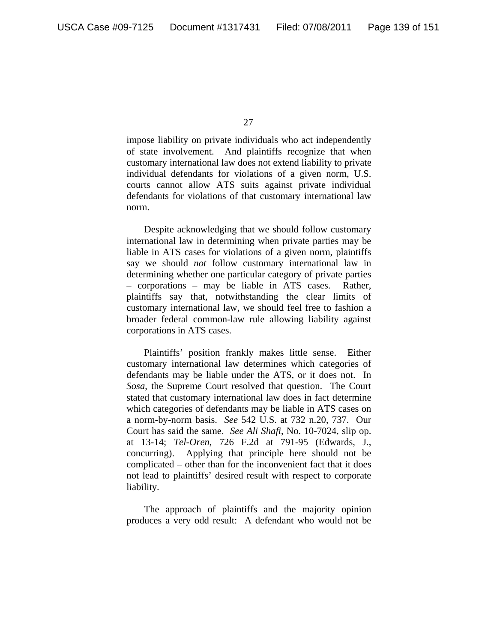impose liability on private individuals who act independently of state involvement. And plaintiffs recognize that when customary international law does not extend liability to private individual defendants for violations of a given norm, U.S. courts cannot allow ATS suits against private individual defendants for violations of that customary international law norm.

Despite acknowledging that we should follow customary international law in determining when private parties may be liable in ATS cases for violations of a given norm, plaintiffs say we should *not* follow customary international law in determining whether one particular category of private parties – corporations – may be liable in ATS cases. Rather, plaintiffs say that, notwithstanding the clear limits of customary international law, we should feel free to fashion a broader federal common-law rule allowing liability against corporations in ATS cases.

Plaintiffs' position frankly makes little sense. Either customary international law determines which categories of defendants may be liable under the ATS, or it does not. In *Sosa*, the Supreme Court resolved that question. The Court stated that customary international law does in fact determine which categories of defendants may be liable in ATS cases on a norm-by-norm basis. *See* 542 U.S. at 732 n.20, 737. Our Court has said the same. *See Ali Shafi*, No. 10-7024, slip op. at 13-14; *Tel-Oren*, 726 F.2d at 791-95 (Edwards, J., concurring). Applying that principle here should not be complicated – other than for the inconvenient fact that it does not lead to plaintiffs' desired result with respect to corporate liability.

The approach of plaintiffs and the majority opinion produces a very odd result: A defendant who would not be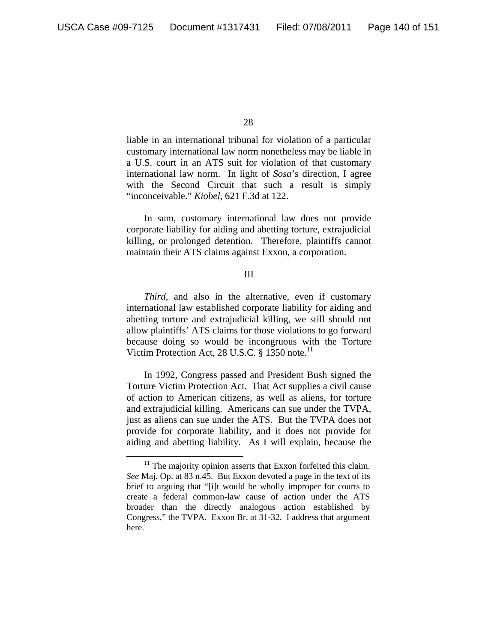liable in an international tribunal for violation of a particular customary international law norm nonetheless may be liable in a U.S. court in an ATS suit for violation of that customary international law norm. In light of *Sosa*'s direction, I agree with the Second Circuit that such a result is simply "inconceivable." *Kiobel*, 621 F.3d at 122.

In sum, customary international law does not provide corporate liability for aiding and abetting torture, extrajudicial killing, or prolonged detention. Therefore, plaintiffs cannot maintain their ATS claims against Exxon, a corporation.

## III

*Third*, and also in the alternative, even if customary international law established corporate liability for aiding and abetting torture and extrajudicial killing, we still should not allow plaintiffs' ATS claims for those violations to go forward because doing so would be incongruous with the Torture Victim Protection Act, 28 U.S.C.  $\S$  1350 note.<sup>11</sup>

In 1992, Congress passed and President Bush signed the Torture Victim Protection Act. That Act supplies a civil cause of action to American citizens, as well as aliens, for torture and extrajudicial killing. Americans can sue under the TVPA, just as aliens can sue under the ATS. But the TVPA does not provide for corporate liability, and it does not provide for aiding and abetting liability. As I will explain, because the

 $11$  The majority opinion asserts that Exxon forfeited this claim. *See* Maj. Op. at 83 n.45. But Exxon devoted a page in the text of its brief to arguing that "[i]t would be wholly improper for courts to create a federal common-law cause of action under the ATS broader than the directly analogous action established by Congress," the TVPA. Exxon Br. at 31-32. I address that argument here.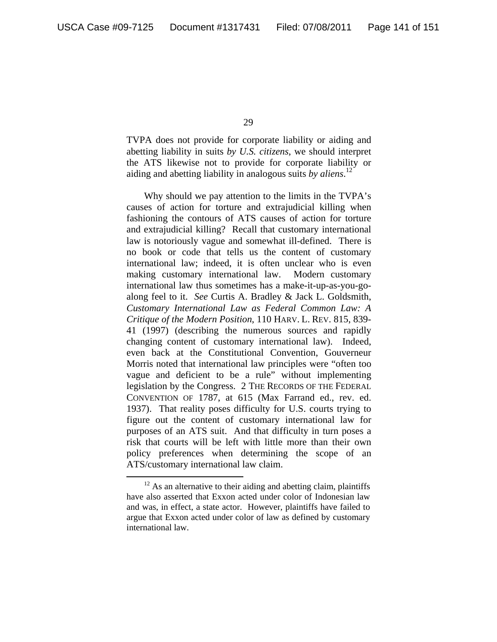TVPA does not provide for corporate liability or aiding and abetting liability in suits *by U.S. citizens*, we should interpret the ATS likewise not to provide for corporate liability or aiding and abetting liability in analogous suits *by aliens*. 12

Why should we pay attention to the limits in the TVPA's causes of action for torture and extrajudicial killing when fashioning the contours of ATS causes of action for torture and extrajudicial killing? Recall that customary international law is notoriously vague and somewhat ill-defined. There is no book or code that tells us the content of customary international law; indeed, it is often unclear who is even making customary international law. Modern customary international law thus sometimes has a make-it-up-as-you-goalong feel to it. *See* Curtis A. Bradley & Jack L. Goldsmith, *Customary International Law as Federal Common Law: A Critique of the Modern Position*, 110 HARV. L. REV. 815, 839- 41 (1997) (describing the numerous sources and rapidly changing content of customary international law). Indeed, even back at the Constitutional Convention, Gouverneur Morris noted that international law principles were "often too vague and deficient to be a rule" without implementing legislation by the Congress. 2 THE RECORDS OF THE FEDERAL CONVENTION OF 1787, at 615 (Max Farrand ed., rev. ed. 1937). That reality poses difficulty for U.S. courts trying to figure out the content of customary international law for purposes of an ATS suit. And that difficulty in turn poses a risk that courts will be left with little more than their own policy preferences when determining the scope of an ATS/customary international law claim.

 $12$  As an alternative to their aiding and abetting claim, plaintiffs have also asserted that Exxon acted under color of Indonesian law and was, in effect, a state actor. However, plaintiffs have failed to argue that Exxon acted under color of law as defined by customary international law.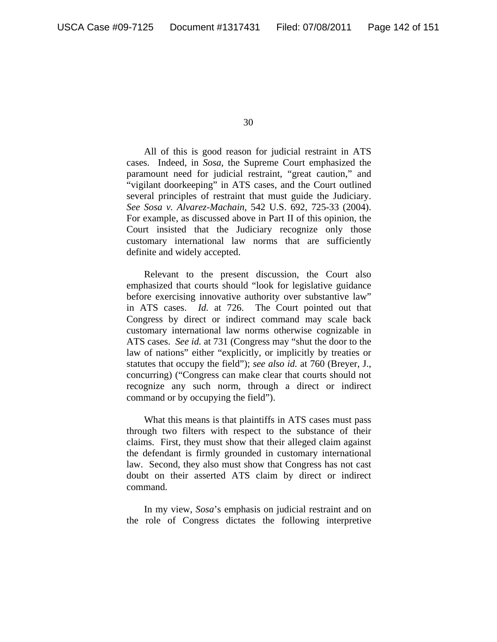All of this is good reason for judicial restraint in ATS cases. Indeed, in *Sosa*, the Supreme Court emphasized the paramount need for judicial restraint, "great caution," and "vigilant doorkeeping" in ATS cases, and the Court outlined several principles of restraint that must guide the Judiciary. *See Sosa v. Alvarez-Machain*, 542 U.S. 692, 725-33 (2004). For example, as discussed above in Part II of this opinion, the Court insisted that the Judiciary recognize only those customary international law norms that are sufficiently definite and widely accepted.

Relevant to the present discussion, the Court also emphasized that courts should "look for legislative guidance before exercising innovative authority over substantive law" in ATS cases. *Id.* at 726. The Court pointed out that Congress by direct or indirect command may scale back customary international law norms otherwise cognizable in ATS cases. *See id.* at 731 (Congress may "shut the door to the law of nations" either "explicitly, or implicitly by treaties or statutes that occupy the field"); *see also id.* at 760 (Breyer, J., concurring) ("Congress can make clear that courts should not recognize any such norm, through a direct or indirect command or by occupying the field").

What this means is that plaintiffs in ATS cases must pass through two filters with respect to the substance of their claims. First, they must show that their alleged claim against the defendant is firmly grounded in customary international law. Second, they also must show that Congress has not cast doubt on their asserted ATS claim by direct or indirect command.

In my view, *Sosa*'s emphasis on judicial restraint and on the role of Congress dictates the following interpretive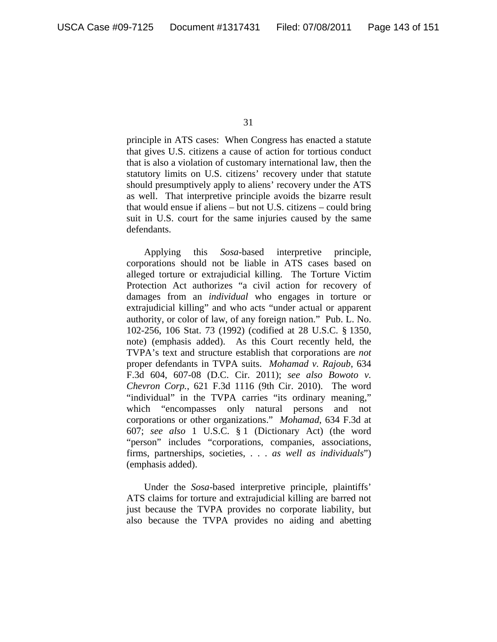principle in ATS cases: When Congress has enacted a statute that gives U.S. citizens a cause of action for tortious conduct that is also a violation of customary international law, then the statutory limits on U.S. citizens' recovery under that statute should presumptively apply to aliens' recovery under the ATS as well. That interpretive principle avoids the bizarre result that would ensue if aliens – but not U.S. citizens – could bring suit in U.S. court for the same injuries caused by the same defendants.

Applying this *Sosa*-based interpretive principle, corporations should not be liable in ATS cases based on alleged torture or extrajudicial killing. The Torture Victim Protection Act authorizes "a civil action for recovery of damages from an *individual* who engages in torture or extrajudicial killing" and who acts "under actual or apparent authority, or color of law, of any foreign nation." Pub. L. No. 102-256, 106 Stat. 73 (1992) (codified at 28 U.S.C. § 1350, note) (emphasis added). As this Court recently held, the TVPA's text and structure establish that corporations are *not* proper defendants in TVPA suits. *Mohamad v. Rajoub*, 634 F.3d 604, 607-08 (D.C. Cir. 2011); *see also Bowoto v. Chevron Corp.*, 621 F.3d 1116 (9th Cir. 2010). The word "individual" in the TVPA carries "its ordinary meaning," which "encompasses only natural persons and not corporations or other organizations." *Mohamad*, 634 F.3d at 607; *see also* 1 U.S.C. § 1 (Dictionary Act) (the word "person" includes "corporations, companies, associations, firms, partnerships, societies, . . . *as well as individuals*") (emphasis added).

 Under the *Sosa*-based interpretive principle, plaintiffs' ATS claims for torture and extrajudicial killing are barred not just because the TVPA provides no corporate liability, but also because the TVPA provides no aiding and abetting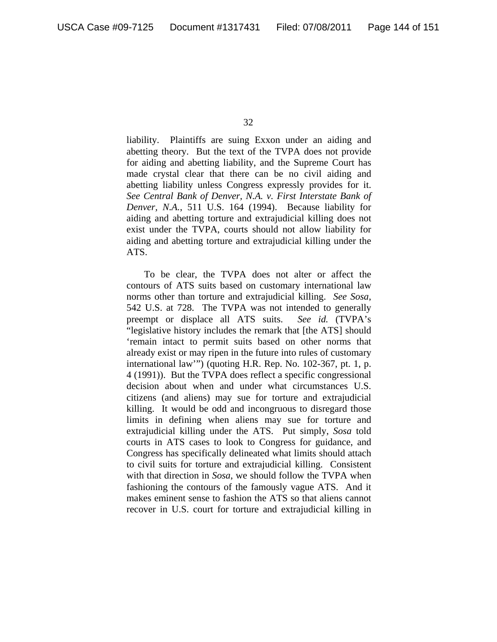liability. Plaintiffs are suing Exxon under an aiding and abetting theory. But the text of the TVPA does not provide for aiding and abetting liability, and the Supreme Court has made crystal clear that there can be no civil aiding and abetting liability unless Congress expressly provides for it. *See Central Bank of Denver, N.A. v. First Interstate Bank of Denver, N.A.*, 511 U.S. 164 (1994). Because liability for aiding and abetting torture and extrajudicial killing does not exist under the TVPA, courts should not allow liability for aiding and abetting torture and extrajudicial killing under the ATS.

To be clear, the TVPA does not alter or affect the contours of ATS suits based on customary international law norms other than torture and extrajudicial killing. *See Sosa*, 542 U.S. at 728. The TVPA was not intended to generally preempt or displace all ATS suits. *See id.* (TVPA's "legislative history includes the remark that [the ATS] should 'remain intact to permit suits based on other norms that already exist or may ripen in the future into rules of customary international law'") (quoting H.R. Rep. No. 102-367, pt. 1, p. 4 (1991)). But the TVPA does reflect a specific congressional decision about when and under what circumstances U.S. citizens (and aliens) may sue for torture and extrajudicial killing. It would be odd and incongruous to disregard those limits in defining when aliens may sue for torture and extrajudicial killing under the ATS. Put simply, *Sosa* told courts in ATS cases to look to Congress for guidance, and Congress has specifically delineated what limits should attach to civil suits for torture and extrajudicial killing. Consistent with that direction in *Sosa*, we should follow the TVPA when fashioning the contours of the famously vague ATS. And it makes eminent sense to fashion the ATS so that aliens cannot recover in U.S. court for torture and extrajudicial killing in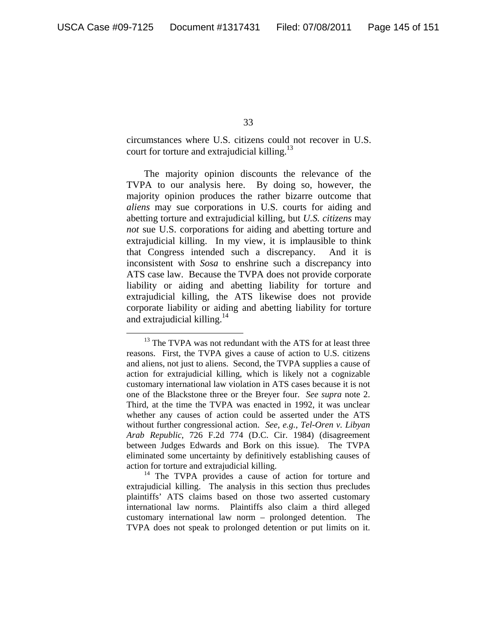circumstances where U.S. citizens could not recover in U.S. court for torture and extrajudicial killing. $^{13}$ 

The majority opinion discounts the relevance of the TVPA to our analysis here. By doing so, however, the majority opinion produces the rather bizarre outcome that *aliens* may sue corporations in U.S. courts for aiding and abetting torture and extrajudicial killing, but *U.S. citizens* may *not* sue U.S. corporations for aiding and abetting torture and extrajudicial killing. In my view, it is implausible to think that Congress intended such a discrepancy. And it is inconsistent with *Sosa* to enshrine such a discrepancy into ATS case law. Because the TVPA does not provide corporate liability or aiding and abetting liability for torture and extrajudicial killing, the ATS likewise does not provide corporate liability or aiding and abetting liability for torture and extrajudicial killing.<sup>14</sup>

<sup>&</sup>lt;sup>13</sup> The TVPA was not redundant with the ATS for at least three reasons. First, the TVPA gives a cause of action to U.S. citizens and aliens, not just to aliens. Second, the TVPA supplies a cause of action for extrajudicial killing, which is likely not a cognizable customary international law violation in ATS cases because it is not one of the Blackstone three or the Breyer four. *See supra* note 2. Third, at the time the TVPA was enacted in 1992, it was unclear whether any causes of action could be asserted under the ATS without further congressional action. *See, e.g.*, *Tel-Oren v. Libyan Arab Republic*, 726 F.2d 774 (D.C. Cir. 1984) (disagreement between Judges Edwards and Bork on this issue). The TVPA eliminated some uncertainty by definitively establishing causes of action for torture and extrajudicial killing.

<sup>&</sup>lt;sup>14</sup> The TVPA provides a cause of action for torture and extrajudicial killing. The analysis in this section thus precludes plaintiffs' ATS claims based on those two asserted customary international law norms. Plaintiffs also claim a third alleged customary international law norm – prolonged detention. The TVPA does not speak to prolonged detention or put limits on it.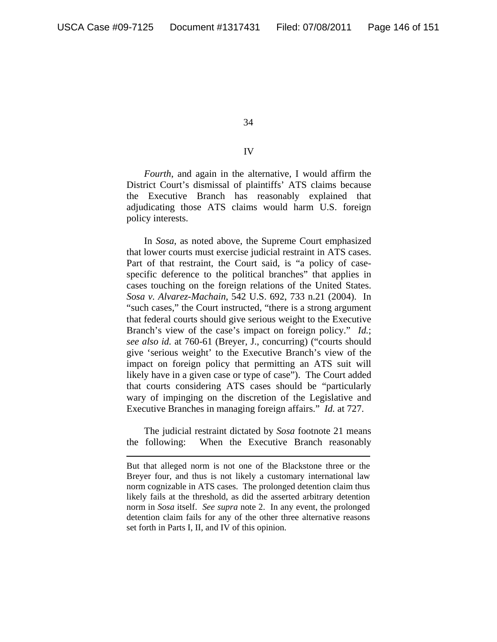$\overline{a}$ 

34

## IV

*Fourth*, and again in the alternative, I would affirm the District Court's dismissal of plaintiffs' ATS claims because the Executive Branch has reasonably explained that adjudicating those ATS claims would harm U.S. foreign policy interests.

 In *Sosa*, as noted above, the Supreme Court emphasized that lower courts must exercise judicial restraint in ATS cases. Part of that restraint, the Court said, is "a policy of casespecific deference to the political branches" that applies in cases touching on the foreign relations of the United States. *Sosa v. Alvarez-Machain*, 542 U.S. 692, 733 n.21 (2004). In "such cases," the Court instructed, "there is a strong argument that federal courts should give serious weight to the Executive Branch's view of the case's impact on foreign policy." *Id.*; *see also id.* at 760-61 (Breyer, J., concurring) ("courts should give 'serious weight' to the Executive Branch's view of the impact on foreign policy that permitting an ATS suit will likely have in a given case or type of case"). The Court added that courts considering ATS cases should be "particularly wary of impinging on the discretion of the Legislative and Executive Branches in managing foreign affairs." *Id.* at 727.

The judicial restraint dictated by *Sosa* footnote 21 means the following: When the Executive Branch reasonably

But that alleged norm is not one of the Blackstone three or the Breyer four, and thus is not likely a customary international law norm cognizable in ATS cases. The prolonged detention claim thus likely fails at the threshold, as did the asserted arbitrary detention norm in *Sosa* itself. *See supra* note 2. In any event, the prolonged detention claim fails for any of the other three alternative reasons set forth in Parts I, II, and IV of this opinion.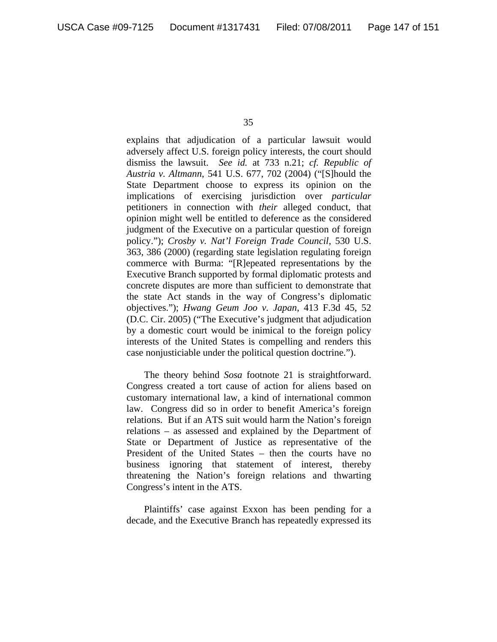explains that adjudication of a particular lawsuit would adversely affect U.S. foreign policy interests, the court should dismiss the lawsuit. *See id.* at 733 n.21; *cf. Republic of Austria v. Altmann*, 541 U.S. 677, 702 (2004) ("[S]hould the State Department choose to express its opinion on the implications of exercising jurisdiction over *particular* petitioners in connection with *their* alleged conduct, that opinion might well be entitled to deference as the considered judgment of the Executive on a particular question of foreign policy."); *Crosby v. Nat'l Foreign Trade Council*, 530 U.S. 363, 386 (2000) (regarding state legislation regulating foreign commerce with Burma: "[R]epeated representations by the Executive Branch supported by formal diplomatic protests and concrete disputes are more than sufficient to demonstrate that the state Act stands in the way of Congress's diplomatic objectives."); *Hwang Geum Joo v. Japan*, 413 F.3d 45, 52 (D.C. Cir. 2005) ("The Executive's judgment that adjudication by a domestic court would be inimical to the foreign policy interests of the United States is compelling and renders this case nonjusticiable under the political question doctrine.").

The theory behind *Sosa* footnote 21 is straightforward. Congress created a tort cause of action for aliens based on customary international law, a kind of international common law. Congress did so in order to benefit America's foreign relations. But if an ATS suit would harm the Nation's foreign relations – as assessed and explained by the Department of State or Department of Justice as representative of the President of the United States – then the courts have no business ignoring that statement of interest, thereby threatening the Nation's foreign relations and thwarting Congress's intent in the ATS.

 Plaintiffs' case against Exxon has been pending for a decade, and the Executive Branch has repeatedly expressed its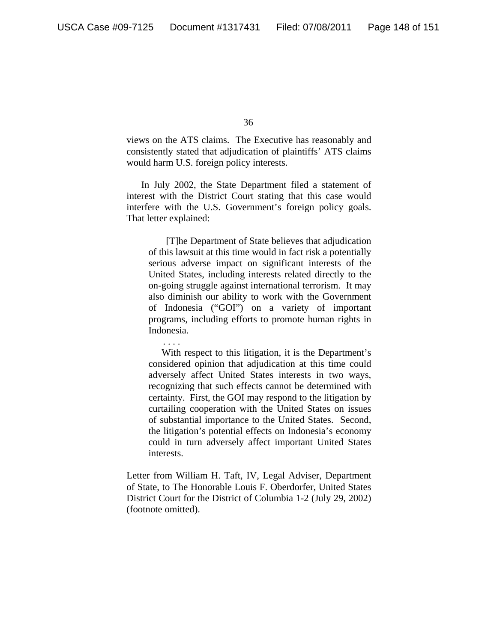views on the ATS claims. The Executive has reasonably and consistently stated that adjudication of plaintiffs' ATS claims would harm U.S. foreign policy interests.

In July 2002, the State Department filed a statement of interest with the District Court stating that this case would interfere with the U.S. Government's foreign policy goals. That letter explained:

[T]he Department of State believes that adjudication of this lawsuit at this time would in fact risk a potentially serious adverse impact on significant interests of the United States, including interests related directly to the on-going struggle against international terrorism. It may also diminish our ability to work with the Government of Indonesia ("GOI") on a variety of important programs, including efforts to promote human rights in Indonesia.

. . . .

 With respect to this litigation, it is the Department's considered opinion that adjudication at this time could adversely affect United States interests in two ways, recognizing that such effects cannot be determined with certainty. First, the GOI may respond to the litigation by curtailing cooperation with the United States on issues of substantial importance to the United States. Second, the litigation's potential effects on Indonesia's economy could in turn adversely affect important United States interests.

Letter from William H. Taft, IV, Legal Adviser, Department of State, to The Honorable Louis F. Oberdorfer, United States District Court for the District of Columbia 1-2 (July 29, 2002) (footnote omitted).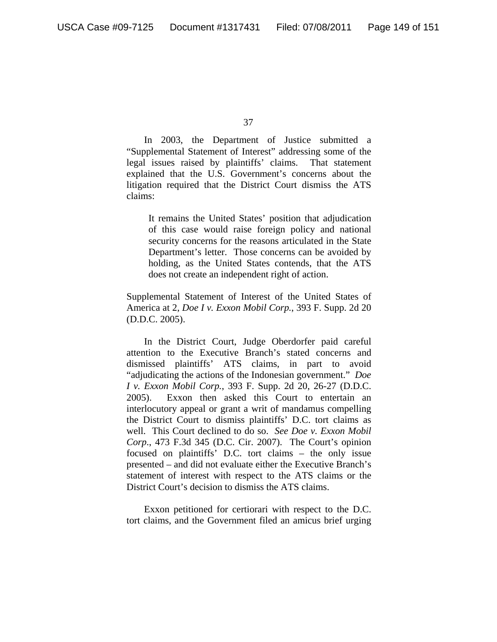In 2003, the Department of Justice submitted a "Supplemental Statement of Interest" addressing some of the legal issues raised by plaintiffs' claims. That statement explained that the U.S. Government's concerns about the litigation required that the District Court dismiss the ATS claims:

It remains the United States' position that adjudication of this case would raise foreign policy and national security concerns for the reasons articulated in the State Department's letter. Those concerns can be avoided by holding, as the United States contends, that the ATS does not create an independent right of action.

Supplemental Statement of Interest of the United States of America at 2, *Doe I v. Exxon Mobil Corp.*, 393 F. Supp. 2d 20 (D.D.C. 2005).

In the District Court, Judge Oberdorfer paid careful attention to the Executive Branch's stated concerns and dismissed plaintiffs' ATS claims, in part to avoid "adjudicating the actions of the Indonesian government." *Doe I v. Exxon Mobil Corp.*, 393 F. Supp. 2d 20, 26-27 (D.D.C. 2005). Exxon then asked this Court to entertain an interlocutory appeal or grant a writ of mandamus compelling the District Court to dismiss plaintiffs' D.C. tort claims as well. This Court declined to do so. *See Doe v. Exxon Mobil Corp*., 473 F.3d 345 (D.C. Cir. 2007). The Court's opinion focused on plaintiffs' D.C. tort claims – the only issue presented – and did not evaluate either the Executive Branch's statement of interest with respect to the ATS claims or the District Court's decision to dismiss the ATS claims.

Exxon petitioned for certiorari with respect to the D.C. tort claims, and the Government filed an amicus brief urging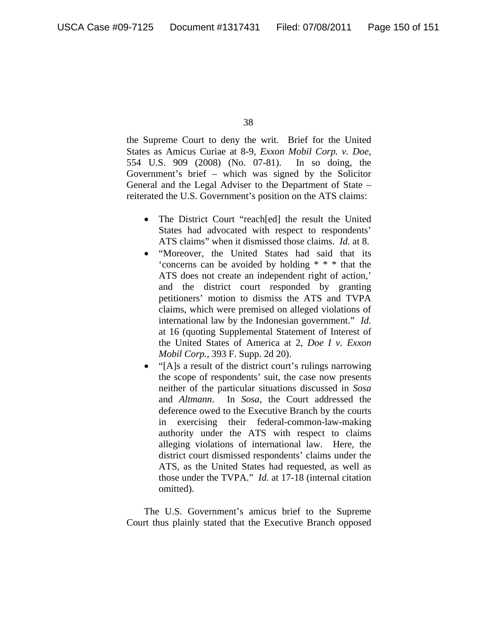the Supreme Court to deny the writ. Brief for the United States as Amicus Curiae at 8-9, *Exxon Mobil Corp. v. Doe*, 554 U.S. 909 (2008) (No. 07-81). In so doing, the Government's brief – which was signed by the Solicitor General and the Legal Adviser to the Department of State – reiterated the U.S. Government's position on the ATS claims:

- The District Court "reach[ed] the result the United States had advocated with respect to respondents' ATS claims" when it dismissed those claims. *Id.* at 8.
- "Moreover, the United States had said that its 'concerns can be avoided by holding \* \* \* that the ATS does not create an independent right of action,' and the district court responded by granting petitioners' motion to dismiss the ATS and TVPA claims, which were premised on alleged violations of international law by the Indonesian government." *Id.* at 16 (quoting Supplemental Statement of Interest of the United States of America at 2, *Doe I v. Exxon Mobil Corp.*, 393 F. Supp. 2d 20).
- "[A]s a result of the district court's rulings narrowing the scope of respondents' suit, the case now presents neither of the particular situations discussed in *Sosa*  and *Altmann*. In *Sosa*, the Court addressed the deference owed to the Executive Branch by the courts in exercising their federal-common-law-making authority under the ATS with respect to claims alleging violations of international law. Here, the district court dismissed respondents' claims under the ATS, as the United States had requested, as well as those under the TVPA." *Id.* at 17-18 (internal citation omitted).

The U.S. Government's amicus brief to the Supreme Court thus plainly stated that the Executive Branch opposed